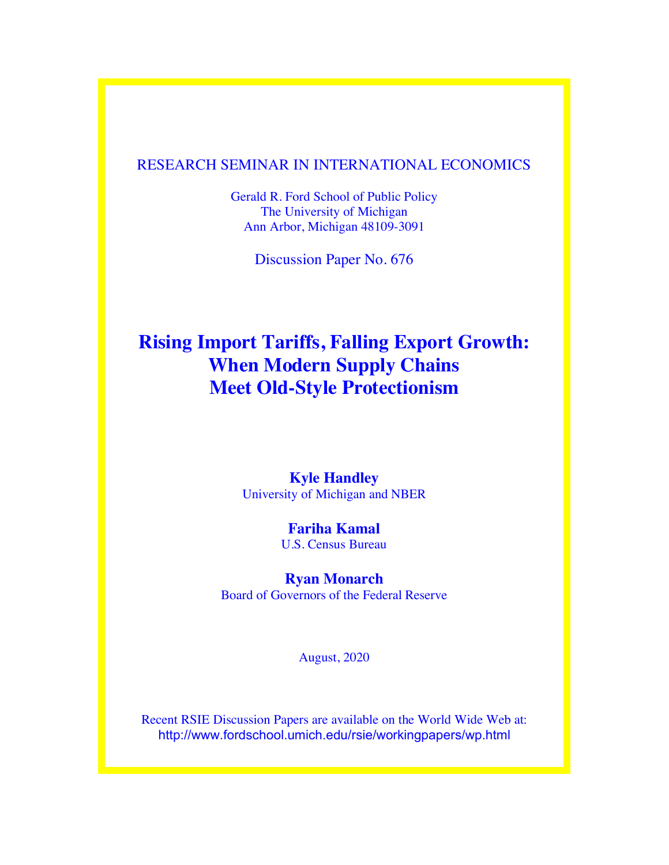### RESEARCH SEMINAR IN INTERNATIONAL ECONOMICS

Gerald R. Ford School of Public Policy The University of Michigan Ann Arbor, Michigan 48109-3091

Discussion Paper No. 676

# **Rising Import Tariffs, Falling Export Growth: When Modern Supply Chains Meet Old-Style Protectionism**

### **Kyle Handley** University of Michigan and NBER

**Fariha Kamal** U.S. Census Bureau

# **Ryan Monarch**

Board of Governors of the Federal Reserve

August, 2020

Recent RSIE Discussion Papers are available on the World Wide Web at: http://www.fordschool.umich.edu/rsie/workingpapers/wp.html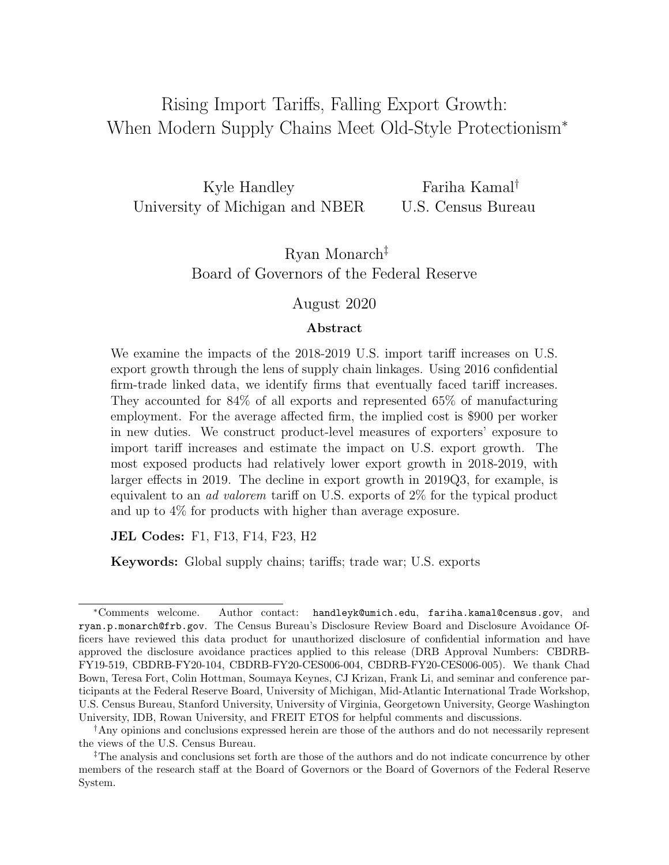# <span id="page-1-0"></span>Rising Import Tariffs, Falling Export Growth: When Modern Supply Chains Meet Old-Style Protectionism<sup>∗</sup>

Kyle Handley University of Michigan and NBER Fariha Kamal† U.S. Census Bureau

> Ryan Monarch‡ Board of Governors of the Federal Reserve

#### August 2020

#### Abstract

We examine the impacts of the 2018-2019 U.S. import tariff increases on U.S. export growth through the lens of supply chain linkages. Using 2016 confidential firm-trade linked data, we identify firms that eventually faced tariff increases. They accounted for 84% of all exports and represented 65% of manufacturing employment. For the average affected firm, the implied cost is \$900 per worker in new duties. We construct product-level measures of exporters' exposure to import tariff increases and estimate the impact on U.S. export growth. The most exposed products had relatively lower export growth in 2018-2019, with larger effects in 2019. The decline in export growth in 2019Q3, for example, is equivalent to an ad valorem tariff on U.S. exports of 2% for the typical product and up to 4% for products with higher than average exposure.

JEL Codes: F1, F13, F14, F23, H2

Keywords: Global supply chains; tariffs; trade war; U.S. exports

<sup>∗</sup>Comments welcome. Author contact: handleyk@umich.edu, fariha.kamal@census.gov, and ryan.p.monarch@frb.gov. The Census Bureau's Disclosure Review Board and Disclosure Avoidance Officers have reviewed this data product for unauthorized disclosure of confidential information and have approved the disclosure avoidance practices applied to this release (DRB Approval Numbers: CBDRB-FY19-519, CBDRB-FY20-104, CBDRB-FY20-CES006-004, CBDRB-FY20-CES006-005). We thank Chad Bown, Teresa Fort, Colin Hottman, Soumaya Keynes, CJ Krizan, Frank Li, and seminar and conference participants at the Federal Reserve Board, University of Michigan, Mid-Atlantic International Trade Workshop, U.S. Census Bureau, Stanford University, University of Virginia, Georgetown University, George Washington University, IDB, Rowan University, and FREIT ETOS for helpful comments and discussions.

<sup>†</sup>Any opinions and conclusions expressed herein are those of the authors and do not necessarily represent the views of the U.S. Census Bureau.

<sup>‡</sup>The analysis and conclusions set forth are those of the authors and do not indicate concurrence by other members of the research staff at the Board of Governors or the Board of Governors of the Federal Reserve System.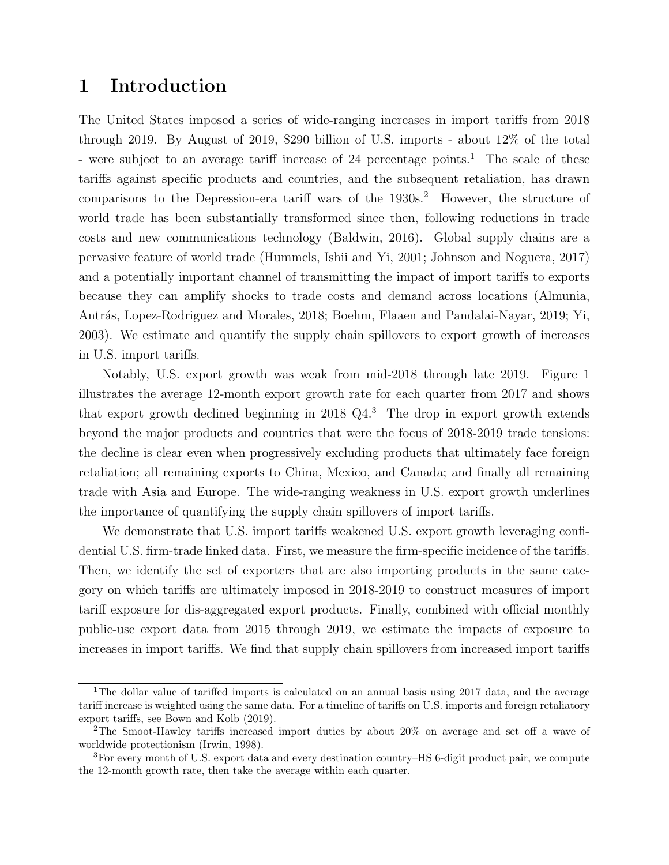### 1 Introduction

The United States imposed a series of wide-ranging increases in import tariffs from 2018 through 2019. By August of 2019, \$290 billion of U.S. imports - about 12% of the total - were subject to an average tariff increase of 24 percentage points.<sup>[1](#page-1-0)</sup> The scale of these tariffs against specific products and countries, and the subsequent retaliation, has drawn comparisons to the Depression-era tariff wars of the 1930s.<sup>[2](#page-1-0)</sup> However, the structure of world trade has been substantially transformed since then, following reductions in trade costs and new communications technology [\(Baldwin,](#page-29-0) [2016\)](#page-29-0). Global supply chains are a pervasive feature of world trade [\(Hummels, Ishii and Yi,](#page-30-0) [2001;](#page-30-0) [Johnson and Noguera,](#page-30-1) [2017\)](#page-30-1) and a potentially important channel of transmitting the impact of import tariffs to exports because they can amplify shocks to trade costs and demand across locations [\(Almunia,](#page-29-1) Antrás, Lopez-Rodriguez and Morales, [2018;](#page-29-1) [Boehm, Flaaen and Pandalai-Nayar,](#page-29-2) [2019;](#page-29-2) [Yi,](#page-31-0) [2003\)](#page-31-0). We estimate and quantify the supply chain spillovers to export growth of increases in U.S. import tariffs.

Notably, U.S. export growth was weak from mid-2018 through late 2019. Figure [1](#page-32-0) illustrates the average 12-month export growth rate for each quarter from 2017 and shows that export growth declined beginning in 2018 Q4.[3](#page-1-0) The drop in export growth extends beyond the major products and countries that were the focus of 2018-2019 trade tensions: the decline is clear even when progressively excluding products that ultimately face foreign retaliation; all remaining exports to China, Mexico, and Canada; and finally all remaining trade with Asia and Europe. The wide-ranging weakness in U.S. export growth underlines the importance of quantifying the supply chain spillovers of import tariffs.

We demonstrate that U.S. import tariffs weakened U.S. export growth leveraging confidential U.S. firm-trade linked data. First, we measure the firm-specific incidence of the tariffs. Then, we identify the set of exporters that are also importing products in the same category on which tariffs are ultimately imposed in 2018-2019 to construct measures of import tariff exposure for dis-aggregated export products. Finally, combined with official monthly public-use export data from 2015 through 2019, we estimate the impacts of exposure to increases in import tariffs. We find that supply chain spillovers from increased import tariffs

<sup>&</sup>lt;sup>1</sup>The dollar value of tariffed imports is calculated on an annual basis using 2017 data, and the average tariff increase is weighted using the same data. For a timeline of tariffs on U.S. imports and foreign retaliatory export tariffs, see [Bown and Kolb](#page-29-3) [\(2019\)](#page-29-3).

<sup>2</sup>The Smoot-Hawley tariffs increased import duties by about 20% on average and set off a wave of worldwide protectionism [\(Irwin,](#page-30-2) [1998\)](#page-30-2).

<sup>3</sup>For every month of U.S. export data and every destination country–HS 6-digit product pair, we compute the 12-month growth rate, then take the average within each quarter.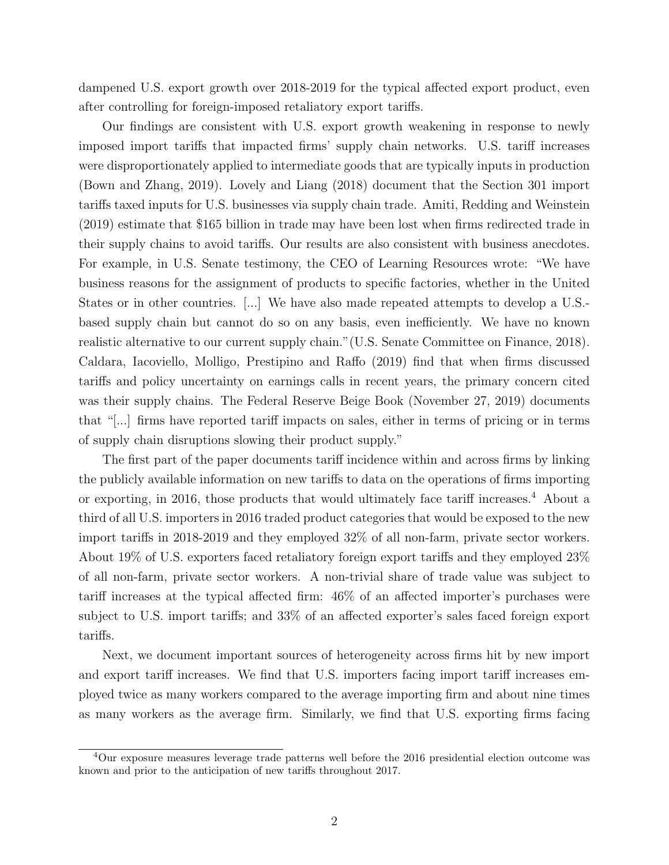dampened U.S. export growth over 2018-2019 for the typical affected export product, even after controlling for foreign-imposed retaliatory export tariffs.

Our findings are consistent with U.S. export growth weakening in response to newly imposed import tariffs that impacted firms' supply chain networks. U.S. tariff increases were disproportionately applied to intermediate goods that are typically inputs in production [\(Bown and Zhang,](#page-29-4) [2019\)](#page-29-4). [Lovely and Liang](#page-31-1) [\(2018\)](#page-31-1) document that the Section 301 import tariffs taxed inputs for U.S. businesses via supply chain trade. [Amiti, Redding and Weinstein](#page-29-5) [\(2019\)](#page-29-5) estimate that \$165 billion in trade may have been lost when firms redirected trade in their supply chains to avoid tariffs. Our results are also consistent with business anecdotes. For example, in U.S. Senate testimony, the CEO of Learning Resources wrote: "We have business reasons for the assignment of products to specific factories, whether in the United States or in other countries. [...] We have also made repeated attempts to develop a U.S. based supply chain but cannot do so on any basis, even inefficiently. We have no known realistic alternative to our current supply chain."[\(U.S. Senate Committee on Finance,](#page-31-2) [2018\)](#page-31-2). [Caldara, Iacoviello, Molligo, Prestipino and Raffo](#page-29-6) [\(2019\)](#page-29-6) find that when firms discussed tariffs and policy uncertainty on earnings calls in recent years, the primary concern cited was their supply chains. The [Federal Reserve Beige Book](#page-30-3) [\(November 27, 2019\)](#page-30-3) documents that "[...] firms have reported tariff impacts on sales, either in terms of pricing or in terms of supply chain disruptions slowing their product supply."

The first part of the paper documents tariff incidence within and across firms by linking the publicly available information on new tariffs to data on the operations of firms importing or exporting, in 2016, those products that would ultimately face tariff increases.[4](#page-1-0) About a third of all U.S. importers in 2016 traded product categories that would be exposed to the new import tariffs in 2018-2019 and they employed 32% of all non-farm, private sector workers. About 19% of U.S. exporters faced retaliatory foreign export tariffs and they employed 23% of all non-farm, private sector workers. A non-trivial share of trade value was subject to tariff increases at the typical affected firm: 46% of an affected importer's purchases were subject to U.S. import tariffs; and 33% of an affected exporter's sales faced foreign export tariffs.

Next, we document important sources of heterogeneity across firms hit by new import and export tariff increases. We find that U.S. importers facing import tariff increases employed twice as many workers compared to the average importing firm and about nine times as many workers as the average firm. Similarly, we find that U.S. exporting firms facing

 $4$ Our exposure measures leverage trade patterns well before the 2016 presidential election outcome was known and prior to the anticipation of new tariffs throughout 2017.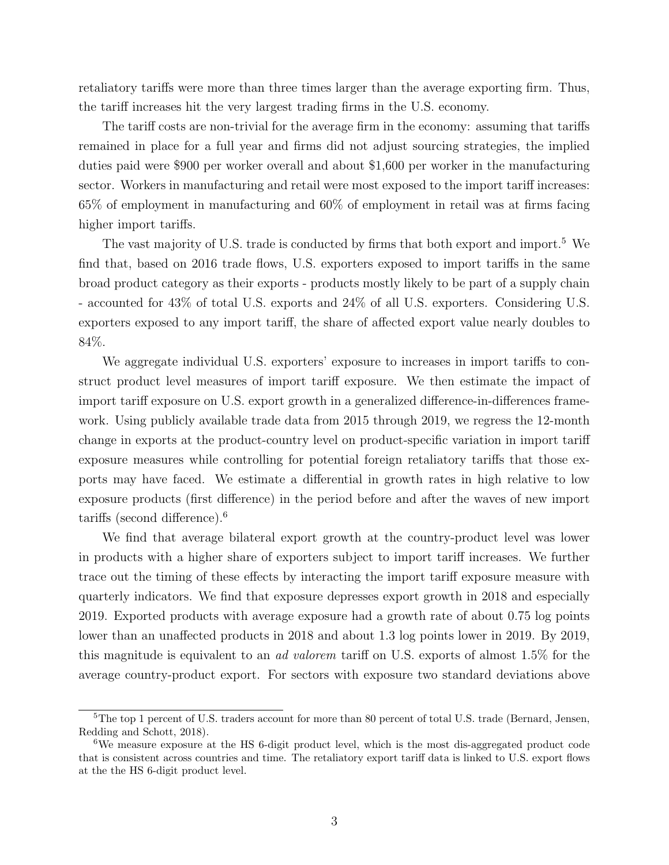retaliatory tariffs were more than three times larger than the average exporting firm. Thus, the tariff increases hit the very largest trading firms in the U.S. economy.

The tariff costs are non-trivial for the average firm in the economy: assuming that tariffs remained in place for a full year and firms did not adjust sourcing strategies, the implied duties paid were \$900 per worker overall and about \$1,600 per worker in the manufacturing sector. Workers in manufacturing and retail were most exposed to the import tariff increases: 65% of employment in manufacturing and 60% of employment in retail was at firms facing higher import tariffs.

The vast majority of U.S. trade is conducted by firms that both export and import.<sup>[5](#page-1-0)</sup> We find that, based on 2016 trade flows, U.S. exporters exposed to import tariffs in the same broad product category as their exports - products mostly likely to be part of a supply chain - accounted for 43% of total U.S. exports and 24% of all U.S. exporters. Considering U.S. exporters exposed to any import tariff, the share of affected export value nearly doubles to 84%.

We aggregate individual U.S. exporters' exposure to increases in import tariffs to construct product level measures of import tariff exposure. We then estimate the impact of import tariff exposure on U.S. export growth in a generalized difference-in-differences framework. Using publicly available trade data from 2015 through 2019, we regress the 12-month change in exports at the product-country level on product-specific variation in import tariff exposure measures while controlling for potential foreign retaliatory tariffs that those exports may have faced. We estimate a differential in growth rates in high relative to low exposure products (first difference) in the period before and after the waves of new import tariffs (second difference).[6](#page-1-0)

We find that average bilateral export growth at the country-product level was lower in products with a higher share of exporters subject to import tariff increases. We further trace out the timing of these effects by interacting the import tariff exposure measure with quarterly indicators. We find that exposure depresses export growth in 2018 and especially 2019. Exported products with average exposure had a growth rate of about 0.75 log points lower than an unaffected products in 2018 and about 1.3 log points lower in 2019. By 2019, this magnitude is equivalent to an ad valorem tariff on U.S. exports of almost 1.5% for the average country-product export. For sectors with exposure two standard deviations above

<sup>&</sup>lt;sup>5</sup>The top 1 percent of U.S. traders account for more than 80 percent of total U.S. trade [\(Bernard, Jensen,](#page-29-7) [Redding and Schott,](#page-29-7) [2018\)](#page-29-7).

<sup>6</sup>We measure exposure at the HS 6-digit product level, which is the most dis-aggregated product code that is consistent across countries and time. The retaliatory export tariff data is linked to U.S. export flows at the the HS 6-digit product level.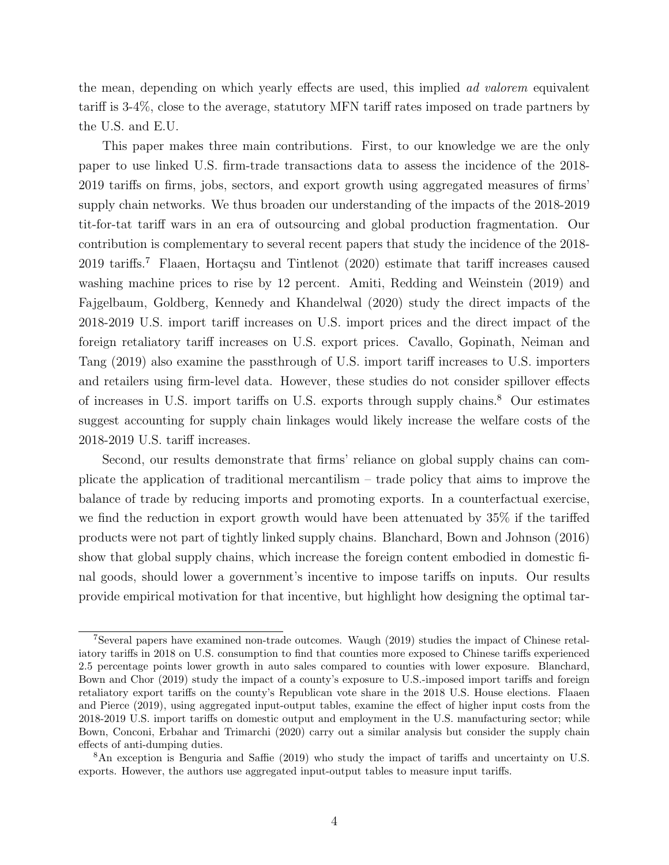the mean, depending on which yearly effects are used, this implied *ad valorem* equivalent tariff is 3-4%, close to the average, statutory MFN tariff rates imposed on trade partners by the U.S. and E.U.

This paper makes three main contributions. First, to our knowledge we are the only paper to use linked U.S. firm-trade transactions data to assess the incidence of the 2018- 2019 tariffs on firms, jobs, sectors, and export growth using aggregated measures of firms' supply chain networks. We thus broaden our understanding of the impacts of the 2018-2019 tit-for-tat tariff wars in an era of outsourcing and global production fragmentation. Our contribution is complementary to several recent papers that study the incidence of the 2018-  $2019$  tariffs.<sup>[7](#page-1-0)</sup> Flaaen, Hortaçsu and Tintlenot [\(2020\)](#page-30-4) estimate that tariff increases caused washing machine prices to rise by 12 percent. [Amiti, Redding and Weinstein](#page-29-5) [\(2019\)](#page-29-5) and [Fajgelbaum, Goldberg, Kennedy and Khandelwal](#page-30-5) [\(2020\)](#page-30-5) study the direct impacts of the 2018-2019 U.S. import tariff increases on U.S. import prices and the direct impact of the foreign retaliatory tariff increases on U.S. export prices. [Cavallo, Gopinath, Neiman and](#page-30-6) [Tang](#page-30-6) [\(2019\)](#page-30-6) also examine the passthrough of U.S. import tariff increases to U.S. importers and retailers using firm-level data. However, these studies do not consider spillover effects of increases in U.S. import tariffs on U.S. exports through supply chains.[8](#page-1-0) Our estimates suggest accounting for supply chain linkages would likely increase the welfare costs of the 2018-2019 U.S. tariff increases.

Second, our results demonstrate that firms' reliance on global supply chains can complicate the application of traditional mercantilism – trade policy that aims to improve the balance of trade by reducing imports and promoting exports. In a counterfactual exercise, we find the reduction in export growth would have been attenuated by 35% if the tariffed products were not part of tightly linked supply chains. [Blanchard, Bown and Johnson](#page-29-8) [\(2016\)](#page-29-8) show that global supply chains, which increase the foreign content embodied in domestic final goods, should lower a government's incentive to impose tariffs on inputs. Our results provide empirical motivation for that incentive, but highlight how designing the optimal tar-

<sup>7</sup>Several papers have examined non-trade outcomes. [Waugh](#page-31-3) [\(2019\)](#page-31-3) studies the impact of Chinese retaliatory tariffs in 2018 on U.S. consumption to find that counties more exposed to Chinese tariffs experienced 2.5 percentage points lower growth in auto sales compared to counties with lower exposure. [Blanchard,](#page-29-9) [Bown and Chor](#page-29-9) [\(2019\)](#page-29-9) study the impact of a county's exposure to U.S.-imposed import tariffs and foreign retaliatory export tariffs on the county's Republican vote share in the 2018 U.S. House elections. [Flaaen](#page-30-7) [and Pierce](#page-30-7) [\(2019\)](#page-30-7), using aggregated input-output tables, examine the effect of higher input costs from the 2018-2019 U.S. import tariffs on domestic output and employment in the U.S. manufacturing sector; while [Bown, Conconi, Erbahar and Trimarchi](#page-29-10) [\(2020\)](#page-29-10) carry out a similar analysis but consider the supply chain effects of anti-dumping duties.

<sup>8</sup>An exception is [Benguria and Saffie](#page-29-11) [\(2019\)](#page-29-11) who study the impact of tariffs and uncertainty on U.S. exports. However, the authors use aggregated input-output tables to measure input tariffs.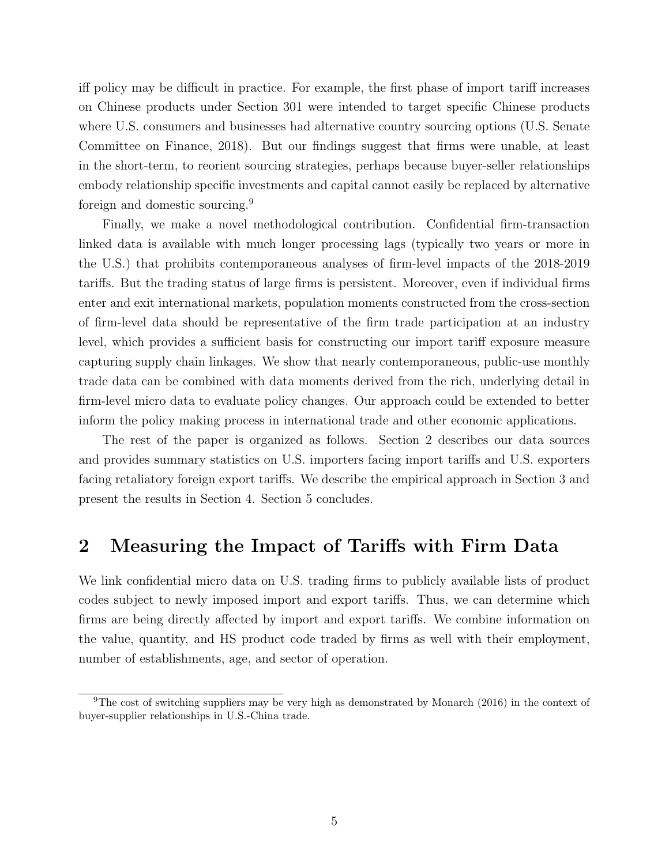iff policy may be difficult in practice. For example, the first phase of import tariff increases on Chinese products under Section 301 were intended to target specific Chinese products where U.S. consumers and businesses had alternative country sourcing options [\(U.S. Senate](#page-31-2) [Committee on Finance,](#page-31-2) [2018\)](#page-31-2). But our findings suggest that firms were unable, at least in the short-term, to reorient sourcing strategies, perhaps because buyer-seller relationships embody relationship specific investments and capital cannot easily be replaced by alternative foreign and domestic sourcing.[9](#page-1-0)

Finally, we make a novel methodological contribution. Confidential firm-transaction linked data is available with much longer processing lags (typically two years or more in the U.S.) that prohibits contemporaneous analyses of firm-level impacts of the 2018-2019 tariffs. But the trading status of large firms is persistent. Moreover, even if individual firms enter and exit international markets, population moments constructed from the cross-section of firm-level data should be representative of the firm trade participation at an industry level, which provides a sufficient basis for constructing our import tariff exposure measure capturing supply chain linkages. We show that nearly contemporaneous, public-use monthly trade data can be combined with data moments derived from the rich, underlying detail in firm-level micro data to evaluate policy changes. Our approach could be extended to better inform the policy making process in international trade and other economic applications.

The rest of the paper is organized as follows. Section [2](#page-6-0) describes our data sources and provides summary statistics on U.S. importers facing import tariffs and U.S. exporters facing retaliatory foreign export tariffs. We describe the empirical approach in Section [3](#page-12-0) and present the results in Section [4.](#page-19-0) Section [5](#page-27-0) concludes.

### <span id="page-6-0"></span>2 Measuring the Impact of Tariffs with Firm Data

We link confidential micro data on U.S. trading firms to publicly available lists of product codes subject to newly imposed import and export tariffs. Thus, we can determine which firms are being directly affected by import and export tariffs. We combine information on the value, quantity, and HS product code traded by firms as well with their employment, number of establishments, age, and sector of operation.

 $9$ The cost of switching suppliers may be very high as demonstrated by [Monarch](#page-31-4) [\(2016\)](#page-31-4) in the context of buyer-supplier relationships in U.S.-China trade.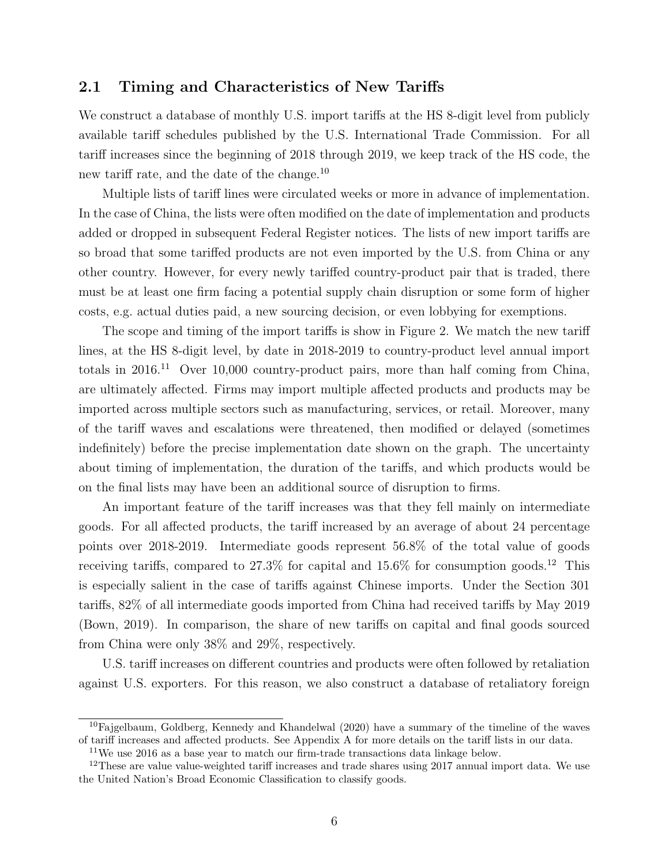### 2.1 Timing and Characteristics of New Tariffs

We construct a database of monthly U.S. import tariffs at the HS 8-digit level from publicly available tariff schedules published by the U.S. International Trade Commission. For all tariff increases since the beginning of 2018 through 2019, we keep track of the HS code, the new tariff rate, and the date of the change.<sup>[10](#page-1-0)</sup>

Multiple lists of tariff lines were circulated weeks or more in advance of implementation. In the case of China, the lists were often modified on the date of implementation and products added or dropped in subsequent Federal Register notices. The lists of new import tariffs are so broad that some tariffed products are not even imported by the U.S. from China or any other country. However, for every newly tariffed country-product pair that is traded, there must be at least one firm facing a potential supply chain disruption or some form of higher costs, e.g. actual duties paid, a new sourcing decision, or even lobbying for exemptions.

The scope and timing of the import tariffs is show in Figure [2.](#page-33-0) We match the new tariff lines, at the HS 8-digit level, by date in 2018-2019 to country-product level annual import totals in  $2016<sup>11</sup>$  $2016<sup>11</sup>$  $2016<sup>11</sup>$  Over 10,000 country-product pairs, more than half coming from China, are ultimately affected. Firms may import multiple affected products and products may be imported across multiple sectors such as manufacturing, services, or retail. Moreover, many of the tariff waves and escalations were threatened, then modified or delayed (sometimes indefinitely) before the precise implementation date shown on the graph. The uncertainty about timing of implementation, the duration of the tariffs, and which products would be on the final lists may have been an additional source of disruption to firms.

An important feature of the tariff increases was that they fell mainly on intermediate goods. For all affected products, the tariff increased by an average of about 24 percentage points over 2018-2019. Intermediate goods represent 56.8% of the total value of goods receiving tariffs, compared to  $27.3\%$  for capital and  $15.6\%$  for consumption goods.<sup>[12](#page-1-0)</sup> This is especially salient in the case of tariffs against Chinese imports. Under the Section 301 tariffs, 82% of all intermediate goods imported from China had received tariffs by May 2019 [\(Bown,](#page-29-12) [2019\)](#page-29-12). In comparison, the share of new tariffs on capital and final goods sourced from China were only 38% and 29%, respectively.

U.S. tariff increases on different countries and products were often followed by retaliation against U.S. exporters. For this reason, we also construct a database of retaliatory foreign

 $10F$ ajgelbaum, Goldberg, Kennedy and Khandelwal [\(2020\)](#page-30-5) have a summary of the timeline of the waves of tariff increases and affected products. See Appendix [A](#page-46-0) for more details on the tariff lists in our data.

 $11$ We use 2016 as a base year to match our firm-trade transactions data linkage below.

<sup>&</sup>lt;sup>12</sup>These are value value-weighted tariff increases and trade shares using  $2017$  annual import data. We use the United Nation's Broad Economic Classification to classify goods.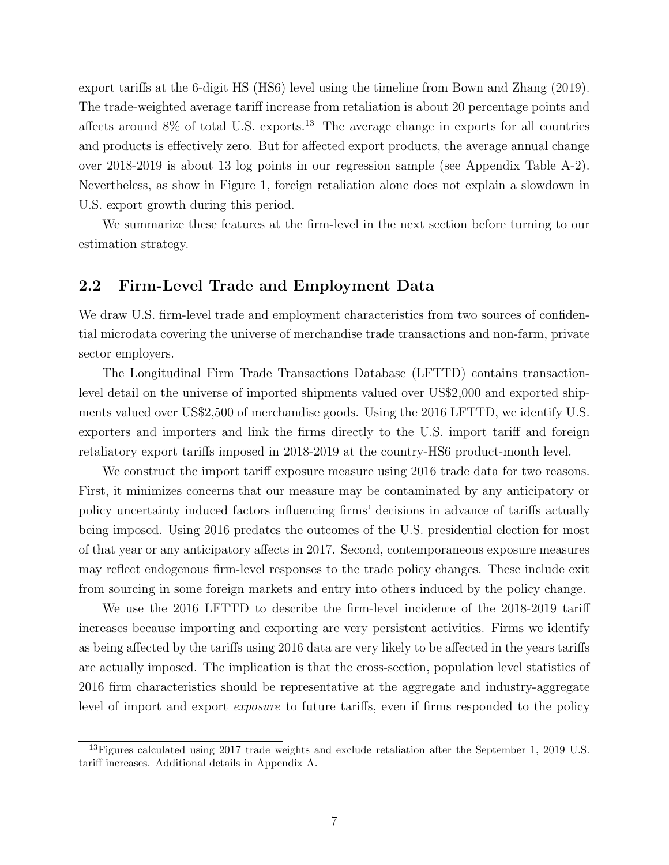export tariffs at the 6-digit HS (HS6) level using the timeline from [Bown and Zhang](#page-29-4) [\(2019\)](#page-29-4). The trade-weighted average tariff increase from retaliation is about 20 percentage points and affects around  $8\%$  of total U.S. exports.<sup>[13](#page-1-0)</sup> The average change in exports for all countries and products is effectively zero. But for affected export products, the average annual change over 2018-2019 is about 13 log points in our regression sample (see Appendix Table [A-2\)](#page-51-0). Nevertheless, as show in Figure [1,](#page-32-0) foreign retaliation alone does not explain a slowdown in U.S. export growth during this period.

We summarize these features at the firm-level in the next section before turning to our estimation strategy.

### <span id="page-8-0"></span>2.2 Firm-Level Trade and Employment Data

We draw U.S. firm-level trade and employment characteristics from two sources of confidential microdata covering the universe of merchandise trade transactions and non-farm, private sector employers.

The Longitudinal Firm Trade Transactions Database (LFTTD) contains transactionlevel detail on the universe of imported shipments valued over US\$2,000 and exported shipments valued over US\$2,500 of merchandise goods. Using the 2016 LFTTD, we identify U.S. exporters and importers and link the firms directly to the U.S. import tariff and foreign retaliatory export tariffs imposed in 2018-2019 at the country-HS6 product-month level.

We construct the import tariff exposure measure using 2016 trade data for two reasons. First, it minimizes concerns that our measure may be contaminated by any anticipatory or policy uncertainty induced factors influencing firms' decisions in advance of tariffs actually being imposed. Using 2016 predates the outcomes of the U.S. presidential election for most of that year or any anticipatory affects in 2017. Second, contemporaneous exposure measures may reflect endogenous firm-level responses to the trade policy changes. These include exit from sourcing in some foreign markets and entry into others induced by the policy change.

We use the 2016 LFTTD to describe the firm-level incidence of the 2018-2019 tariff increases because importing and exporting are very persistent activities. Firms we identify as being affected by the tariffs using 2016 data are very likely to be affected in the years tariffs are actually imposed. The implication is that the cross-section, population level statistics of 2016 firm characteristics should be representative at the aggregate and industry-aggregate level of import and export exposure to future tariffs, even if firms responded to the policy

<sup>&</sup>lt;sup>13</sup>Figures calculated using 2017 trade weights and exclude retaliation after the September 1, 2019 U.S. tariff increases. Additional details in Appendix [A.](#page-46-0)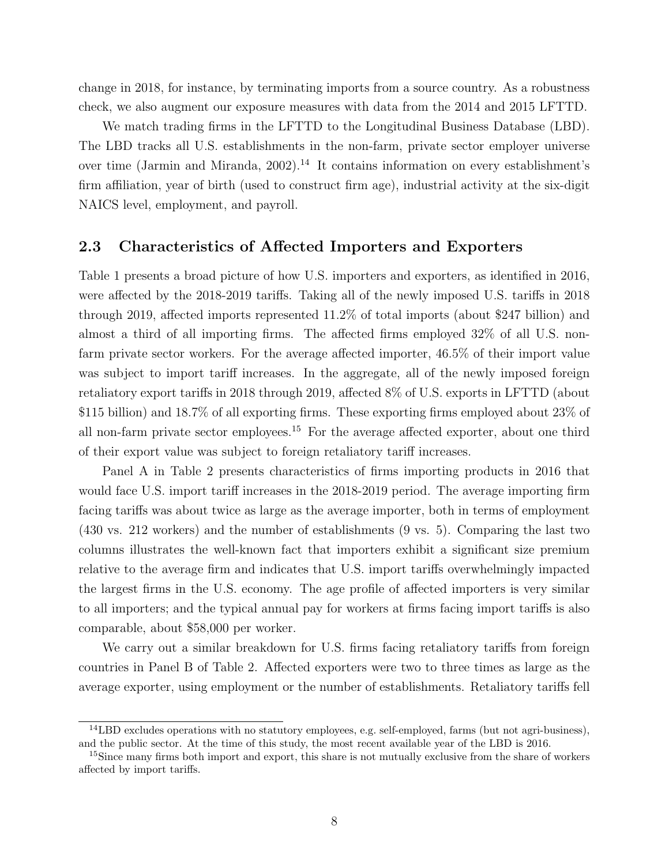change in 2018, for instance, by terminating imports from a source country. As a robustness check, we also augment our exposure measures with data from the 2014 and 2015 LFTTD.

We match trading firms in the LFTTD to the Longitudinal Business Database (LBD). The LBD tracks all U.S. establishments in the non-farm, private sector employer universe over time [\(Jarmin and Miranda,](#page-30-8)  $2002$ ).<sup>[14](#page-1-0)</sup> It contains information on every establishment's firm affiliation, year of birth (used to construct firm age), industrial activity at the six-digit NAICS level, employment, and payroll.

### 2.3 Characteristics of Affected Importers and Exporters

Table [1](#page-36-0) presents a broad picture of how U.S. importers and exporters, as identified in 2016, were affected by the 2018-2019 tariffs. Taking all of the newly imposed U.S. tariffs in 2018 through 2019, affected imports represented 11.2% of total imports (about \$247 billion) and almost a third of all importing firms. The affected firms employed 32% of all U.S. nonfarm private sector workers. For the average affected importer, 46.5% of their import value was subject to import tariff increases. In the aggregate, all of the newly imposed foreign retaliatory export tariffs in 2018 through 2019, affected 8% of U.S. exports in LFTTD (about \$115 billion) and 18.7% of all exporting firms. These exporting firms employed about 23% of all non-farm private sector employees.[15](#page-1-0) For the average affected exporter, about one third of their export value was subject to foreign retaliatory tariff increases.

Panel A in Table [2](#page-36-1) presents characteristics of firms importing products in 2016 that would face U.S. import tariff increases in the 2018-2019 period. The average importing firm facing tariffs was about twice as large as the average importer, both in terms of employment (430 vs. 212 workers) and the number of establishments (9 vs. 5). Comparing the last two columns illustrates the well-known fact that importers exhibit a significant size premium relative to the average firm and indicates that U.S. import tariffs overwhelmingly impacted the largest firms in the U.S. economy. The age profile of affected importers is very similar to all importers; and the typical annual pay for workers at firms facing import tariffs is also comparable, about \$58,000 per worker.

We carry out a similar breakdown for U.S. firms facing retaliatory tariffs from foreign countries in Panel B of Table [2.](#page-36-1) Affected exporters were two to three times as large as the average exporter, using employment or the number of establishments. Retaliatory tariffs fell

<sup>14</sup>LBD excludes operations with no statutory employees, e.g. self-employed, farms (but not agri-business), and the public sector. At the time of this study, the most recent available year of the LBD is 2016.

<sup>&</sup>lt;sup>15</sup>Since many firms both import and export, this share is not mutually exclusive from the share of workers affected by import tariffs.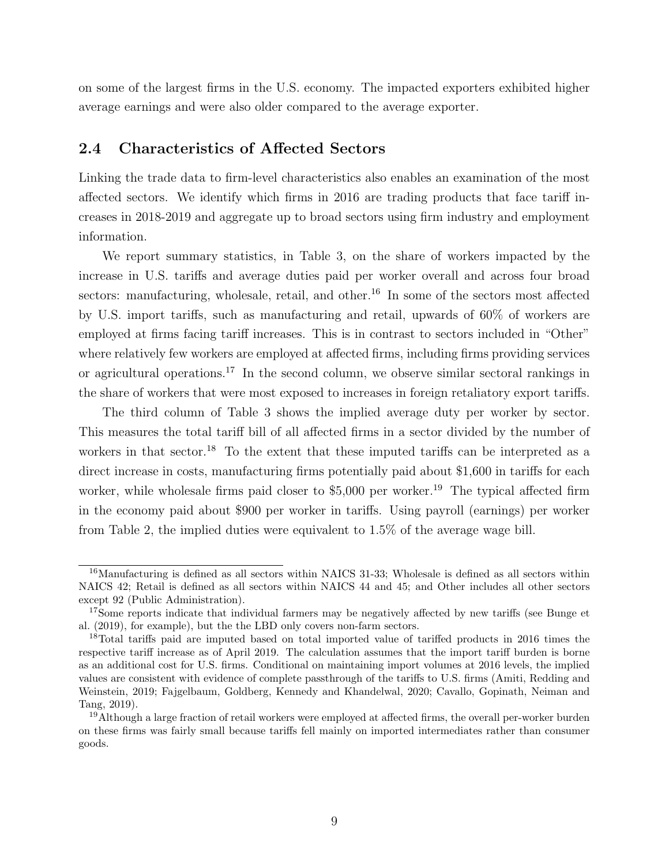on some of the largest firms in the U.S. economy. The impacted exporters exhibited higher average earnings and were also older compared to the average exporter.

### 2.4 Characteristics of Affected Sectors

Linking the trade data to firm-level characteristics also enables an examination of the most affected sectors. We identify which firms in 2016 are trading products that face tariff increases in 2018-2019 and aggregate up to broad sectors using firm industry and employment information.

We report summary statistics, in Table [3,](#page-37-0) on the share of workers impacted by the increase in U.S. tariffs and average duties paid per worker overall and across four broad sectors: manufacturing, wholesale, retail, and other.<sup>[16](#page-1-0)</sup> In some of the sectors most affected by U.S. import tariffs, such as manufacturing and retail, upwards of 60% of workers are employed at firms facing tariff increases. This is in contrast to sectors included in "Other" where relatively few workers are employed at affected firms, including firms providing services or agricultural operations.<sup>[17](#page-1-0)</sup> In the second column, we observe similar sectoral rankings in the share of workers that were most exposed to increases in foreign retaliatory export tariffs.

The third column of Table [3](#page-37-0) shows the implied average duty per worker by sector. This measures the total tariff bill of all affected firms in a sector divided by the number of workers in that sector.<sup>[18](#page-1-0)</sup> To the extent that these imputed tariffs can be interpreted as a direct increase in costs, manufacturing firms potentially paid about \$1,600 in tariffs for each worker, while wholesale firms paid closer to  $$5,000$  per worker.<sup>[19](#page-1-0)</sup> The typical affected firm in the economy paid about \$900 per worker in tariffs. Using payroll (earnings) per worker from Table [2,](#page-36-1) the implied duties were equivalent to 1.5% of the average wage bill.

<sup>&</sup>lt;sup>16</sup>Manufacturing is defined as all sectors within NAICS 31-33; Wholesale is defined as all sectors within NAICS 42; Retail is defined as all sectors within NAICS 44 and 45; and Other includes all other sectors except 92 (Public Administration).

<sup>&</sup>lt;sup>17</sup>Some reports indicate that individual farmers may be negatively affected by new tariffs (see [Bunge et](#page-29-13) [al.](#page-29-13) [\(2019\)](#page-29-13), for example), but the the LBD only covers non-farm sectors.

<sup>&</sup>lt;sup>18</sup>Total tariffs paid are imputed based on total imported value of tariffed products in 2016 times the respective tariff increase as of April 2019. The calculation assumes that the import tariff burden is borne as an additional cost for U.S. firms. Conditional on maintaining import volumes at 2016 levels, the implied values are consistent with evidence of complete passthrough of the tariffs to U.S. firms [\(Amiti, Redding and](#page-29-5) [Weinstein,](#page-29-5) [2019;](#page-29-5) [Fajgelbaum, Goldberg, Kennedy and Khandelwal,](#page-30-5) [2020;](#page-30-5) [Cavallo, Gopinath, Neiman and](#page-30-6) [Tang,](#page-30-6) [2019\)](#page-30-6).

<sup>&</sup>lt;sup>19</sup>Although a large fraction of retail workers were employed at affected firms, the overall per-worker burden on these firms was fairly small because tariffs fell mainly on imported intermediates rather than consumer goods.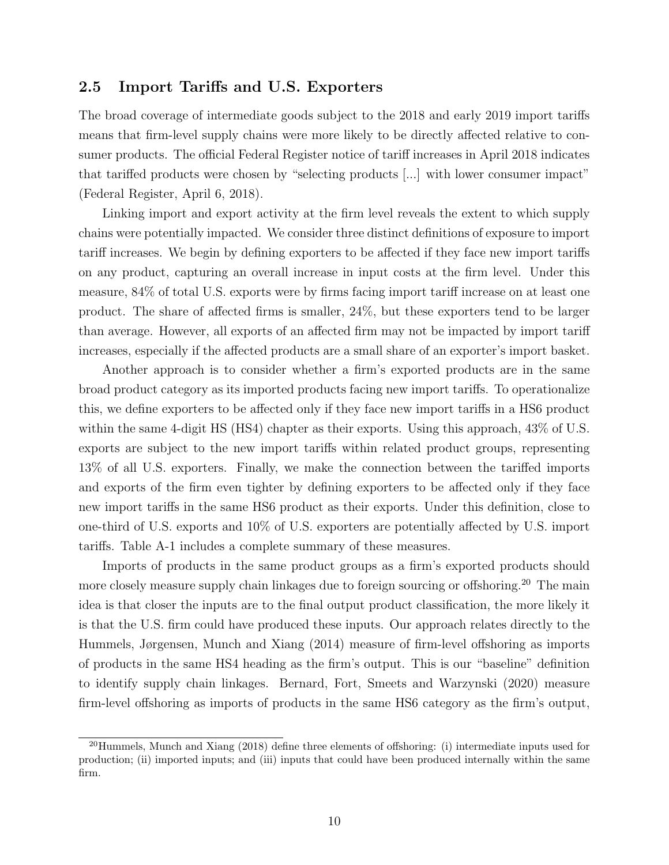### 2.5 Import Tariffs and U.S. Exporters

The broad coverage of intermediate goods subject to the 2018 and early 2019 import tariffs means that firm-level supply chains were more likely to be directly affected relative to consumer products. The official Federal Register notice of tariff increases in April 2018 indicates that tariffed products were chosen by "selecting products [...] with lower consumer impact" [\(Federal Register,](#page-30-9) [April 6, 2018\)](#page-30-9).

Linking import and export activity at the firm level reveals the extent to which supply chains were potentially impacted. We consider three distinct definitions of exposure to import tariff increases. We begin by defining exporters to be affected if they face new import tariffs on any product, capturing an overall increase in input costs at the firm level. Under this measure, 84% of total U.S. exports were by firms facing import tariff increase on at least one product. The share of affected firms is smaller, 24%, but these exporters tend to be larger than average. However, all exports of an affected firm may not be impacted by import tariff increases, especially if the affected products are a small share of an exporter's import basket.

Another approach is to consider whether a firm's exported products are in the same broad product category as its imported products facing new import tariffs. To operationalize this, we define exporters to be affected only if they face new import tariffs in a HS6 product within the same 4-digit HS (HS4) chapter as their exports. Using this approach,  $43\%$  of U.S. exports are subject to the new import tariffs within related product groups, representing 13% of all U.S. exporters. Finally, we make the connection between the tariffed imports and exports of the firm even tighter by defining exporters to be affected only if they face new import tariffs in the same HS6 product as their exports. Under this definition, close to one-third of U.S. exports and 10% of U.S. exporters are potentially affected by U.S. import tariffs. Table [A-1](#page-51-1) includes a complete summary of these measures.

Imports of products in the same product groups as a firm's exported products should more closely measure supply chain linkages due to foreign sourcing or offshoring.<sup>[20](#page-1-0)</sup> The main idea is that closer the inputs are to the final output product classification, the more likely it is that the U.S. firm could have produced these inputs. Our approach relates directly to the [Hummels, Jørgensen, Munch and Xiang](#page-30-10) [\(2014\)](#page-30-10) measure of firm-level offshoring as imports of products in the same HS4 heading as the firm's output. This is our "baseline" definition to identify supply chain linkages. [Bernard, Fort, Smeets and Warzynski](#page-29-14) [\(2020\)](#page-29-14) measure firm-level offshoring as imports of products in the same HS6 category as the firm's output,

<sup>20</sup>[Hummels, Munch and Xiang](#page-30-11) [\(2018\)](#page-30-11) define three elements of offshoring: (i) intermediate inputs used for production; (ii) imported inputs; and (iii) inputs that could have been produced internally within the same firm.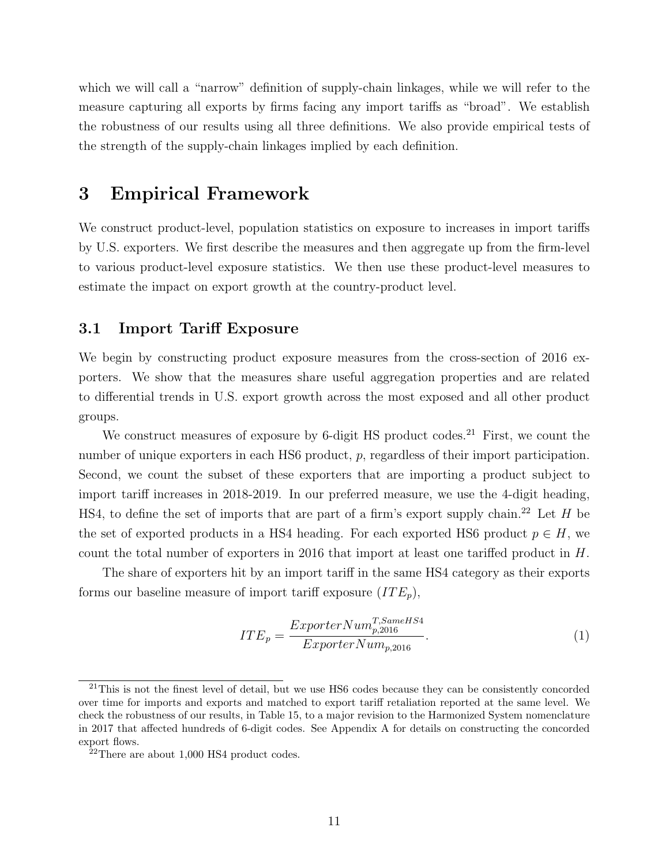which we will call a "narrow" definition of supply-chain linkages, while we will refer to the measure capturing all exports by firms facing any import tariffs as "broad". We establish the robustness of our results using all three definitions. We also provide empirical tests of the strength of the supply-chain linkages implied by each definition.

### <span id="page-12-0"></span>3 Empirical Framework

We construct product-level, population statistics on exposure to increases in import tariffs by U.S. exporters. We first describe the measures and then aggregate up from the firm-level to various product-level exposure statistics. We then use these product-level measures to estimate the impact on export growth at the country-product level.

### 3.1 Import Tariff Exposure

We begin by constructing product exposure measures from the cross-section of 2016 exporters. We show that the measures share useful aggregation properties and are related to differential trends in U.S. export growth across the most exposed and all other product groups.

We construct measures of exposure by 6-digit HS product codes.<sup>[21](#page-1-0)</sup> First, we count the number of unique exporters in each HS6 product, p, regardless of their import participation. Second, we count the subset of these exporters that are importing a product subject to import tariff increases in 2018-2019. In our preferred measure, we use the 4-digit heading, HS4, to define the set of imports that are part of a firm's export supply chain.<sup>[22](#page-1-0)</sup> Let  $H$  be the set of exported products in a HS4 heading. For each exported HS6 product  $p \in H$ , we count the total number of exporters in 2016 that import at least one tariffed product in H.

The share of exporters hit by an import tariff in the same HS4 category as their exports forms our baseline measure of import tariff exposure  $(ITE_p)$ ,

<span id="page-12-1"></span>
$$
ITE_p = \frac{ExperimentNum_{p,2016}^{T,SameHS4}}{ExperimentNum_{p,2016}}.\tag{1}
$$

<sup>&</sup>lt;sup>21</sup>This is not the finest level of detail, but we use HS6 codes because they can be consistently concorded over time for imports and exports and matched to export tariff retaliation reported at the same level. We check the robustness of our results, in Table [15,](#page-45-0) to a major revision to the Harmonized System nomenclature in 2017 that affected hundreds of 6-digit codes. See Appendix [A](#page-46-0) for details on constructing the concorded export flows.

<sup>22</sup>There are about 1,000 HS4 product codes.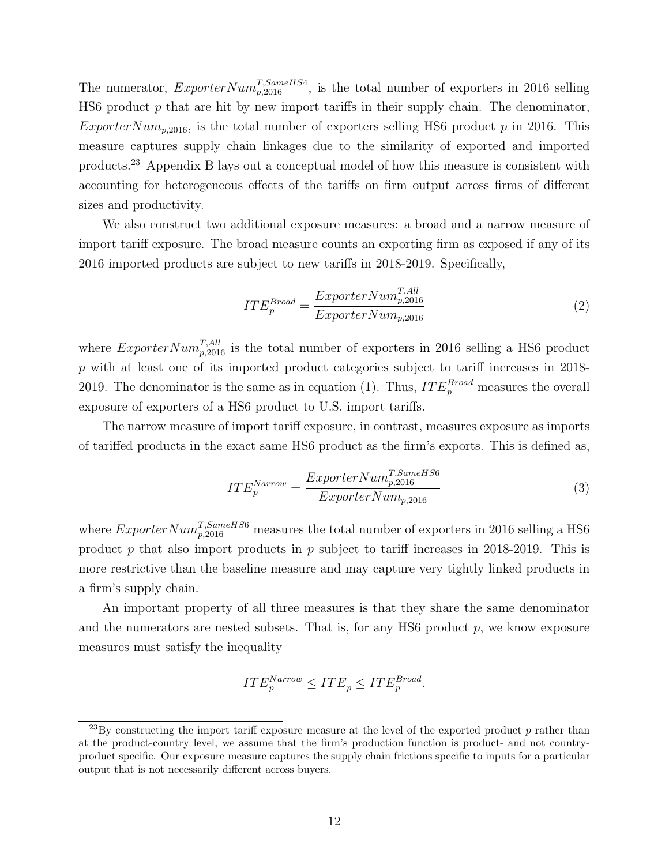The numerator,  $Experiment_{p,2016}^{T,SameHS4}$ , is the total number of exporters in 2016 selling HS6 product  $p$  that are hit by new import tariffs in their supply chain. The denominator, ExporterNum<sub>p,2016</sub>, is the total number of exporters selling HS6 product p in 2016. This measure captures supply chain linkages due to the similarity of exported and imported products.[23](#page-1-0) Appendix [B](#page-48-0) lays out a conceptual model of how this measure is consistent with accounting for heterogeneous effects of the tariffs on firm output across firms of different sizes and productivity.

We also construct two additional exposure measures: a broad and a narrow measure of import tariff exposure. The broad measure counts an exporting firm as exposed if any of its 2016 imported products are subject to new tariffs in 2018-2019. Specifically,

$$
ITE_p^{Broad} = \frac{ExperimentNum_{p,2016}^{T,All}}{ExperimentNum_{p,2016}}
$$
\n
$$
(2)
$$

where  $ExperimentNum_{p,2016}^{T,All}$  is the total number of exporters in 2016 selling a HS6 product p with at least one of its imported product categories subject to tariff increases in 2018- 2019. The denominator is the same as in equation [\(1\)](#page-12-1). Thus,  $ITE_p^{Broad}$  measures the overall exposure of exporters of a HS6 product to U.S. import tariffs.

The narrow measure of import tariff exposure, in contrast, measures exposure as imports of tariffed products in the exact same HS6 product as the firm's exports. This is defined as,

$$
ITE_p^{Narrow} = \frac{ExperimentNum_{p,2016}^{T,SameHS6}}{ExperimentNum_{p,2016}}
$$
\n(3)

where  $Experiment_{p,2016}^{T,SameHS6}$  measures the total number of exporters in 2016 selling a HS6 product  $p$  that also import products in  $p$  subject to tariff increases in 2018-2019. This is more restrictive than the baseline measure and may capture very tightly linked products in a firm's supply chain.

An important property of all three measures is that they share the same denominator and the numerators are nested subsets. That is, for any HS6 product  $p$ , we know exposure measures must satisfy the inequality

$$
ITE_p^{Narrow} \leqITE_p \leqITE_p^{Broad}.
$$

 $^{23}$ By constructing the import tariff exposure measure at the level of the exported product p rather than at the product-country level, we assume that the firm's production function is product- and not countryproduct specific. Our exposure measure captures the supply chain frictions specific to inputs for a particular output that is not necessarily different across buyers.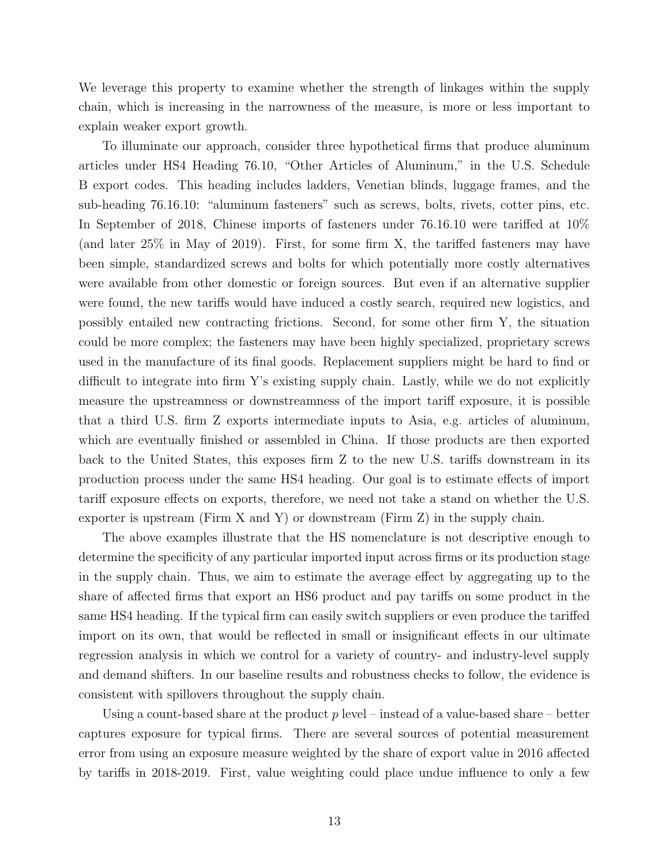We leverage this property to examine whether the strength of linkages within the supply chain, which is increasing in the narrowness of the measure, is more or less important to explain weaker export growth.

To illuminate our approach, consider three hypothetical firms that produce aluminum articles under HS4 Heading 76.10, "Other Articles of Aluminum," in the U.S. Schedule B export codes. This heading includes ladders, Venetian blinds, luggage frames, and the sub-heading 76.16.10: "aluminum fasteners" such as screws, bolts, rivets, cotter pins, etc. In September of 2018, Chinese imports of fasteners under 76.16.10 were tariffed at 10% (and later 25% in May of 2019). First, for some firm X, the tariffed fasteners may have been simple, standardized screws and bolts for which potentially more costly alternatives were available from other domestic or foreign sources. But even if an alternative supplier were found, the new tariffs would have induced a costly search, required new logistics, and possibly entailed new contracting frictions. Second, for some other firm Y, the situation could be more complex; the fasteners may have been highly specialized, proprietary screws used in the manufacture of its final goods. Replacement suppliers might be hard to find or difficult to integrate into firm Y's existing supply chain. Lastly, while we do not explicitly measure the upstreamness or downstreamness of the import tariff exposure, it is possible that a third U.S. firm Z exports intermediate inputs to Asia, e.g. articles of aluminum, which are eventually finished or assembled in China. If those products are then exported back to the United States, this exposes firm Z to the new U.S. tariffs downstream in its production process under the same HS4 heading. Our goal is to estimate effects of import tariff exposure effects on exports, therefore, we need not take a stand on whether the U.S. exporter is upstream (Firm X and Y) or downstream (Firm Z) in the supply chain.

The above examples illustrate that the HS nomenclature is not descriptive enough to determine the specificity of any particular imported input across firms or its production stage in the supply chain. Thus, we aim to estimate the average effect by aggregating up to the share of affected firms that export an HS6 product and pay tariffs on some product in the same HS4 heading. If the typical firm can easily switch suppliers or even produce the tariffed import on its own, that would be reflected in small or insignificant effects in our ultimate regression analysis in which we control for a variety of country- and industry-level supply and demand shifters. In our baseline results and robustness checks to follow, the evidence is consistent with spillovers throughout the supply chain.

Using a count-based share at the product  $p$  level – instead of a value-based share – better captures exposure for typical firms. There are several sources of potential measurement error from using an exposure measure weighted by the share of export value in 2016 affected by tariffs in 2018-2019. First, value weighting could place undue influence to only a few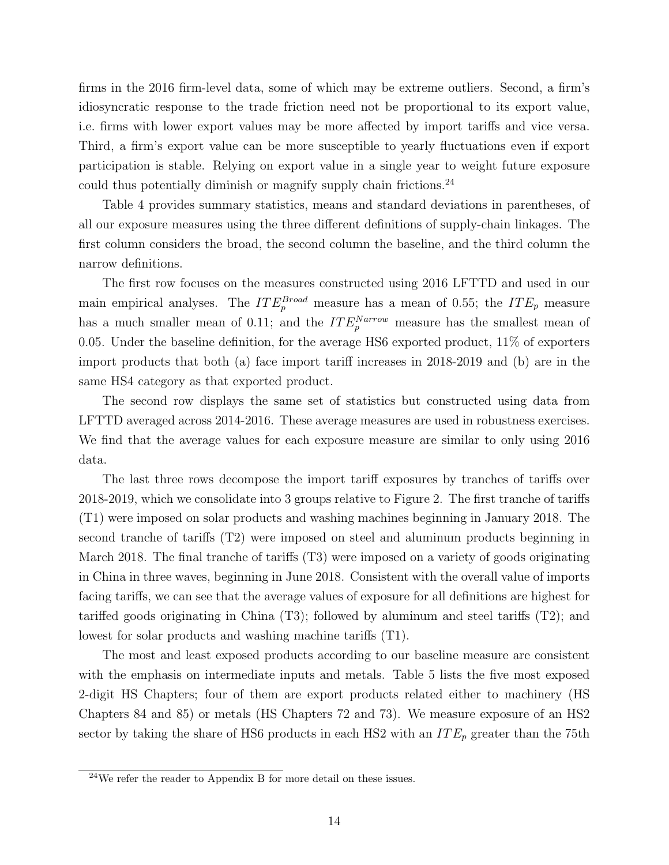firms in the 2016 firm-level data, some of which may be extreme outliers. Second, a firm's idiosyncratic response to the trade friction need not be proportional to its export value, i.e. firms with lower export values may be more affected by import tariffs and vice versa. Third, a firm's export value can be more susceptible to yearly fluctuations even if export participation is stable. Relying on export value in a single year to weight future exposure could thus potentially diminish or magnify supply chain frictions.<sup>[24](#page-1-0)</sup>

Table [4](#page-37-1) provides summary statistics, means and standard deviations in parentheses, of all our exposure measures using the three different definitions of supply-chain linkages. The first column considers the broad, the second column the baseline, and the third column the narrow definitions.

The first row focuses on the measures constructed using 2016 LFTTD and used in our main empirical analyses. The  $ITE_{p}^{Broad}$  measure has a mean of 0.55; the  $ITE_{p}$  measure has a much smaller mean of 0.11; and the  $ITE_{p}^{Narrow}$  measure has the smallest mean of 0.05. Under the baseline definition, for the average HS6 exported product, 11% of exporters import products that both (a) face import tariff increases in 2018-2019 and (b) are in the same HS4 category as that exported product.

The second row displays the same set of statistics but constructed using data from LFTTD averaged across 2014-2016. These average measures are used in robustness exercises. We find that the average values for each exposure measure are similar to only using 2016 data.

The last three rows decompose the import tariff exposures by tranches of tariffs over 2018-2019, which we consolidate into 3 groups relative to Figure [2.](#page-33-0) The first tranche of tariffs (T1) were imposed on solar products and washing machines beginning in January 2018. The second tranche of tariffs (T2) were imposed on steel and aluminum products beginning in March 2018. The final tranche of tariffs (T3) were imposed on a variety of goods originating in China in three waves, beginning in June 2018. Consistent with the overall value of imports facing tariffs, we can see that the average values of exposure for all definitions are highest for tariffed goods originating in China (T3); followed by aluminum and steel tariffs (T2); and lowest for solar products and washing machine tariffs (T1).

The most and least exposed products according to our baseline measure are consistent with the emphasis on intermediate inputs and metals. Table [5](#page-38-0) lists the five most exposed 2-digit HS Chapters; four of them are export products related either to machinery (HS Chapters 84 and 85) or metals (HS Chapters 72 and 73). We measure exposure of an HS2 sector by taking the share of HS6 products in each HS2 with an  $ITE_p$  greater than the 75th

 $24$ We refer the reader to Appendix [B](#page-48-0) for more detail on these issues.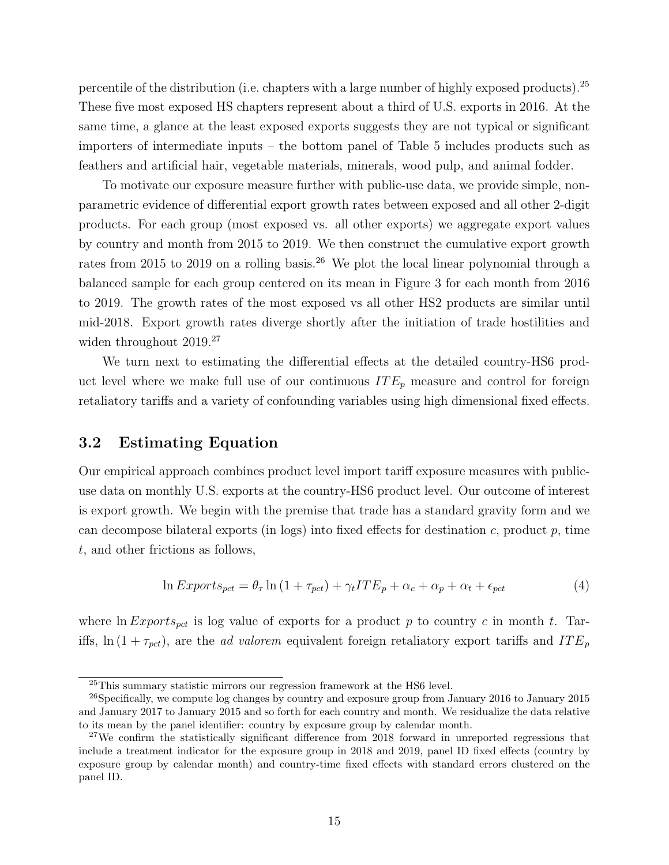percentile of the distribution (i.e. chapters with a large number of highly exposed products).<sup>[25](#page-1-0)</sup> These five most exposed HS chapters represent about a third of U.S. exports in 2016. At the same time, a glance at the least exposed exports suggests they are not typical or significant importers of intermediate inputs – the bottom panel of Table [5](#page-38-0) includes products such as feathers and artificial hair, vegetable materials, minerals, wood pulp, and animal fodder.

To motivate our exposure measure further with public-use data, we provide simple, nonparametric evidence of differential export growth rates between exposed and all other 2-digit products. For each group (most exposed vs. all other exports) we aggregate export values by country and month from 2015 to 2019. We then construct the cumulative export growth rates from 2015 to 2019 on a rolling basis.<sup>[26](#page-1-0)</sup> We plot the local linear polynomial through a balanced sample for each group centered on its mean in Figure [3](#page-34-0) for each month from 2016 to 2019. The growth rates of the most exposed vs all other HS2 products are similar until mid-2018. Export growth rates diverge shortly after the initiation of trade hostilities and widen throughout 2019.<sup>[27](#page-1-0)</sup>

We turn next to estimating the differential effects at the detailed country-HS6 product level where we make full use of our continuous  $ITE_p$  measure and control for foreign retaliatory tariffs and a variety of confounding variables using high dimensional fixed effects.

### 3.2 Estimating Equation

Our empirical approach combines product level import tariff exposure measures with publicuse data on monthly U.S. exports at the country-HS6 product level. Our outcome of interest is export growth. We begin with the premise that trade has a standard gravity form and we can decompose bilateral exports (in logs) into fixed effects for destination c, product p, time t, and other frictions as follows,

<span id="page-16-0"></span>
$$
\ln Exports_{pet} = \theta_{\tau} \ln (1 + \tau_{pot}) + \gamma_t ITE_p + \alpha_c + \alpha_p + \alpha_t + \epsilon_{pot}
$$
\n<sup>(4)</sup>

where  $\ln Exports_{pet}$  is log value of exports for a product p to country c in month t. Tariffs,  $\ln(1 + \tau_{pot})$ , are the *ad valorem* equivalent foreign retaliatory export tariffs and  $ITE_p$ 

 $^{25}$ This summary statistic mirrors our regression framework at the HS6 level.

<sup>&</sup>lt;sup>26</sup>Specifically, we compute log changes by country and exposure group from January 2016 to January 2015 and January 2017 to January 2015 and so forth for each country and month. We residualize the data relative to its mean by the panel identifier: country by exposure group by calendar month.

<sup>&</sup>lt;sup>27</sup>We confirm the statistically significant difference from 2018 forward in unreported regressions that include a treatment indicator for the exposure group in 2018 and 2019, panel ID fixed effects (country by exposure group by calendar month) and country-time fixed effects with standard errors clustered on the panel ID.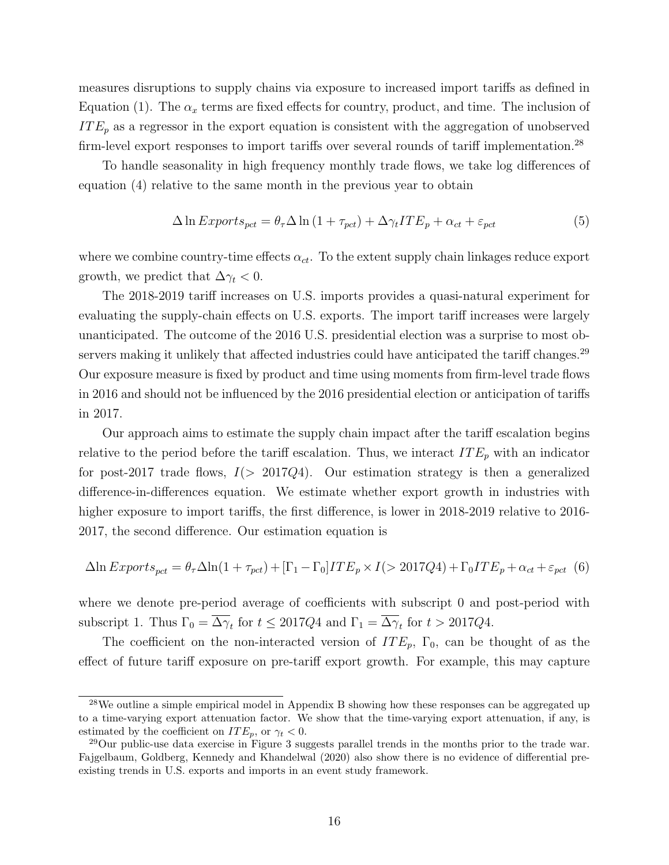measures disruptions to supply chains via exposure to increased import tariffs as defined in Equation [\(1\)](#page-12-1). The  $\alpha_x$  terms are fixed effects for country, product, and time. The inclusion of  $ITE_p$  as a regressor in the export equation is consistent with the aggregation of unobserved firm-level export responses to import tariffs over several rounds of tariff implementation.[28](#page-1-0)

To handle seasonality in high frequency monthly trade flows, we take log differences of equation [\(4\)](#page-16-0) relative to the same month in the previous year to obtain

<span id="page-17-1"></span>
$$
\Delta \ln Exports_{pet} = \theta_{\tau} \Delta \ln (1 + \tau_{pot}) + \Delta \gamma_t ITE_p + \alpha_{ct} + \varepsilon_{pot}
$$
\n<sup>(5)</sup>

where we combine country-time effects  $\alpha_{ct}$ . To the extent supply chain linkages reduce export growth, we predict that  $\Delta \gamma_t < 0$ .

The 2018-2019 tariff increases on U.S. imports provides a quasi-natural experiment for evaluating the supply-chain effects on U.S. exports. The import tariff increases were largely unanticipated. The outcome of the 2016 U.S. presidential election was a surprise to most ob-servers making it unlikely that affected industries could have anticipated the tariff changes.<sup>[29](#page-1-0)</sup> Our exposure measure is fixed by product and time using moments from firm-level trade flows in 2016 and should not be influenced by the 2016 presidential election or anticipation of tariffs in 2017.

Our approach aims to estimate the supply chain impact after the tariff escalation begins relative to the period before the tariff escalation. Thus, we interact  $ITE_p$  with an indicator for post-2017 trade flows,  $I(> 2017Q4)$ . Our estimation strategy is then a generalized difference-in-differences equation. We estimate whether export growth in industries with higher exposure to import tariffs, the first difference, is lower in 2018-2019 relative to 2016-2017, the second difference. Our estimation equation is

<span id="page-17-0"></span>
$$
\Delta \ln Exports_{pet} = \theta_{\tau} \Delta \ln(1 + \tau_{pet}) + [\Gamma_1 - \Gamma_0]ITE_p \times I(> 2017Q4) + \Gamma_0ITE_p + \alpha_{ct} + \varepsilon_{pot} \tag{6}
$$

where we denote pre-period average of coefficients with subscript 0 and post-period with subscript 1. Thus  $\Gamma_0 = \Delta \gamma_t$  for  $t \leq 2017Q4$  and  $\Gamma_1 = \Delta \gamma_t$  for  $t > 2017Q4$ .

The coefficient on the non-interacted version of  $ITE_p$ ,  $\Gamma_0$ , can be thought of as the effect of future tariff exposure on pre-tariff export growth. For example, this may capture

<sup>&</sup>lt;sup>28</sup>We outline a simple empirical model in Appendix [B](#page-48-0) showing how these responses can be aggregated up to a time-varying export attenuation factor. We show that the time-varying export attenuation, if any, is estimated by the coefficient on  $ITE_p$ , or  $\gamma_t < 0$ .

<sup>29</sup>Our public-use data exercise in Figure [3](#page-34-0) suggests parallel trends in the months prior to the trade war. [Fajgelbaum, Goldberg, Kennedy and Khandelwal](#page-30-5) [\(2020\)](#page-30-5) also show there is no evidence of differential preexisting trends in U.S. exports and imports in an event study framework.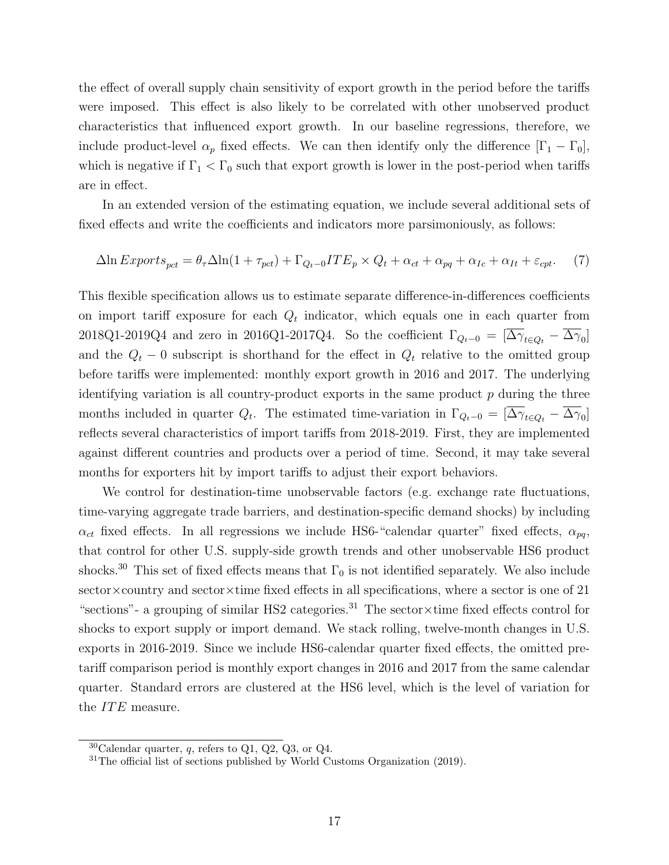the effect of overall supply chain sensitivity of export growth in the period before the tariffs were imposed. This effect is also likely to be correlated with other unobserved product characteristics that influenced export growth. In our baseline regressions, therefore, we include product-level  $\alpha_p$  fixed effects. We can then identify only the difference  $[\Gamma_1 - \Gamma_0]$ , which is negative if  $\Gamma_1 < \Gamma_0$  such that export growth is lower in the post-period when tariffs are in effect.

In an extended version of the estimating equation, we include several additional sets of fixed effects and write the coefficients and indicators more parsimoniously, as follows:

<span id="page-18-0"></span>
$$
\Delta \ln Exports_{pet} = \theta_{\tau} \Delta \ln(1 + \tau_{pet}) + \Gamma_{Q_t - 0} ITE_p \times Q_t + \alpha_{ct} + \alpha_{pq} + \alpha_{Ic} + \alpha_{It} + \varepsilon_{cpt}.
$$
 (7)

This flexible specification allows us to estimate separate difference-in-differences coefficients on import tariff exposure for each  $Q_t$  indicator, which equals one in each quarter from 2018Q1-2019Q4 and zero in 2016Q1-2017Q4. So the coefficient  $\Gamma_{Q_t-0} = [\Delta \gamma_{t \in Q_t} - \Delta \gamma_0]$ and the  $Q_t$  − 0 subscript is shorthand for the effect in  $Q_t$  relative to the omitted group before tariffs were implemented: monthly export growth in 2016 and 2017. The underlying identifying variation is all country-product exports in the same product  $p$  during the three months included in quarter  $Q_t$ . The estimated time-variation in  $\Gamma_{Q_t-0} = [\Delta \gamma_{t \in Q_t} - \Delta \gamma_0]$ reflects several characteristics of import tariffs from 2018-2019. First, they are implemented against different countries and products over a period of time. Second, it may take several months for exporters hit by import tariffs to adjust their export behaviors.

We control for destination-time unobservable factors (e.g. exchange rate fluctuations, time-varying aggregate trade barriers, and destination-specific demand shocks) by including  $\alpha_{ct}$  fixed effects. In all regressions we include HS6-"calendar quarter" fixed effects,  $\alpha_{pq}$ , that control for other U.S. supply-side growth trends and other unobservable HS6 product shocks.<sup>[30](#page-1-0)</sup> This set of fixed effects means that  $\Gamma_0$  is not identified separately. We also include  $\text{sector} \times \text{counter}$  and  $\text{sector} \times \text{time}$  fixed effects in all specifications, where a sector is one of 21 "sections"- a grouping of similar HS2 categories.[31](#page-1-0) The sector×time fixed effects control for shocks to export supply or import demand. We stack rolling, twelve-month changes in U.S. exports in 2016-2019. Since we include HS6-calendar quarter fixed effects, the omitted pretariff comparison period is monthly export changes in 2016 and 2017 from the same calendar quarter. Standard errors are clustered at the HS6 level, which is the level of variation for the *ITE* measure.

 $30$ Calendar quarter, q, refers to Q1, Q2, Q3, or Q4.

<sup>&</sup>lt;sup>31</sup>The official list of sections published by [World Customs Organization](#page-31-5) [\(2019\)](#page-31-5).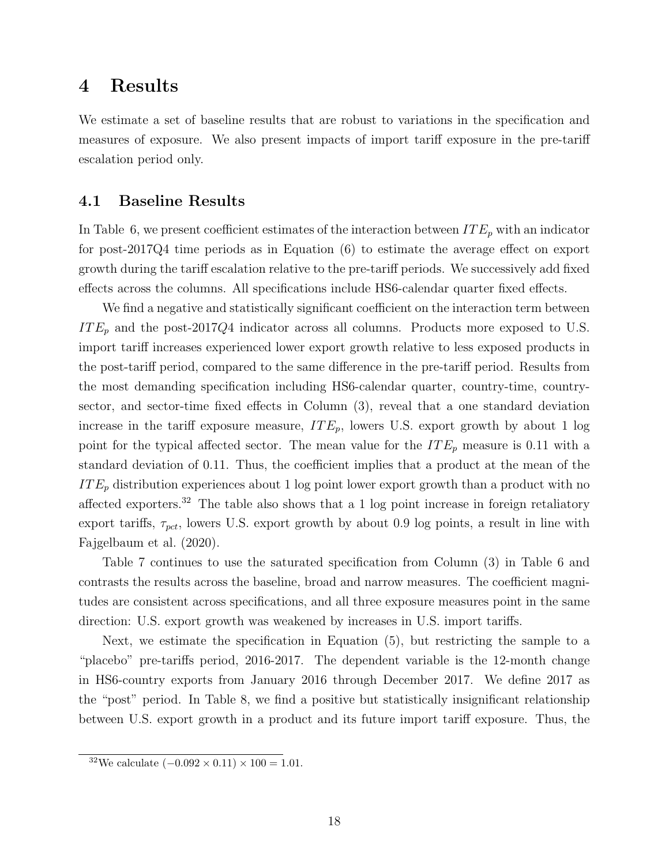### <span id="page-19-0"></span>4 Results

We estimate a set of baseline results that are robust to variations in the specification and measures of exposure. We also present impacts of import tariff exposure in the pre-tariff escalation period only.

### 4.1 Baseline Results

In Table [6,](#page-38-1) we present coefficient estimates of the interaction between  $ITE_p$  with an indicator for post-2017Q4 time periods as in Equation [\(6\)](#page-17-0) to estimate the average effect on export growth during the tariff escalation relative to the pre-tariff periods. We successively add fixed effects across the columns. All specifications include HS6-calendar quarter fixed effects.

We find a negative and statistically significant coefficient on the interaction term between  $ITE_p$  and the post-2017Q4 indicator across all columns. Products more exposed to U.S. import tariff increases experienced lower export growth relative to less exposed products in the post-tariff period, compared to the same difference in the pre-tariff period. Results from the most demanding specification including HS6-calendar quarter, country-time, countrysector, and sector-time fixed effects in Column (3), reveal that a one standard deviation increase in the tariff exposure measure,  $ITE_p$ , lowers U.S. export growth by about 1 log point for the typical affected sector. The mean value for the  $ITE_p$  measure is 0.11 with a standard deviation of 0.11. Thus, the coefficient implies that a product at the mean of the  $ITE<sub>p</sub>$  distribution experiences about 1 log point lower export growth than a product with no affected exporters.[32](#page-1-0) The table also shows that a 1 log point increase in foreign retaliatory export tariffs,  $\tau_{\text{pct}}$ , lowers U.S. export growth by about 0.9 log points, a result in line with [Fajgelbaum et al.](#page-30-5) [\(2020\)](#page-30-5).

Table [7](#page-39-0) continues to use the saturated specification from Column (3) in Table [6](#page-38-1) and contrasts the results across the baseline, broad and narrow measures. The coefficient magnitudes are consistent across specifications, and all three exposure measures point in the same direction: U.S. export growth was weakened by increases in U.S. import tariffs.

Next, we estimate the specification in Equation [\(5\)](#page-17-1), but restricting the sample to a "placebo" pre-tariffs period, 2016-2017. The dependent variable is the 12-month change in HS6-country exports from January 2016 through December 2017. We define 2017 as the "post" period. In Table [8,](#page-39-1) we find a positive but statistically insignificant relationship between U.S. export growth in a product and its future import tariff exposure. Thus, the

<sup>&</sup>lt;sup>32</sup>We calculate  $(-0.092 \times 0.11) \times 100 = 1.01$ .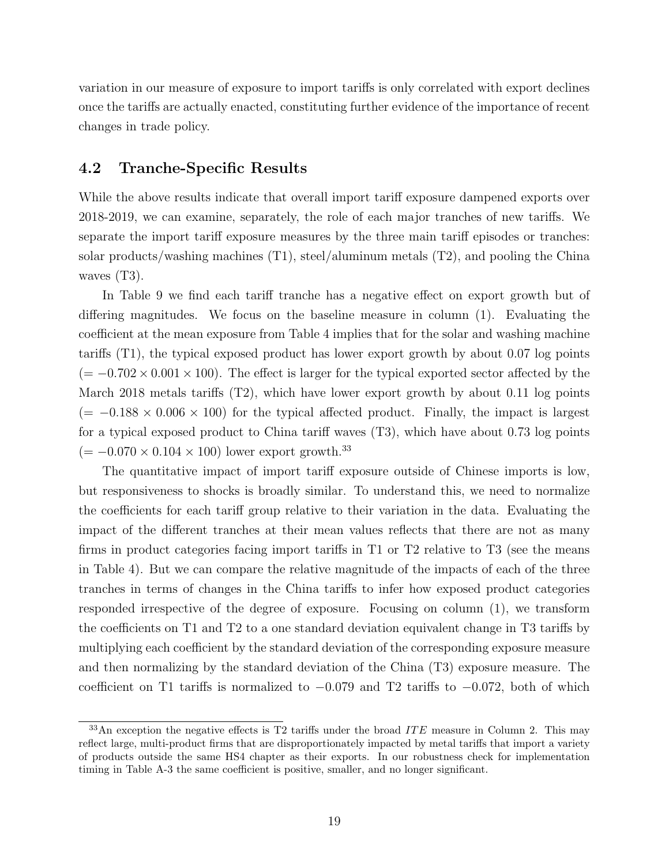variation in our measure of exposure to import tariffs is only correlated with export declines once the tariffs are actually enacted, constituting further evidence of the importance of recent changes in trade policy.

### 4.2 Tranche-Specific Results

While the above results indicate that overall import tariff exposure dampened exports over 2018-2019, we can examine, separately, the role of each major tranches of new tariffs. We separate the import tariff exposure measures by the three main tariff episodes or tranches: solar products/washing machines (T1), steel/aluminum metals (T2), and pooling the China waves  $(T3)$ .

In Table [9](#page-40-0) we find each tariff tranche has a negative effect on export growth but of differing magnitudes. We focus on the baseline measure in column (1). Evaluating the coefficient at the mean exposure from Table [4](#page-37-1) implies that for the solar and washing machine tariffs (T1), the typical exposed product has lower export growth by about 0.07 log points  $(=-0.702 \times 0.001 \times 100)$ . The effect is larger for the typical exported sector affected by the March 2018 metals tariffs (T2), which have lower export growth by about 0.11 log points  $(= -0.188 \times 0.006 \times 100)$  for the typical affected product. Finally, the impact is largest for a typical exposed product to China tariff waves (T3), which have about 0.73 log points  $(=-0.070 \times 0.104 \times 100)$  lower export growth.<sup>[33](#page-1-0)</sup>

The quantitative impact of import tariff exposure outside of Chinese imports is low, but responsiveness to shocks is broadly similar. To understand this, we need to normalize the coefficients for each tariff group relative to their variation in the data. Evaluating the impact of the different tranches at their mean values reflects that there are not as many firms in product categories facing import tariffs in T1 or T2 relative to T3 (see the means in Table [4\)](#page-37-1). But we can compare the relative magnitude of the impacts of each of the three tranches in terms of changes in the China tariffs to infer how exposed product categories responded irrespective of the degree of exposure. Focusing on column (1), we transform the coefficients on T1 and T2 to a one standard deviation equivalent change in T3 tariffs by multiplying each coefficient by the standard deviation of the corresponding exposure measure and then normalizing by the standard deviation of the China (T3) exposure measure. The coefficient on T1 tariffs is normalized to  $-0.079$  and T2 tariffs to  $-0.072$ , both of which

 $33$ An exception the negative effects is T2 tariffs under the broad ITE measure in Column 2. This may reflect large, multi-product firms that are disproportionately impacted by metal tariffs that import a variety of products outside the same HS4 chapter as their exports. In our robustness check for implementation timing in Table [A-3](#page-52-0) the same coefficient is positive, smaller, and no longer significant.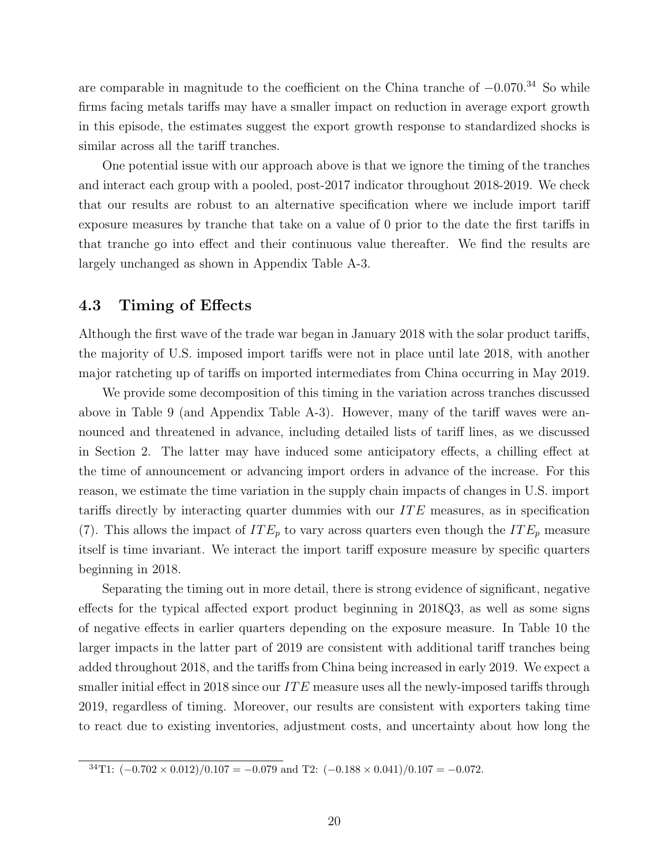are comparable in magnitude to the coefficient on the China tranche of −0.070.[34](#page-1-0) So while firms facing metals tariffs may have a smaller impact on reduction in average export growth in this episode, the estimates suggest the export growth response to standardized shocks is similar across all the tariff tranches.

One potential issue with our approach above is that we ignore the timing of the tranches and interact each group with a pooled, post-2017 indicator throughout 2018-2019. We check that our results are robust to an alternative specification where we include import tariff exposure measures by tranche that take on a value of 0 prior to the date the first tariffs in that tranche go into effect and their continuous value thereafter. We find the results are largely unchanged as shown in Appendix Table [A-3.](#page-52-0)

### 4.3 Timing of Effects

Although the first wave of the trade war began in January 2018 with the solar product tariffs, the majority of U.S. imposed import tariffs were not in place until late 2018, with another major ratcheting up of tariffs on imported intermediates from China occurring in May 2019.

We provide some decomposition of this timing in the variation across tranches discussed above in Table [9](#page-40-0) (and Appendix Table [A-3\)](#page-52-0). However, many of the tariff waves were announced and threatened in advance, including detailed lists of tariff lines, as we discussed in Section [2.](#page-6-0) The latter may have induced some anticipatory effects, a chilling effect at the time of announcement or advancing import orders in advance of the increase. For this reason, we estimate the time variation in the supply chain impacts of changes in U.S. import tariffs directly by interacting quarter dummies with our IT E measures, as in specification [\(7\)](#page-18-0). This allows the impact of  $ITE_p$  to vary across quarters even though the  $ITE_p$  measure itself is time invariant. We interact the import tariff exposure measure by specific quarters beginning in 2018.

Separating the timing out in more detail, there is strong evidence of significant, negative effects for the typical affected export product beginning in 2018Q3, as well as some signs of negative effects in earlier quarters depending on the exposure measure. In Table [10](#page-41-0) the larger impacts in the latter part of 2019 are consistent with additional tariff tranches being added throughout 2018, and the tariffs from China being increased in early 2019. We expect a smaller initial effect in 2018 since our  $ITE$  measure uses all the newly-imposed tariffs through 2019, regardless of timing. Moreover, our results are consistent with exporters taking time to react due to existing inventories, adjustment costs, and uncertainty about how long the

 $34T1: (-0.702 \times 0.012)/0.107 = -0.079$  and T2:  $(-0.188 \times 0.041)/0.107 = -0.072$ .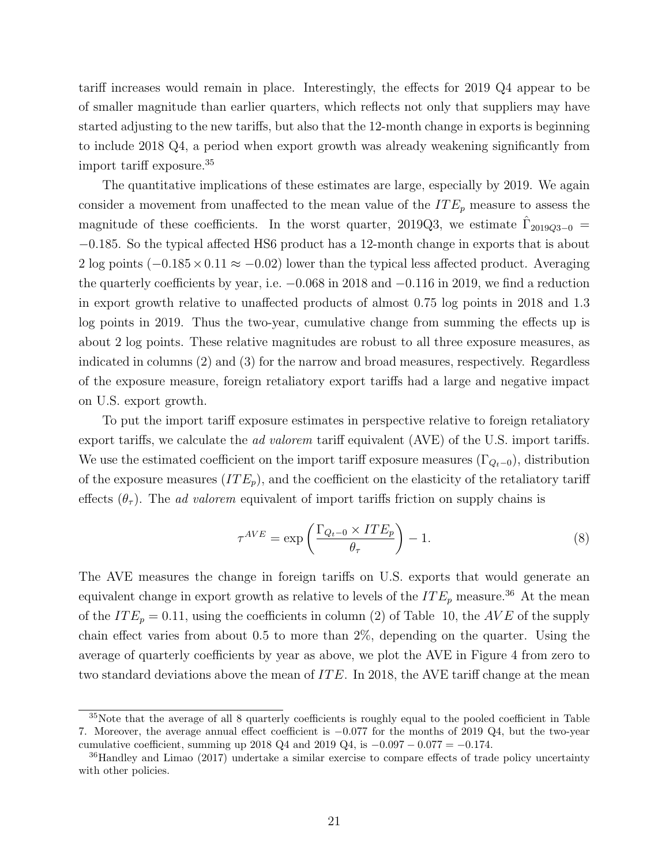tariff increases would remain in place. Interestingly, the effects for 2019 Q4 appear to be of smaller magnitude than earlier quarters, which reflects not only that suppliers may have started adjusting to the new tariffs, but also that the 12-month change in exports is beginning to include 2018 Q4, a period when export growth was already weakening significantly from import tariff exposure.[35](#page-1-0)

The quantitative implications of these estimates are large, especially by 2019. We again consider a movement from unaffected to the mean value of the  $ITE_p$  measure to assess the magnitude of these coefficients. In the worst quarter, 2019Q3, we estimate  $\hat{\Gamma}_{2019Q3-0}$  = −0.185. So the typical affected HS6 product has a 12-month change in exports that is about 2 log points  $(-0.185 \times 0.11 \approx -0.02)$  lower than the typical less affected product. Averaging the quarterly coefficients by year, i.e. −0.068 in 2018 and −0.116 in 2019, we find a reduction in export growth relative to unaffected products of almost 0.75 log points in 2018 and 1.3 log points in 2019. Thus the two-year, cumulative change from summing the effects up is about 2 log points. These relative magnitudes are robust to all three exposure measures, as indicated in columns (2) and (3) for the narrow and broad measures, respectively. Regardless of the exposure measure, foreign retaliatory export tariffs had a large and negative impact on U.S. export growth.

To put the import tariff exposure estimates in perspective relative to foreign retaliatory export tariffs, we calculate the *ad valorem* tariff equivalent (AVE) of the U.S. import tariffs. We use the estimated coefficient on the import tariff exposure measures  $(\Gamma_{Q_t-0})$ , distribution of the exposure measures  $(ITE_p)$ , and the coefficient on the elasticity of the retaliatory tariff effects  $(\theta_{\tau})$ . The *ad valorem* equivalent of import tariffs friction on supply chains is

<span id="page-22-0"></span>
$$
\tau^{AVE} = \exp\left(\frac{\Gamma_{Q_t-0} \times ITE_p}{\theta_\tau}\right) - 1. \tag{8}
$$

The AVE measures the change in foreign tariffs on U.S. exports that would generate an equivalent change in export growth as relative to levels of the  $ITE_p$  measure.<sup>[36](#page-1-0)</sup> At the mean of the  $ITE_p = 0.11$ , using the coefficients in column (2) of Table [10,](#page-41-0) the  $AVE$  of the supply chain effect varies from about 0.5 to more than 2%, depending on the quarter. Using the average of quarterly coefficients by year as above, we plot the AVE in Figure [4](#page-35-0) from zero to two standard deviations above the mean of  $ITE$ . In 2018, the AVE tariff change at the mean

<sup>35</sup>Note that the average of all 8 quarterly coefficients is roughly equal to the pooled coefficient in Table 7. Moreover, the average annual effect coefficient is −0.077 for the months of 2019 Q4, but the two-year cumulative coefficient, summing up 2018 Q4 and 2019 Q4, is  $-0.097 - 0.077 = -0.174$ .

<sup>&</sup>lt;sup>36</sup>[Handley and Limao](#page-30-12) [\(2017\)](#page-30-12) undertake a similar exercise to compare effects of trade policy uncertainty with other policies.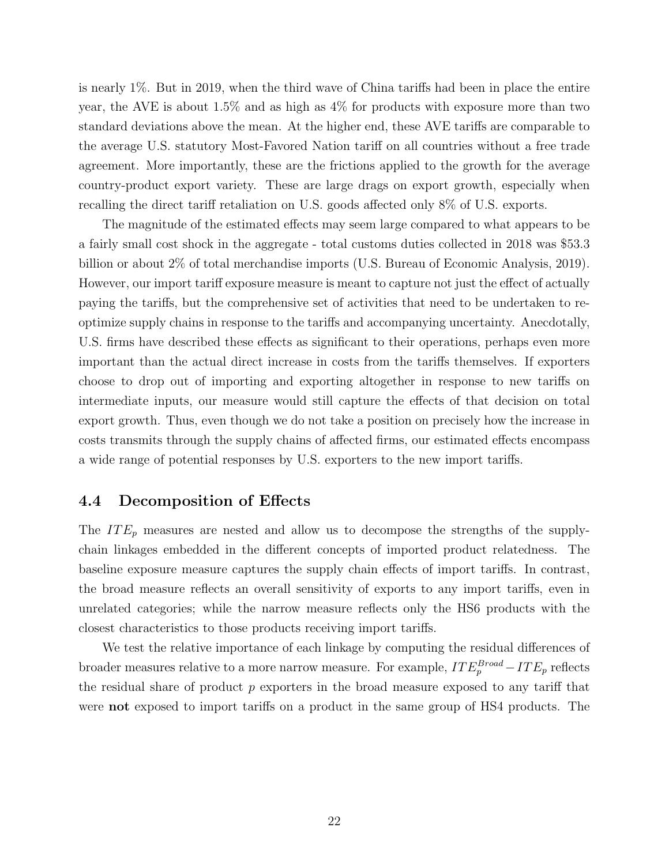is nearly 1%. But in 2019, when the third wave of China tariffs had been in place the entire year, the AVE is about 1.5% and as high as 4% for products with exposure more than two standard deviations above the mean. At the higher end, these AVE tariffs are comparable to the average U.S. statutory Most-Favored Nation tariff on all countries without a free trade agreement. More importantly, these are the frictions applied to the growth for the average country-product export variety. These are large drags on export growth, especially when recalling the direct tariff retaliation on U.S. goods affected only 8% of U.S. exports.

The magnitude of the estimated effects may seem large compared to what appears to be a fairly small cost shock in the aggregate - total customs duties collected in 2018 was \$53.3 billion or about 2% of total merchandise imports [\(U.S. Bureau of Economic Analysis,](#page-31-6) [2019\)](#page-31-6). However, our import tariff exposure measure is meant to capture not just the effect of actually paying the tariffs, but the comprehensive set of activities that need to be undertaken to reoptimize supply chains in response to the tariffs and accompanying uncertainty. Anecdotally, U.S. firms have described these effects as significant to their operations, perhaps even more important than the actual direct increase in costs from the tariffs themselves. If exporters choose to drop out of importing and exporting altogether in response to new tariffs on intermediate inputs, our measure would still capture the effects of that decision on total export growth. Thus, even though we do not take a position on precisely how the increase in costs transmits through the supply chains of affected firms, our estimated effects encompass a wide range of potential responses by U.S. exporters to the new import tariffs.

### 4.4 Decomposition of Effects

The  $ITE_p$  measures are nested and allow us to decompose the strengths of the supplychain linkages embedded in the different concepts of imported product relatedness. The baseline exposure measure captures the supply chain effects of import tariffs. In contrast, the broad measure reflects an overall sensitivity of exports to any import tariffs, even in unrelated categories; while the narrow measure reflects only the HS6 products with the closest characteristics to those products receiving import tariffs.

We test the relative importance of each linkage by computing the residual differences of broader measures relative to a more narrow measure. For example,  $ITE^{Broad}_p -ITE_p$  reflects the residual share of product  $p$  exporters in the broad measure exposed to any tariff that were **not** exposed to import tariffs on a product in the same group of HS4 products. The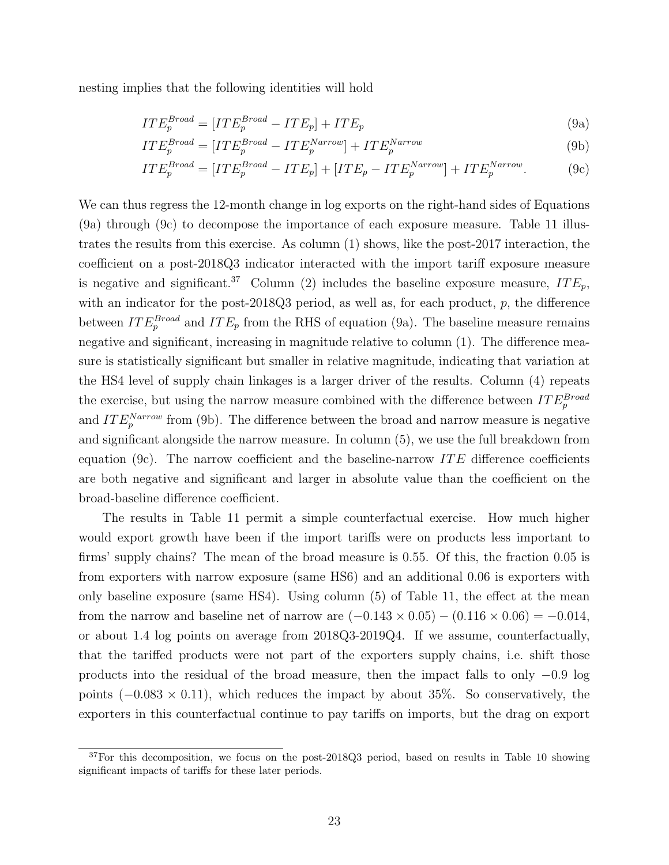nesting implies that the following identities will hold

<span id="page-24-2"></span><span id="page-24-0"></span>
$$
ITE_p^{Broad} = [ITE_p^{Broad} - ITE_p] + ITE_p \tag{9a}
$$

$$
ITE_p^{Broad} = [ITE_p^{Broad} - ITE_p^{Narrow}] + ITE_p^{Narrow}
$$
\n(9b)

<span id="page-24-1"></span>
$$
ITE_p^{Broad} = [ITE_p^{Broad} - ITE_p] + [ITE_p - ITE_p^{Narrow}] + ITE_p^{Narrow}. \tag{9c}
$$

We can thus regress the 12-month change in log exports on the right-hand sides of Equations [\(9a\)](#page-24-0) through [\(9c\)](#page-24-1) to decompose the importance of each exposure measure. Table [11](#page-42-0) illustrates the results from this exercise. As column (1) shows, like the post-2017 interaction, the coefficient on a post-2018Q3 indicator interacted with the import tariff exposure measure is negative and significant.<sup>[37](#page-1-0)</sup> Column (2) includes the baseline exposure measure,  $ITE_p$ , with an indicator for the post-2018Q3 period, as well as, for each product,  $p$ , the difference between  $ITE_p^{Broad}$  and  $ITE_p$  from the RHS of equation [\(9a\)](#page-24-0). The baseline measure remains negative and significant, increasing in magnitude relative to column  $(1)$ . The difference measure is statistically significant but smaller in relative magnitude, indicating that variation at the HS4 level of supply chain linkages is a larger driver of the results. Column (4) repeats the exercise, but using the narrow measure combined with the difference between  $ITE_{p}^{Broad}$ and  $ITE_p^{Narrow}$  from [\(9b\)](#page-24-2). The difference between the broad and narrow measure is negative and significant alongside the narrow measure. In column (5), we use the full breakdown from equation [\(9c\)](#page-24-1). The narrow coefficient and the baseline-narrow  $ITE$  difference coefficients are both negative and significant and larger in absolute value than the coefficient on the broad-baseline difference coefficient.

The results in Table [11](#page-42-0) permit a simple counterfactual exercise. How much higher would export growth have been if the import tariffs were on products less important to firms' supply chains? The mean of the broad measure is 0.55. Of this, the fraction 0.05 is from exporters with narrow exposure (same HS6) and an additional 0.06 is exporters with only baseline exposure (same HS4). Using column (5) of Table [11,](#page-42-0) the effect at the mean from the narrow and baseline net of narrow are  $(-0.143 \times 0.05) - (0.116 \times 0.06) = -0.014$ , or about 1.4 log points on average from 2018Q3-2019Q4. If we assume, counterfactually, that the tariffed products were not part of the exporters supply chains, i.e. shift those products into the residual of the broad measure, then the impact falls to only −0.9 log points  $(-0.083 \times 0.11)$ , which reduces the impact by about 35%. So conservatively, the exporters in this counterfactual continue to pay tariffs on imports, but the drag on export

 $37$ For this decomposition, we focus on the post-2018Q3 period, based on results in Table [10](#page-41-0) showing significant impacts of tariffs for these later periods.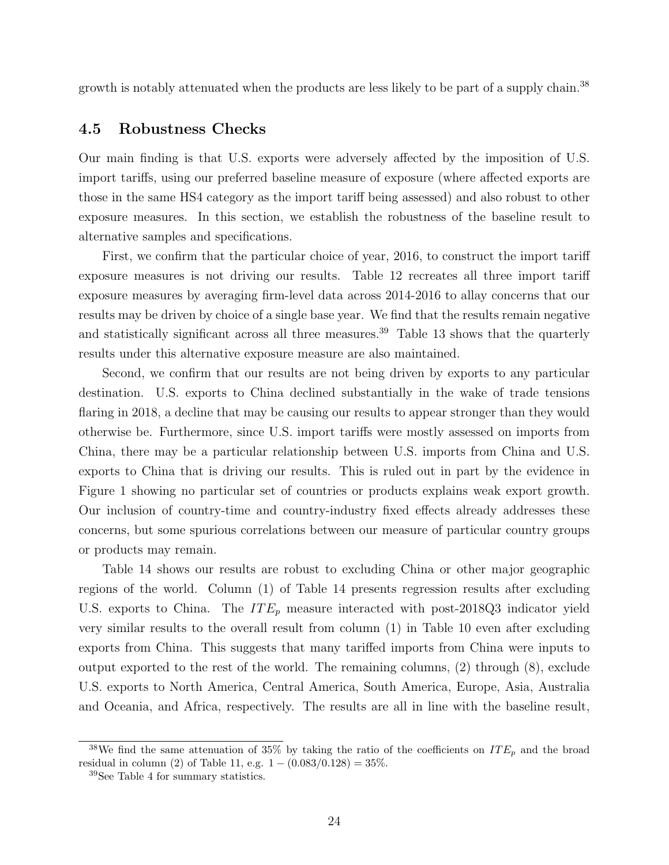growth is notably attenuated when the products are less likely to be part of a supply chain.<sup>[38](#page-1-0)</sup>

### <span id="page-25-0"></span>4.5 Robustness Checks

Our main finding is that U.S. exports were adversely affected by the imposition of U.S. import tariffs, using our preferred baseline measure of exposure (where affected exports are those in the same HS4 category as the import tariff being assessed) and also robust to other exposure measures. In this section, we establish the robustness of the baseline result to alternative samples and specifications.

First, we confirm that the particular choice of year, 2016, to construct the import tariff exposure measures is not driving our results. Table [12](#page-43-0) recreates all three import tariff exposure measures by averaging firm-level data across 2014-2016 to allay concerns that our results may be driven by choice of a single base year. We find that the results remain negative and statistically significant across all three measures.<sup>[39](#page-1-0)</sup> Table [13](#page-44-0) shows that the quarterly results under this alternative exposure measure are also maintained.

Second, we confirm that our results are not being driven by exports to any particular destination. U.S. exports to China declined substantially in the wake of trade tensions flaring in 2018, a decline that may be causing our results to appear stronger than they would otherwise be. Furthermore, since U.S. import tariffs were mostly assessed on imports from China, there may be a particular relationship between U.S. imports from China and U.S. exports to China that is driving our results. This is ruled out in part by the evidence in Figure [1](#page-32-0) showing no particular set of countries or products explains weak export growth. Our inclusion of country-time and country-industry fixed effects already addresses these concerns, but some spurious correlations between our measure of particular country groups or products may remain.

Table [14](#page-45-1) shows our results are robust to excluding China or other major geographic regions of the world. Column (1) of Table [14](#page-45-1) presents regression results after excluding U.S. exports to China. The  $ITE_p$  measure interacted with post-2018Q3 indicator yield very similar results to the overall result from column (1) in Table [10](#page-41-0) even after excluding exports from China. This suggests that many tariffed imports from China were inputs to output exported to the rest of the world. The remaining columns, (2) through (8), exclude U.S. exports to North America, Central America, South America, Europe, Asia, Australia and Oceania, and Africa, respectively. The results are all in line with the baseline result,

<sup>&</sup>lt;sup>38</sup>We find the same attenuation of 35% by taking the ratio of the coefficients on  $ITE_p$  and the broad residual in column (2) of Table [11,](#page-42-0) e.g.  $1 - (0.083/0.128) = 35\%$ .

<sup>39</sup>See Table [4](#page-37-1) for summary statistics.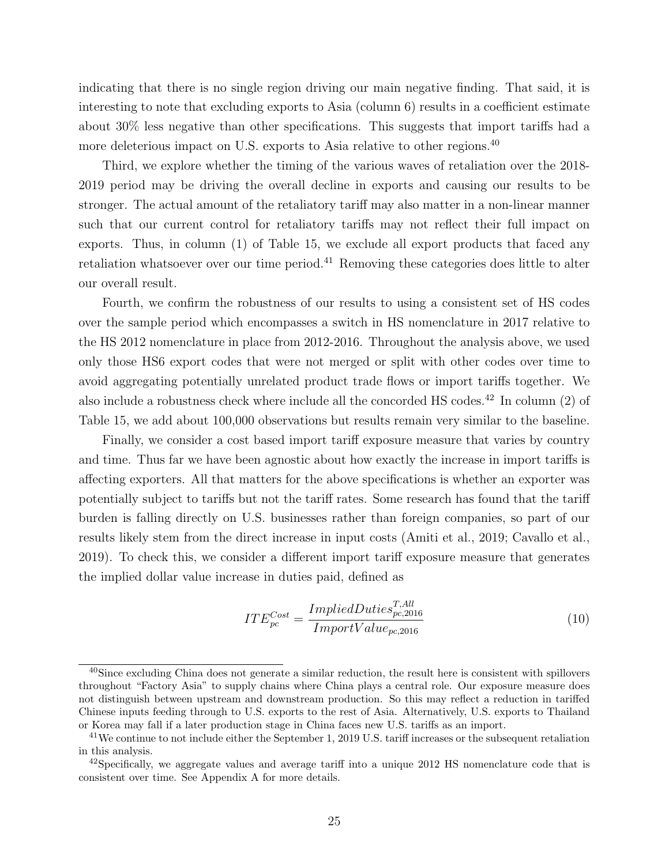indicating that there is no single region driving our main negative finding. That said, it is interesting to note that excluding exports to Asia (column 6) results in a coefficient estimate about 30% less negative than other specifications. This suggests that import tariffs had a more deleterious impact on U.S. exports to Asia relative to other regions.<sup>[40](#page-1-0)</sup>

Third, we explore whether the timing of the various waves of retaliation over the 2018- 2019 period may be driving the overall decline in exports and causing our results to be stronger. The actual amount of the retaliatory tariff may also matter in a non-linear manner such that our current control for retaliatory tariffs may not reflect their full impact on exports. Thus, in column (1) of Table [15,](#page-45-0) we exclude all export products that faced any retaliation whatsoever over our time period.[41](#page-1-0) Removing these categories does little to alter our overall result.

Fourth, we confirm the robustness of our results to using a consistent set of HS codes over the sample period which encompasses a switch in HS nomenclature in 2017 relative to the HS 2012 nomenclature in place from 2012-2016. Throughout the analysis above, we used only those HS6 export codes that were not merged or split with other codes over time to avoid aggregating potentially unrelated product trade flows or import tariffs together. We also include a robustness check where include all the concorded HS codes.<sup>[42](#page-1-0)</sup> In column  $(2)$  of Table [15,](#page-45-0) we add about 100,000 observations but results remain very similar to the baseline.

Finally, we consider a cost based import tariff exposure measure that varies by country and time. Thus far we have been agnostic about how exactly the increase in import tariffs is affecting exporters. All that matters for the above specifications is whether an exporter was potentially subject to tariffs but not the tariff rates. Some research has found that the tariff burden is falling directly on U.S. businesses rather than foreign companies, so part of our results likely stem from the direct increase in input costs [\(Amiti et al.,](#page-29-5) [2019;](#page-29-5) [Cavallo et al.,](#page-30-6) [2019\)](#page-30-6). To check this, we consider a different import tariff exposure measure that generates the implied dollar value increase in duties paid, defined as

<span id="page-26-0"></span>
$$
ITE_{pc}^{Cost} = \frac{ImpliedDuties_{pc,2016}^{T,All}}{ImportValue_{pc,2016}}
$$
\n
$$
(10)
$$

<sup>&</sup>lt;sup>40</sup>Since excluding China does not generate a similar reduction, the result here is consistent with spillovers throughout "Factory Asia" to supply chains where China plays a central role. Our exposure measure does not distinguish between upstream and downstream production. So this may reflect a reduction in tariffed Chinese inputs feeding through to U.S. exports to the rest of Asia. Alternatively, U.S. exports to Thailand or Korea may fall if a later production stage in China faces new U.S. tariffs as an import.

<sup>&</sup>lt;sup>41</sup>We continue to not include either the September 1, 2019 U.S. tariff increases or the subsequent retaliation in this analysis.

<sup>&</sup>lt;sup>42</sup>Specifically, we aggregate values and average tariff into a unique 2012 HS nomenclature code that is consistent over time. See Appendix [A](#page-46-0) for more details.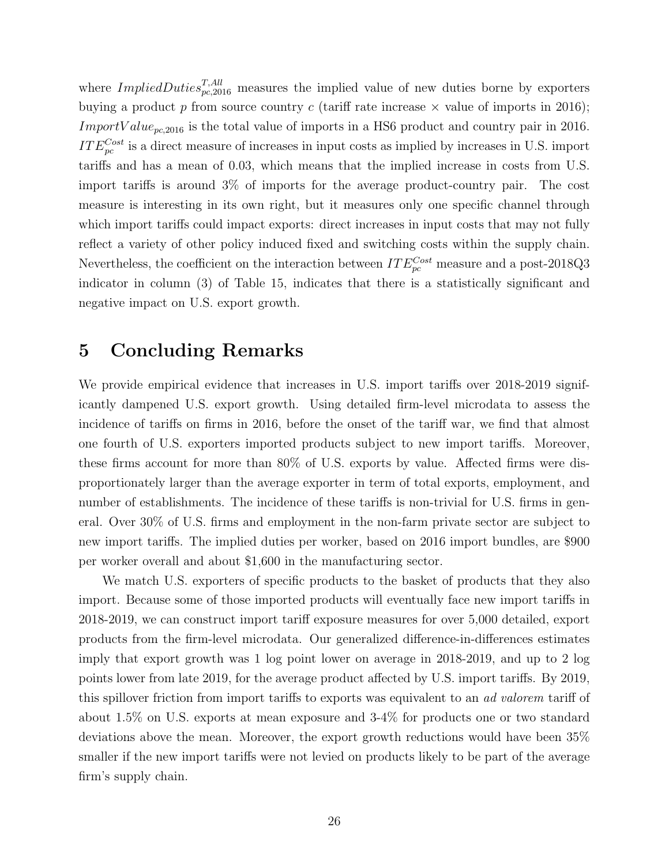where  $ImpliedDuties_{pc,2016}^{T,All}$  measures the implied value of new duties borne by exporters buying a product p from source country c (tariff rate increase  $\times$  value of imports in 2016); *ImportValue*<sub>pc,2016</sub> is the total value of imports in a HS6 product and country pair in 2016.  $ITE_{pc}^{Cost}$  is a direct measure of increases in input costs as implied by increases in U.S. import tariffs and has a mean of 0.03, which means that the implied increase in costs from U.S. import tariffs is around 3% of imports for the average product-country pair. The cost measure is interesting in its own right, but it measures only one specific channel through which import tariffs could impact exports: direct increases in input costs that may not fully reflect a variety of other policy induced fixed and switching costs within the supply chain. Nevertheless, the coefficient on the interaction between  $ITE_{pc}^{Cost}$  measure and a post-2018Q3 indicator in column (3) of Table [15,](#page-45-0) indicates that there is a statistically significant and negative impact on U.S. export growth.

### <span id="page-27-0"></span>5 Concluding Remarks

We provide empirical evidence that increases in U.S. import tariffs over 2018-2019 significantly dampened U.S. export growth. Using detailed firm-level microdata to assess the incidence of tariffs on firms in 2016, before the onset of the tariff war, we find that almost one fourth of U.S. exporters imported products subject to new import tariffs. Moreover, these firms account for more than 80% of U.S. exports by value. Affected firms were disproportionately larger than the average exporter in term of total exports, employment, and number of establishments. The incidence of these tariffs is non-trivial for U.S. firms in general. Over 30% of U.S. firms and employment in the non-farm private sector are subject to new import tariffs. The implied duties per worker, based on 2016 import bundles, are \$900 per worker overall and about \$1,600 in the manufacturing sector.

We match U.S. exporters of specific products to the basket of products that they also import. Because some of those imported products will eventually face new import tariffs in 2018-2019, we can construct import tariff exposure measures for over 5,000 detailed, export products from the firm-level microdata. Our generalized difference-in-differences estimates imply that export growth was 1 log point lower on average in 2018-2019, and up to 2 log points lower from late 2019, for the average product affected by U.S. import tariffs. By 2019, this spillover friction from import tariffs to exports was equivalent to an ad valorem tariff of about 1.5% on U.S. exports at mean exposure and 3-4% for products one or two standard deviations above the mean. Moreover, the export growth reductions would have been 35% smaller if the new import tariffs were not levied on products likely to be part of the average firm's supply chain.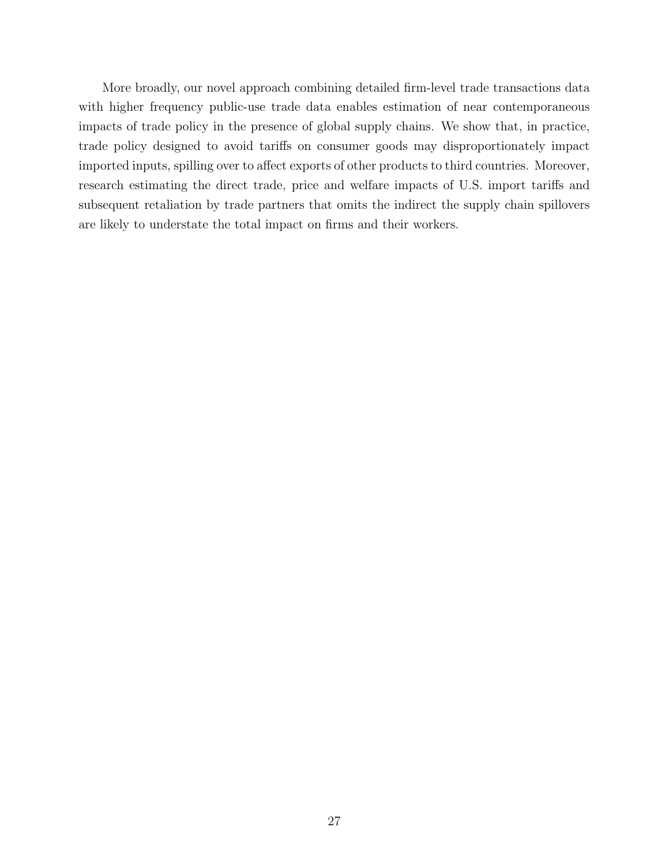More broadly, our novel approach combining detailed firm-level trade transactions data with higher frequency public-use trade data enables estimation of near contemporaneous impacts of trade policy in the presence of global supply chains. We show that, in practice, trade policy designed to avoid tariffs on consumer goods may disproportionately impact imported inputs, spilling over to affect exports of other products to third countries. Moreover, research estimating the direct trade, price and welfare impacts of U.S. import tariffs and subsequent retaliation by trade partners that omits the indirect the supply chain spillovers are likely to understate the total impact on firms and their workers.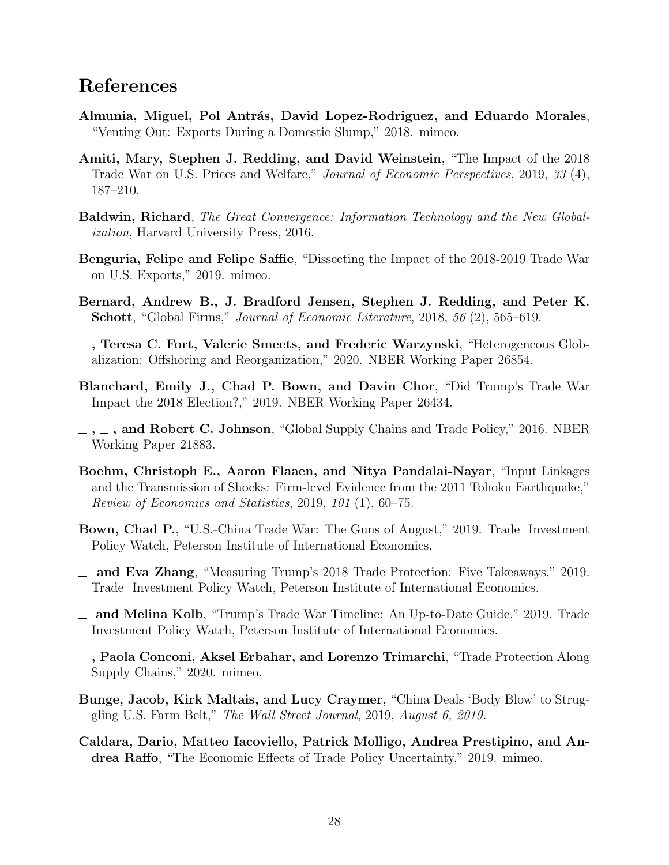### References

- <span id="page-29-1"></span>Almunia, Miguel, Pol Antrás, David Lopez-Rodriguez, and Eduardo Morales, "Venting Out: Exports During a Domestic Slump," 2018. mimeo.
- <span id="page-29-5"></span>Amiti, Mary, Stephen J. Redding, and David Weinstein, "The Impact of the 2018 Trade War on U.S. Prices and Welfare," Journal of Economic Perspectives, 2019, 33 (4), 187–210.
- <span id="page-29-0"></span>Baldwin, Richard, The Great Convergence: Information Technology and the New Globalization, Harvard University Press, 2016.
- <span id="page-29-11"></span>Benguria, Felipe and Felipe Saffie, "Dissecting the Impact of the 2018-2019 Trade War on U.S. Exports," 2019. mimeo.
- <span id="page-29-7"></span>Bernard, Andrew B., J. Bradford Jensen, Stephen J. Redding, and Peter K. Schott, "Global Firms," Journal of Economic Literature, 2018, 56 (2), 565–619.
- <span id="page-29-14"></span>, Teresa C. Fort, Valerie Smeets, and Frederic Warzynski, "Heterogeneous Globalization: Offshoring and Reorganization," 2020. NBER Working Paper 26854.
- <span id="page-29-9"></span>Blanchard, Emily J., Chad P. Bown, and Davin Chor, "Did Trump's Trade War Impact the 2018 Election?," 2019. NBER Working Paper 26434.
- <span id="page-29-8"></span> $, \_$ ,  $\_$ , and Robert C. Johnson, "Global Supply Chains and Trade Policy," 2016. NBER Working Paper 21883.
- <span id="page-29-2"></span>Boehm, Christoph E., Aaron Flaaen, and Nitya Pandalai-Nayar, "Input Linkages and the Transmission of Shocks: Firm-level Evidence from the 2011 Tohoku Earthquake," Review of Economics and Statistics, 2019, 101 (1), 60–75.
- <span id="page-29-12"></span>Bown, Chad P., "U.S.-China Trade War: The Guns of August," 2019. Trade Investment Policy Watch, Peterson Institute of International Economics.
- <span id="page-29-4"></span>and Eva Zhang, "Measuring Trump's 2018 Trade Protection: Five Takeaways," 2019. Trade Investment Policy Watch, Peterson Institute of International Economics.
- <span id="page-29-3"></span>and Melina Kolb, "Trump's Trade War Timeline: An Up-to-Date Guide," 2019. Trade Investment Policy Watch, Peterson Institute of International Economics.
- <span id="page-29-10"></span> $\overline{\phantom{a}}$ , Paola Conconi, Aksel Erbahar, and Lorenzo Trimarchi, "Trade Protection Along Supply Chains," 2020. mimeo.
- <span id="page-29-13"></span>Bunge, Jacob, Kirk Maltais, and Lucy Craymer, "China Deals 'Body Blow' to Struggling U.S. Farm Belt," The Wall Street Journal, 2019, August 6, 2019.
- <span id="page-29-6"></span>Caldara, Dario, Matteo Iacoviello, Patrick Molligo, Andrea Prestipino, and Andrea Raffo, "The Economic Effects of Trade Policy Uncertainty," 2019. mimeo.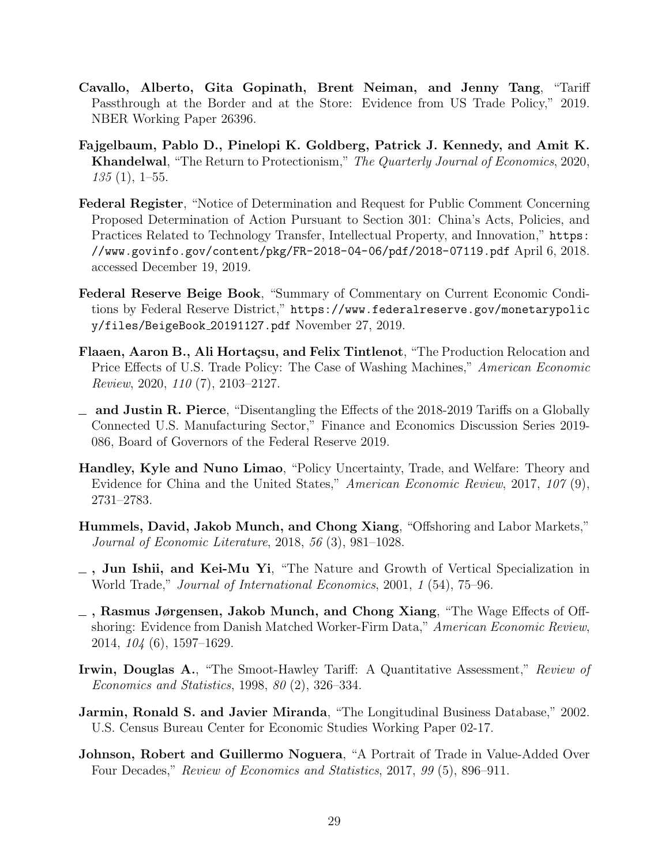- <span id="page-30-6"></span>Cavallo, Alberto, Gita Gopinath, Brent Neiman, and Jenny Tang, "Tariff Passthrough at the Border and at the Store: Evidence from US Trade Policy," 2019. NBER Working Paper 26396.
- <span id="page-30-5"></span>Fajgelbaum, Pablo D., Pinelopi K. Goldberg, Patrick J. Kennedy, and Amit K. Khandelwal, "The Return to Protectionism," The Quarterly Journal of Economics, 2020,  $135(1), 1-55.$
- <span id="page-30-9"></span>Federal Register, "Notice of Determination and Request for Public Comment Concerning Proposed Determination of Action Pursuant to Section 301: China's Acts, Policies, and Practices Related to Technology Transfer, Intellectual Property, and Innovation," [https:](https://www.govinfo.gov/content/pkg/FR-2018-04-06/pdf/2018-07119.pdf) [//www.govinfo.gov/content/pkg/FR-2018-04-06/pdf/2018-07119.pdf](https://www.govinfo.gov/content/pkg/FR-2018-04-06/pdf/2018-07119.pdf) April 6, 2018. accessed December 19, 2019.
- <span id="page-30-3"></span>Federal Reserve Beige Book, "Summary of Commentary on Current Economic Conditions by Federal Reserve District," [https://www.federalreserve.gov/monetarypolic](https://www.federalreserve.gov/monetarypolicy/files/BeigeBook_20191127.pdf) [y/files/BeigeBook](https://www.federalreserve.gov/monetarypolicy/files/BeigeBook_20191127.pdf) 20191127.pdf November 27, 2019.
- <span id="page-30-4"></span>Flaaen, Aaron B., Ali Hortaçsu, and Felix Tintlenot, "The Production Relocation and Price Effects of U.S. Trade Policy: The Case of Washing Machines," American Economic Review, 2020, 110 (7), 2103–2127.
- <span id="page-30-7"></span> $\Box$  and Justin R. Pierce, "Disentangling the Effects of the 2018-2019 Tariffs on a Globally Connected U.S. Manufacturing Sector," Finance and Economics Discussion Series 2019- 086, Board of Governors of the Federal Reserve 2019.
- <span id="page-30-12"></span>Handley, Kyle and Nuno Limao, "Policy Uncertainty, Trade, and Welfare: Theory and Evidence for China and the United States," American Economic Review, 2017, 107 (9), 2731–2783.
- <span id="page-30-11"></span>Hummels, David, Jakob Munch, and Chong Xiang, "Offshoring and Labor Markets," Journal of Economic Literature, 2018, 56 (3), 981–1028.
- <span id="page-30-0"></span> $-$ , Jun Ishii, and Kei-Mu Yi, "The Nature and Growth of Vertical Specialization in World Trade," Journal of International Economics, 2001, 1 (54), 75–96.
- <span id="page-30-10"></span>, Rasmus Jørgensen, Jakob Munch, and Chong Xiang, "The Wage Effects of Offshoring: Evidence from Danish Matched Worker-Firm Data," American Economic Review, 2014, 104 (6), 1597–1629.
- <span id="page-30-2"></span>Irwin, Douglas A., "The Smoot-Hawley Tariff: A Quantitative Assessment," Review of Economics and Statistics, 1998, 80 (2), 326–334.
- <span id="page-30-8"></span>Jarmin, Ronald S. and Javier Miranda, "The Longitudinal Business Database," 2002. U.S. Census Bureau Center for Economic Studies Working Paper 02-17.
- <span id="page-30-1"></span>Johnson, Robert and Guillermo Noguera, "A Portrait of Trade in Value-Added Over Four Decades," Review of Economics and Statistics, 2017, 99 (5), 896–911.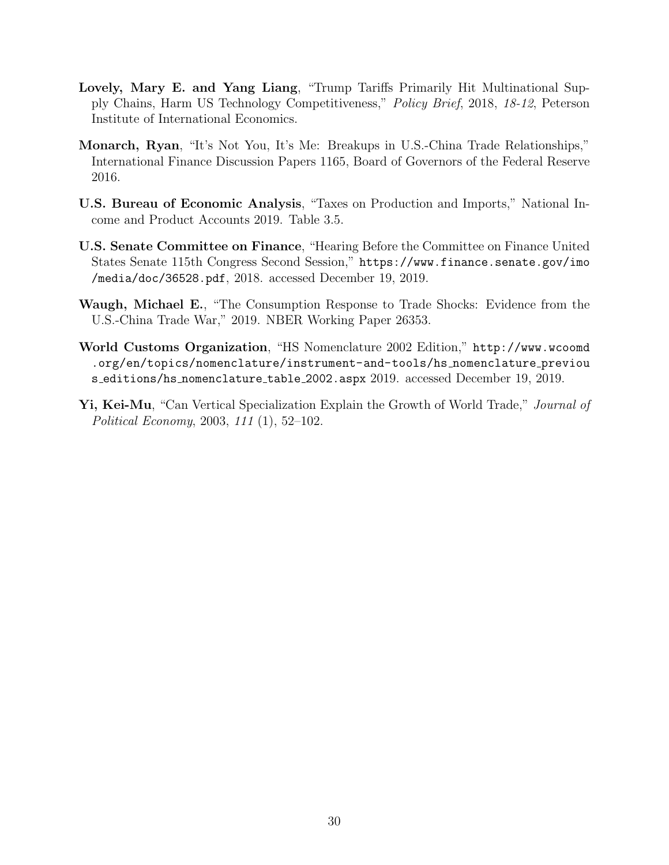- <span id="page-31-1"></span>Lovely, Mary E. and Yang Liang, "Trump Tariffs Primarily Hit Multinational Supply Chains, Harm US Technology Competitiveness," Policy Brief, 2018, 18-12, Peterson Institute of International Economics.
- <span id="page-31-4"></span>Monarch, Ryan, "It's Not You, It's Me: Breakups in U.S.-China Trade Relationships," International Finance Discussion Papers 1165, Board of Governors of the Federal Reserve 2016.
- <span id="page-31-6"></span>U.S. Bureau of Economic Analysis, "Taxes on Production and Imports," National Income and Product Accounts 2019. Table 3.5.
- <span id="page-31-2"></span>U.S. Senate Committee on Finance, "Hearing Before the Committee on Finance United States Senate 115th Congress Second Session," [https://www.finance.senate.gov/imo](https://www.finance.senate.gov/imo/media/doc/36528.pdf,) [/media/doc/36528.pdf](https://www.finance.senate.gov/imo/media/doc/36528.pdf,), 2018. accessed December 19, 2019.
- <span id="page-31-3"></span>Waugh, Michael E., "The Consumption Response to Trade Shocks: Evidence from the U.S.-China Trade War," 2019. NBER Working Paper 26353.
- <span id="page-31-5"></span>World Customs Organization, "HS Nomenclature 2002 Edition," [http://www.wcoomd](http://www.wcoomd.org/en/topics/nomenclature/instrument-and-tools/hs_nomenclature_previous_editions/hs_nomenclature_table_2002.aspx) [.org/en/topics/nomenclature/instrument-and-tools/hs](http://www.wcoomd.org/en/topics/nomenclature/instrument-and-tools/hs_nomenclature_previous_editions/hs_nomenclature_table_2002.aspx) nomenclature previou s editions/hs [nomenclature](http://www.wcoomd.org/en/topics/nomenclature/instrument-and-tools/hs_nomenclature_previous_editions/hs_nomenclature_table_2002.aspx) table 2002.aspx 2019. accessed December 19, 2019.
- <span id="page-31-0"></span>Yi, Kei-Mu, "Can Vertical Specialization Explain the Growth of World Trade," Journal of Political Economy, 2003, 111 (1), 52–102.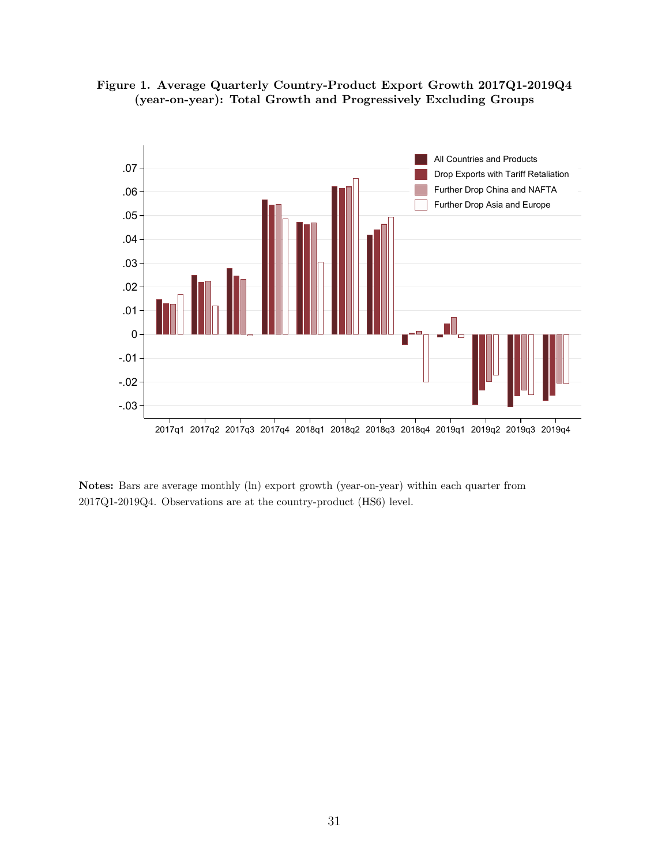<span id="page-32-0"></span>



Notes: Bars are average monthly (ln) export growth (year-on-year) within each quarter from 2017Q1-2019Q4. Observations are at the country-product (HS6) level.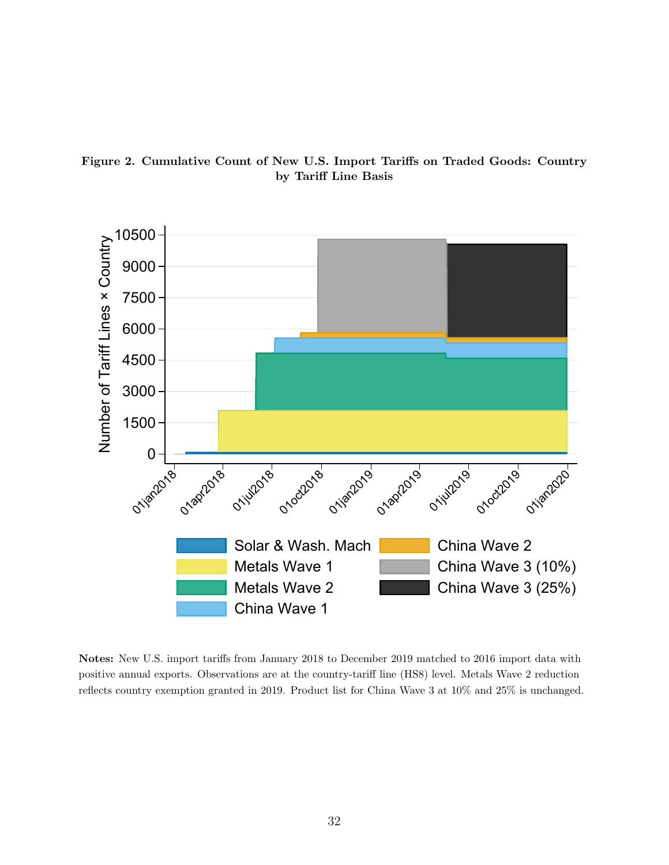<span id="page-33-0"></span>



Notes: New U.S. import tariffs from January 2018 to December 2019 matched to 2016 import data with positive annual exports. Observations are at the country-tariff line (HS8) level. Metals Wave 2 reduction reflects country exemption granted in 2019. Product list for China Wave 3 at 10% and 25% is unchanged.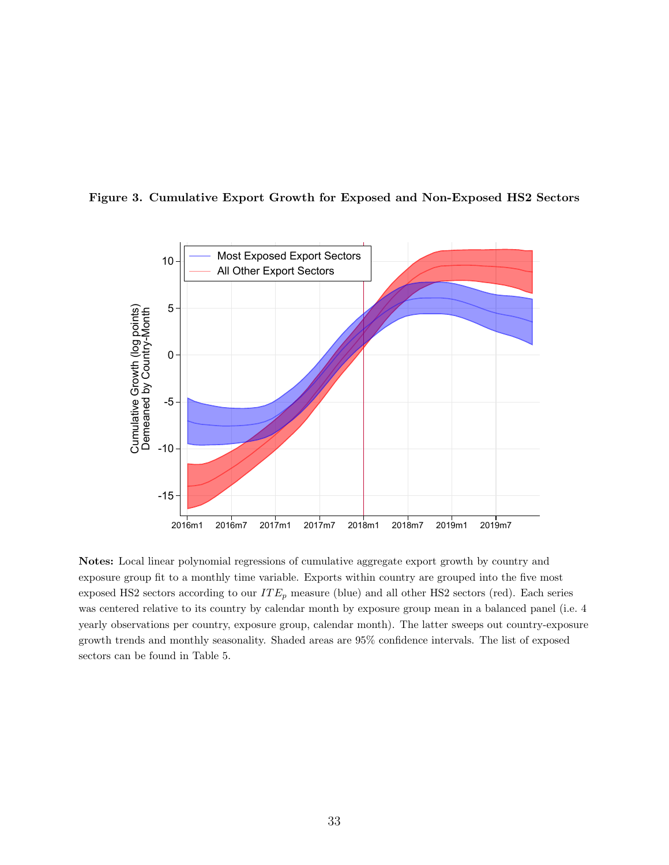

<span id="page-34-0"></span>Figure 3. Cumulative Export Growth for Exposed and Non-Exposed HS2 Sectors

Notes: Local linear polynomial regressions of cumulative aggregate export growth by country and exposure group fit to a monthly time variable. Exports within country are grouped into the five most exposed HS2 sectors according to our  $ITE_p$  measure (blue) and all other HS2 sectors (red). Each series was centered relative to its country by calendar month by exposure group mean in a balanced panel (i.e. 4 yearly observations per country, exposure group, calendar month). The latter sweeps out country-exposure growth trends and monthly seasonality. Shaded areas are 95% confidence intervals. The list of exposed sectors can be found in Table [5.](#page-38-0)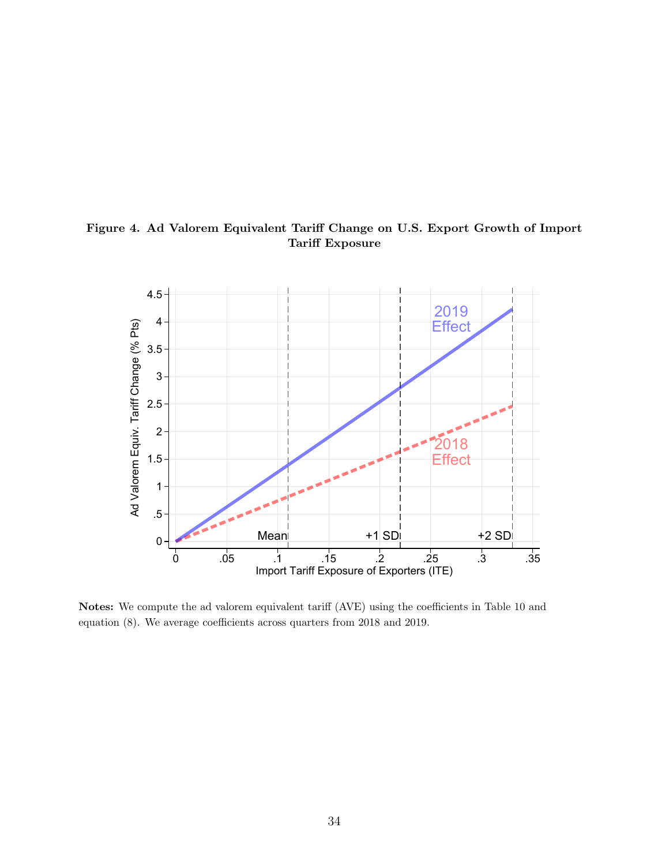

<span id="page-35-0"></span>Figure 4. Ad Valorem Equivalent Tariff Change on U.S. Export Growth of Import Tariff Exposure

Notes: We compute the ad valorem equivalent tariff (AVE) using the coefficients in Table [10](#page-41-0) and equation [\(8\)](#page-22-0). We average coefficients across quarters from 2018 and 2019.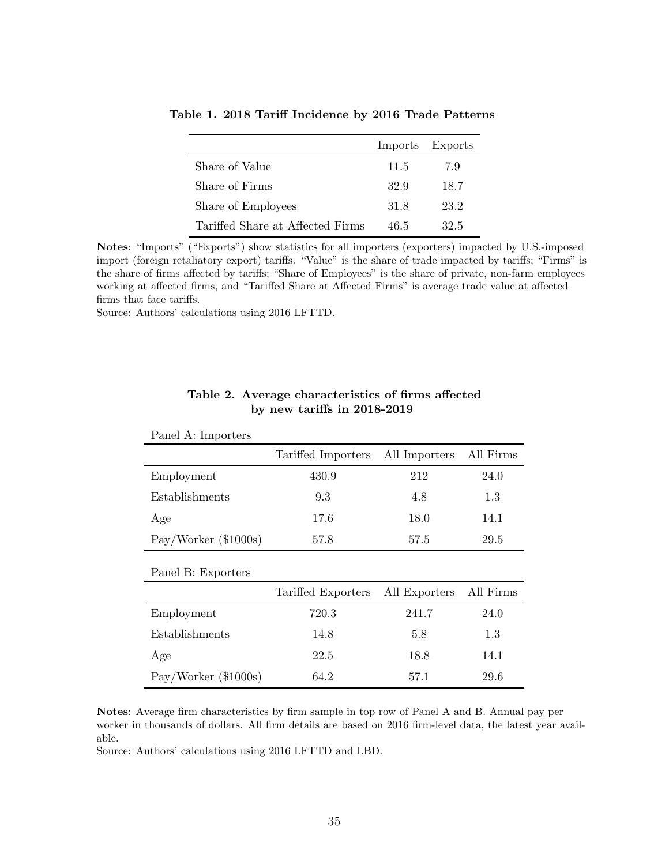|                                  | Imports Exports |      |
|----------------------------------|-----------------|------|
| Share of Value                   | 11.5            | 7.9  |
| Share of Firms                   | 32.9            | 18.7 |
| Share of Employees               | 31.8            | 23.2 |
| Tariffed Share at Affected Firms | 46.5            | 32.5 |

<span id="page-36-0"></span>Table 1. 2018 Tariff Incidence by 2016 Trade Patterns

Notes: "Imports" ("Exports") show statistics for all importers (exporters) impacted by U.S.-imposed import (foreign retaliatory export) tariffs. "Value" is the share of trade impacted by tariffs; "Firms" is the share of firms affected by tariffs; "Share of Employees" is the share of private, non-farm employees working at affected firms, and "Tariffed Share at Affected Firms" is average trade value at affected firms that face tariffs.

Source: Authors' calculations using 2016 LFTTD.

Panel A: Importers

<span id="page-36-1"></span>

|                      | Tariffed Importers | All Importers | All Firms |
|----------------------|--------------------|---------------|-----------|
| Employment           | 430.9              | 212           | 24.0      |
| Establishments       | 9.3                | 4.8           | 1.3       |
| Age                  | 17.6               | 18.0          | 14.1      |
| Pay/Worker (\$1000s) | 57.8               | 57.5          | 29.5      |
| Panel B: Exporters   |                    |               |           |
|                      | Tariffed Exporters | All Exporters | All Firms |
| Employment           | 720.3              | 241.7         | 24.0      |
| Establishments       | 14.8               | 5.8           | 1.3       |
| Age                  | 22.5               | 18.8          | 14.1      |
| Pay/Worker (\$1000s) | 64.2               | 57.1          | 29.6      |

#### Table 2. Average characteristics of firms affected by new tariffs in 2018-2019

Notes: Average firm characteristics by firm sample in top row of Panel A and B. Annual pay per worker in thousands of dollars. All firm details are based on 2016 firm-level data, the latest year available.

Source: Authors' calculations using 2016 LFTTD and LBD.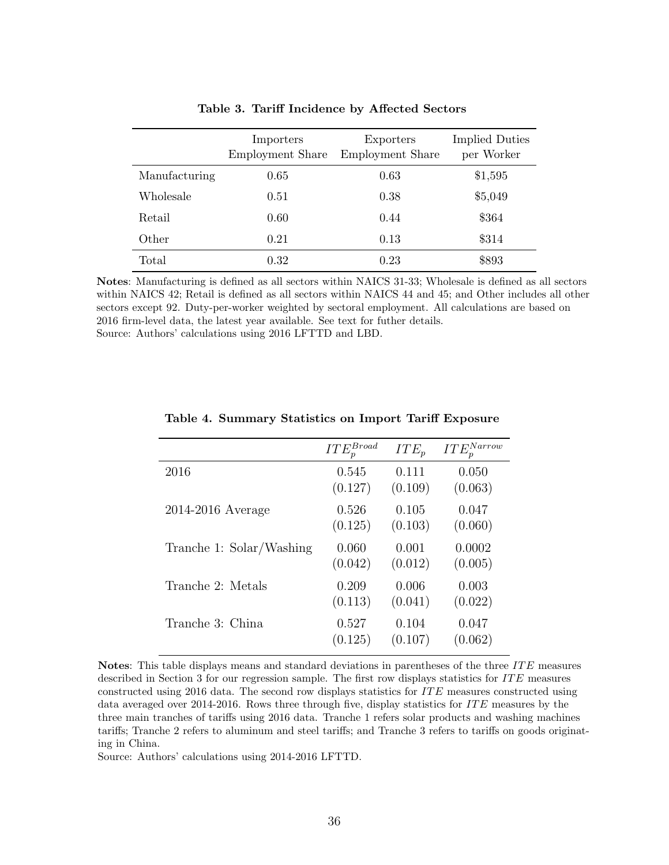<span id="page-37-0"></span>

|               | Importers<br><b>Employment Share</b> | Exporters<br>Employment Share | <b>Implied Duties</b><br>per Worker |
|---------------|--------------------------------------|-------------------------------|-------------------------------------|
| Manufacturing | 0.65                                 | 0.63                          | \$1,595                             |
| Wholesale     | 0.51                                 | 0.38                          | \$5,049                             |
| Retail        | 0.60                                 | 0.44                          | \$364                               |
| Other         | 0.21                                 | 0.13                          | \$314                               |
| Total         | 0.32                                 | 0.23                          | \$893                               |

Table 3. Tariff Incidence by Affected Sectors

Notes: Manufacturing is defined as all sectors within NAICS 31-33; Wholesale is defined as all sectors within NAICS 42; Retail is defined as all sectors within NAICS 44 and 45; and Other includes all other sectors except 92. Duty-per-worker weighted by sectoral employment. All calculations are based on 2016 firm-level data, the latest year available. See text for futher details. Source: Authors' calculations using 2016 LFTTD and LBD.

<span id="page-37-1"></span>

|                          | $ITE_p^{Broad}$ | $ITE_p$ | $ITE_p^{Narrow}$ |
|--------------------------|-----------------|---------|------------------|
| 2016                     | 0.545           | 0.111   | 0.050            |
|                          | (0.127)         | (0.109) | (0.063)          |
| 2014-2016 Average        | 0.526           | 0.105   | 0.047            |
|                          | (0.125)         | (0.103) | (0.060)          |
| Tranche 1: Solar/Washing | 0.060           | 0.001   | 0.0002           |
|                          | (0.042)         | (0.012) | (0.005)          |
| Tranche 2: Metals        | 0.209           | 0.006   | 0.003            |
|                          | (0.113)         | (0.041) | (0.022)          |
| Tranche 3: China         | 0.527           | 0.104   | 0.047            |
|                          | (0.125)         | (0.107) | (0.062)          |

Table 4. Summary Statistics on Import Tariff Exposure

Notes: This table displays means and standard deviations in parentheses of the three  $ITE$  measures described in Section [3](#page-12-0) for our regression sample. The first row displays statistics for  $ITE$  measures constructed using 2016 data. The second row displays statistics for ITE measures constructed using data averaged over  $2014-2016$ . Rows three through five, display statistics for  $ITE$  measures by the three main tranches of tariffs using 2016 data. Tranche 1 refers solar products and washing machines tariffs; Tranche 2 refers to aluminum and steel tariffs; and Tranche 3 refers to tariffs on goods originating in China.

Source: Authors' calculations using 2014-2016 LFTTD.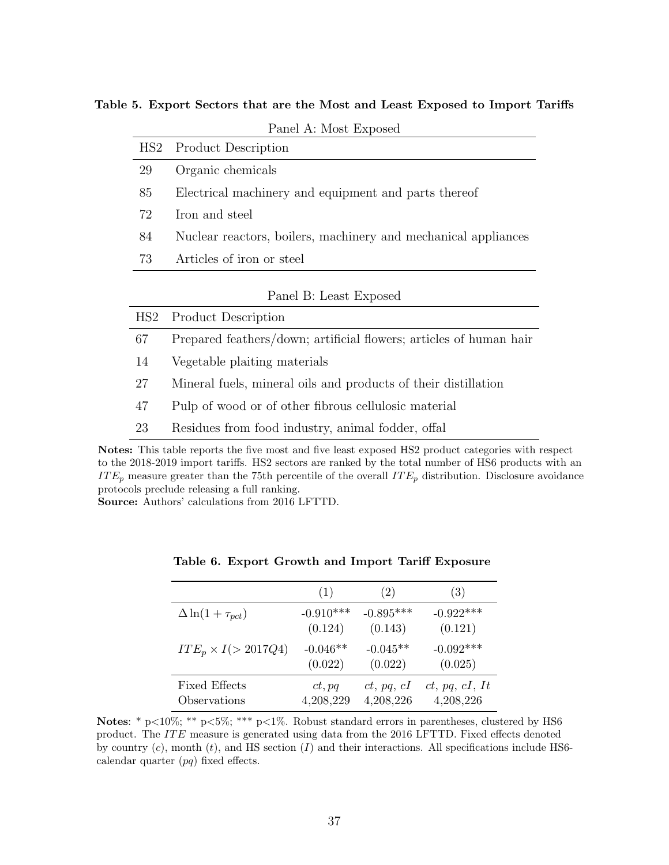| HS <sub>2</sub> | <b>Product Description</b>                                         |
|-----------------|--------------------------------------------------------------------|
| 29              | Organic chemicals                                                  |
| 85              | Electrical machinery and equipment and parts thereof               |
| 72              | Iron and steel                                                     |
| 84              | Nuclear reactors, boilers, machinery and mechanical appliances     |
| 73              | Articles of iron or steel                                          |
|                 | Panel B: Least Exposed                                             |
| HS2             | <b>Product Description</b>                                         |
| 67              | Prepared feathers/down; artificial flowers; articles of human hair |
| 14              | Vegetable plaiting materials                                       |
| 27              | Mineral fuels, mineral oils and products of their distillation     |
|                 |                                                                    |

<span id="page-38-0"></span>Table 5. Export Sectors that are the Most and Least Exposed to Import Tariffs

Panel A: Most Exposed

| 47 |  |  |  |  |  | Pulp of wood or of other fibrous cellulosic material |  |
|----|--|--|--|--|--|------------------------------------------------------|--|
|----|--|--|--|--|--|------------------------------------------------------|--|

<sup>23</sup> Residues from food industry, animal fodder, offal

Notes: This table reports the five most and five least exposed HS2 product categories with respect to the 2018-2019 import tariffs. HS2 sectors are ranked by the total number of HS6 products with an  $ITE_p$  measure greater than the 75th percentile of the overall  $ITE_p$  distribution. Disclosure avoidance protocols preclude releasing a full ranking.

<span id="page-38-1"></span>Source: Authors' calculations from 2016 LFTTD.

|                             | (1)         | (2)         | (3)            |
|-----------------------------|-------------|-------------|----------------|
| $\Delta \ln(1+\tau_{pct})$  | $-0.910***$ | $-0.895***$ | $-0.922***$    |
|                             | (0.124)     | (0.143)     | (0.121)        |
| $ITE_p \times I (> 2017Q4)$ | $-0.046**$  | $-0.045**$  | $-0.092***$    |
|                             | (0.022)     | (0.022)     | (0.025)        |
| <b>Fixed Effects</b>        | ct, pq      | ct, pq, cI  | ct, pq, cI, It |
| Observations                | 4,208,229   | 4,208,226   | 4,208,226      |

Table 6. Export Growth and Import Tariff Exposure

Notes: \* p<10%; \*\* p<5%; \*\*\* p<1%. Robust standard errors in parentheses, clustered by HS6 product. The IT E measure is generated using data from the 2016 LFTTD. Fixed effects denoted by country  $(c)$ , month  $(t)$ , and HS section  $(I)$  and their interactions. All specifications include HS6calendar quarter  $(pq)$  fixed effects.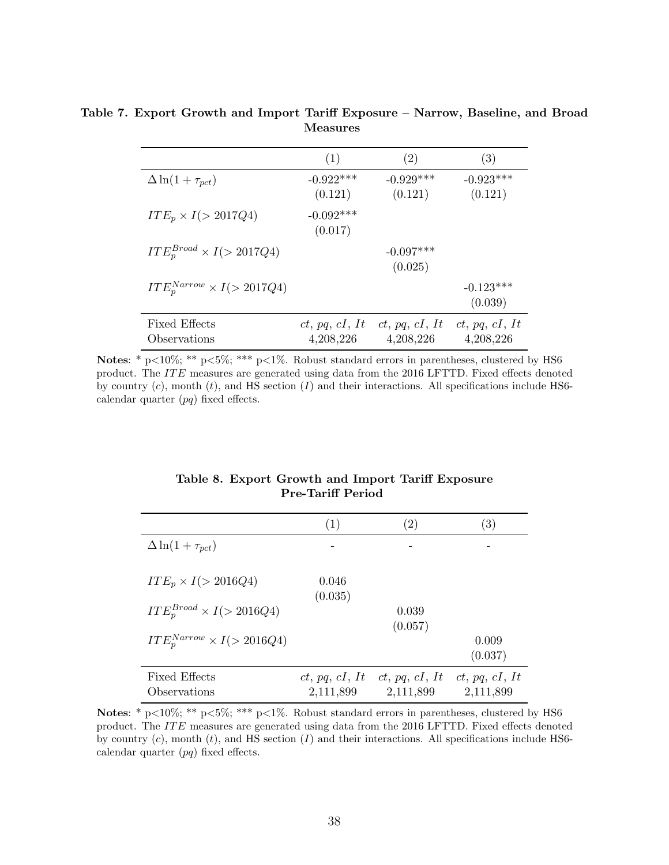|                                      | (1)                         | (2)                         | (3)                         |
|--------------------------------------|-----------------------------|-----------------------------|-----------------------------|
| $\Delta \ln(1+\tau_{pct})$           | $-0.922***$<br>(0.121)      | $-0.929***$<br>(0.121)      | $-0.923***$<br>(0.121)      |
| $ITE_p \times I (> 2017Q4)$          | $-0.092***$<br>(0.017)      |                             |                             |
| $ITE_p^{Broad} \times I (> 2017Q4)$  |                             | $-0.097***$<br>(0.025)      |                             |
| $ITEpNarrow \times I (> 2017Q4)$     |                             |                             | $-0.123***$<br>(0.039)      |
| <b>Fixed Effects</b><br>Observations | ct, pq, cI, It<br>4,208,226 | ct, pq, cI, It<br>4,208,226 | ct, pq, cI, It<br>4,208,226 |

<span id="page-39-0"></span>Table 7. Export Growth and Import Tariff Exposure – Narrow, Baseline, and Broad Measures

Notes: \* p<10%; \*\* p<5%; \*\*\* p<1%. Robust standard errors in parentheses, clustered by HS6 product. The IT E measures are generated using data from the 2016 LFTTD. Fixed effects denoted by country  $(c)$ , month  $(t)$ , and HS section  $(I)$  and their interactions. All specifications include HS6calendar quarter  $(pq)$  fixed effects.

#### Table 8. Export Growth and Import Tariff Exposure Pre-Tariff Period

<span id="page-39-1"></span>

|                                      | (1)                         | $\left( 2\right)$           | $\left( 3\right)$           |
|--------------------------------------|-----------------------------|-----------------------------|-----------------------------|
| $\Delta \ln(1+\tau_{pct})$           |                             |                             |                             |
| $ITE_p \times I (> 2016Q4)$          | 0.046<br>(0.035)            |                             |                             |
| $ITE_n^{Broad} \times I (> 2016Q4)$  |                             | 0.039<br>(0.057)            |                             |
| $ITE_n^{Narrow} \times I (> 2016Q4)$ |                             |                             | 0.009<br>(0.037)            |
| <b>Fixed Effects</b><br>Observations | ct, pq, cI, It<br>2,111,899 | ct, pq, cI, It<br>2,111,899 | ct, pq, cI, It<br>2,111,899 |

Notes: \* p<10%; \*\* p<5%; \*\*\* p<1%. Robust standard errors in parentheses, clustered by HS6 product. The ITE measures are generated using data from the 2016 LFTTD. Fixed effects denoted by country  $(c)$ , month  $(t)$ , and HS section  $(I)$  and their interactions. All specifications include HS6calendar quarter  $(pq)$  fixed effects.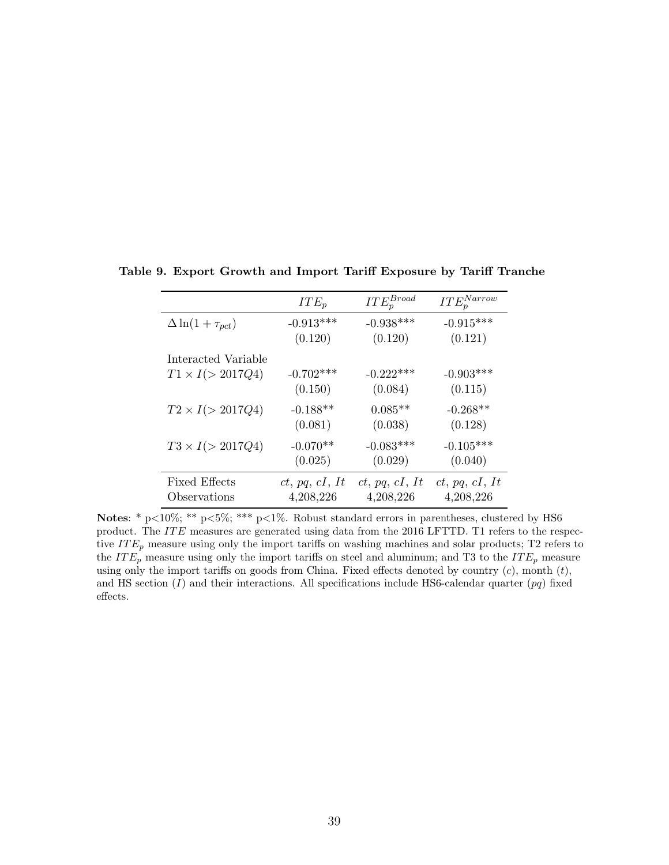|                            | $ITE_p$        | $ITE^{Broad}_p$ | $ITE_p^{Narrow}$ |
|----------------------------|----------------|-----------------|------------------|
| $\Delta \ln(1+\tau_{pct})$ | $-0.913***$    | $-0.938***$     | $-0.915***$      |
|                            | (0.120)        | (0.120)         | (0.121)          |
| Interacted Variable        |                |                 |                  |
| $T1 \times I (> 2017Q4)$   | $-0.702***$    | $-0.222***$     | $-0.903***$      |
|                            | (0.150)        | (0.084)         | (0.115)          |
| $T2 \times I (> 2017Q4)$   | $-0.188**$     | $0.085**$       | $-0.268**$       |
|                            | (0.081)        | (0.038)         | (0.128)          |
| $T3 \times I (> 2017Q4)$   | $-0.070**$     | $-0.083***$     | $-0.105***$      |
|                            | (0.025)        | (0.029)         | (0.040)          |
| <b>Fixed Effects</b>       | ct, pq, cI, It | ct, pq, cI, It  | ct, pq, cI, It   |
| Observations               | 4,208,226      | 4,208,226       | 4,208,226        |

<span id="page-40-0"></span>Table 9. Export Growth and Import Tariff Exposure by Tariff Tranche

Notes: \* p<10%; \*\* p<5%; \*\*\* p<1%. Robust standard errors in parentheses, clustered by HS6 product. The ITE measures are generated using data from the 2016 LFTTD. T1 refers to the respective  $ITE_p$  measure using only the import tariffs on washing machines and solar products; T2 refers to the  $ITE_p$  measure using only the import tariffs on steel and aluminum; and T3 to the  $ITE_p$  measure using only the import tariffs on goods from China. Fixed effects denoted by country  $(c)$ , month  $(t)$ , and HS section  $(I)$  and their interactions. All specifications include HS6-calendar quarter  $(pq)$  fixed effects.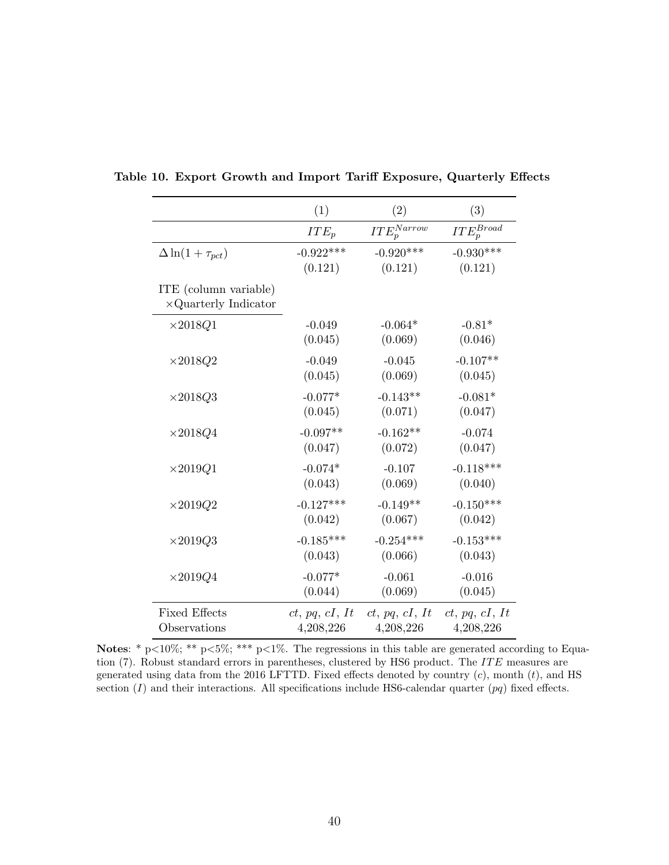|                                                       | (1)            | (2)              | (3)             |
|-------------------------------------------------------|----------------|------------------|-----------------|
|                                                       | $ITE_p$        | $ITE_p^{Narrow}$ | $ITE_p^{Broad}$ |
| $\Delta \ln(1+\tau_{pct})$                            | $-0.922***$    | $-0.920***$      | $-0.930***$     |
|                                                       | (0.121)        | (0.121)          | (0.121)         |
| ITE (column variable)<br>$\times$ Quarterly Indicator |                |                  |                 |
| $\times 2018Q1$                                       | $-0.049$       | $-0.064*$        | $-0.81*$        |
|                                                       | (0.045)        | (0.069)          | (0.046)         |
| $\times 2018Q2$                                       | $-0.049$       | $-0.045$         | $-0.107**$      |
|                                                       | (0.045)        | (0.069)          | (0.045)         |
| $\times 2018Q3$                                       | $-0.077*$      | $-0.143**$       | $-0.081*$       |
|                                                       | (0.045)        | (0.071)          | (0.047)         |
| $\times 2018Q4$                                       | $-0.097**$     | $-0.162**$       | $-0.074$        |
|                                                       | (0.047)        | (0.072)          | (0.047)         |
| $\times 2019Q1$                                       | $-0.074*$      | $-0.107$         | $-0.118***$     |
|                                                       | (0.043)        | (0.069)          | (0.040)         |
| $\times 2019Q2$                                       | $-0.127***$    | $-0.149**$       | $-0.150***$     |
|                                                       | (0.042)        | (0.067)          | (0.042)         |
| $\times 2019Q3$                                       | $-0.185***$    | $-0.254***$      | $-0.153***$     |
|                                                       | (0.043)        | (0.066)          | (0.043)         |
| $\times 2019Q4$                                       | $-0.077*$      | $-0.061$         | $-0.016$        |
|                                                       | (0.044)        | (0.069)          | (0.045)         |
| <b>Fixed Effects</b>                                  | ct, pq, cI, It | ct, pq, cI, It   | ct, pq, cI, It  |
| Observations                                          | 4,208,226      | 4,208,226        | 4,208,226       |

<span id="page-41-0"></span>Table 10. Export Growth and Import Tariff Exposure, Quarterly Effects

Notes: \* p<10%; \*\* p<5%; \*\*\* p<1%. The regressions in this table are generated according to Equa-tion [\(7\)](#page-18-0). Robust standard errors in parentheses, clustered by HS6 product. The ITE measures are generated using data from the 2016 LFTTD. Fixed effects denoted by country  $(c)$ , month  $(t)$ , and HS section  $(I)$  and their interactions. All specifications include HS6-calendar quarter  $(pq)$  fixed effects.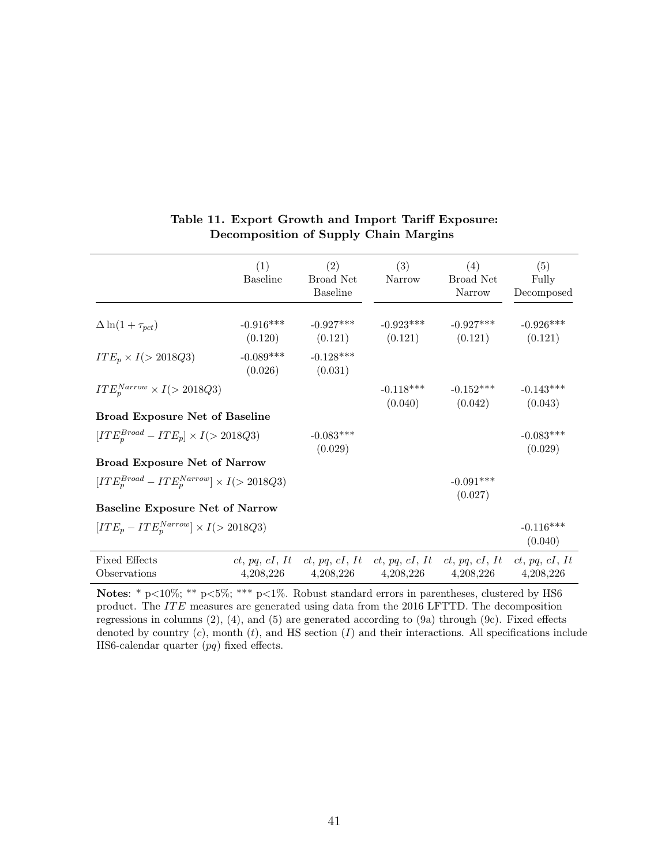<span id="page-42-0"></span>

|                                                        | (1)<br><b>Baseline</b> | (2)<br>Broad Net<br><b>Baseline</b> | (3)<br>Narrow          | (4)<br>Broad Net<br>Narrow                                                 | (5)<br>Fully<br>Decomposed |
|--------------------------------------------------------|------------------------|-------------------------------------|------------------------|----------------------------------------------------------------------------|----------------------------|
| $\Delta \ln(1+\tau_{pct})$                             | $-0.916***$            | $-0.927***$                         | $-0.923***$            | $-0.927***$<br>$(0.120)$ $(0.121)$ $(0.121)$ $(0.121)$                     | $-0.926***$<br>(0.121)     |
| $ITE_p \times I (> 2018Q3)$                            | $-0.089***$<br>(0.026) | $-0.128***$<br>(0.031)              |                        |                                                                            |                            |
| $ITE_n^{Narrow} \times I (> 2018Q3)$                   |                        |                                     | $-0.118***$<br>(0.040) | $-0.152***$<br>(0.042)                                                     | $-0.143***$<br>(0.043)     |
| <b>Broad Exposure Net of Baseline</b>                  |                        |                                     |                        |                                                                            |                            |
| $[ITE_n^{Broad} - ITE_p] \times I (> 2018Q3)$          |                        | $-0.083***$<br>(0.029)              |                        |                                                                            | $-0.083***$<br>(0.029)     |
| <b>Broad Exposure Net of Narrow</b>                    |                        |                                     |                        |                                                                            |                            |
| $[ITE_n^{Broad} - ITE_n^{Narrow}] \times I (> 2018Q3)$ |                        |                                     |                        | $-0.091***$<br>(0.027)                                                     |                            |
| <b>Baseline Exposure Net of Narrow</b>                 |                        |                                     |                        |                                                                            |                            |
| $[ITE_p - ITE_n^{Narrow}] \times I (> 2018Q3)$         |                        |                                     |                        |                                                                            | $-0.116***$<br>(0.040)     |
| <b>Fixed Effects</b><br>Observations                   |                        | 4,208,226 4,208,226 4,208,226       |                        | ct, pq, cI, It ct, pq, cI, It ct, pq, cI, It ct, pq, cI, It ct, pq, cI, It | 4,208,226 4,208,226        |

### Table 11. Export Growth and Import Tariff Exposure: Decomposition of Supply Chain Margins

Notes: \* p<10%; \*\* p<5%; \*\*\* p<1%. Robust standard errors in parentheses, clustered by HS6 product. The  $ITE$  measures are generated using data from the 2016 LFTTD. The decomposition regressions in columns (2), (4), and (5) are generated according to [\(9a\)](#page-24-0) through [\(9c\)](#page-24-1). Fixed effects denoted by country  $(c)$ , month  $(t)$ , and HS section  $(I)$  and their interactions. All specifications include HS6-calendar quarter (pq) fixed effects.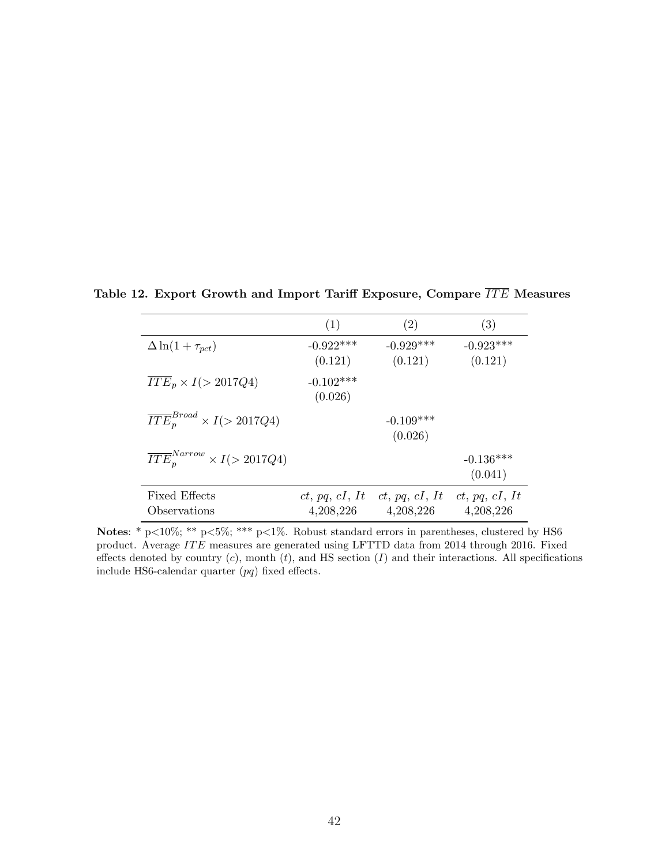|                                               | (1)                         | (2)                         | (3)                         |
|-----------------------------------------------|-----------------------------|-----------------------------|-----------------------------|
| $\Delta \ln(1+\tau_{pct})$                    | $-0.922***$<br>(0.121)      | $-0.929***$<br>(0.121)      | $-0.923***$<br>(0.121)      |
| $\overline{ITE}_p \times I (> 2017Q4)$        | $-0.102***$<br>(0.026)      |                             |                             |
| $\overline{ITE}_p^{Broad} \times I(>2017Q4)$  |                             | $-0.109***$<br>(0.026)      |                             |
| $\overline{ITE}_n^{Narrow} \times I(>2017Q4)$ |                             |                             | $-0.136***$<br>(0.041)      |
| <b>Fixed Effects</b><br>Observations          | ct, pq, cI, It<br>4,208,226 | ct, pq, cI, It<br>4,208,226 | ct, pq, cI, It<br>4,208,226 |

<span id="page-43-0"></span>Table 12. Export Growth and Import Tariff Exposure, Compare  $\overline{ITE}$  Measures

Notes: \* p<10%; \*\* p<5%; \*\*\* p<1%. Robust standard errors in parentheses, clustered by HS6 product. Average  $ITE$  measures are generated using LFTTD data from 2014 through 2016. Fixed effects denoted by country  $(c)$ , month  $(t)$ , and HS section  $(I)$  and their interactions. All specifications include HS6-calendar quarter (pq) fixed effects.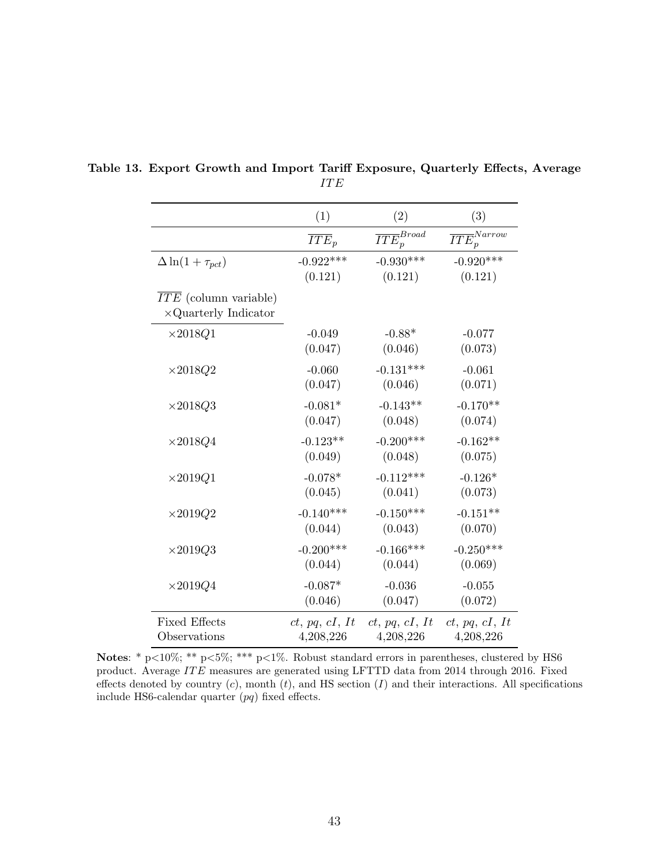|                                                                    | (1)                | (2)                        | (3)                         |
|--------------------------------------------------------------------|--------------------|----------------------------|-----------------------------|
|                                                                    | $\overline{ITE}_p$ | $\overline{ITE}_p^{Broad}$ | $\overline{ITE_p^{Narrow}}$ |
| $\Delta \ln(1+\tau_{pct})$                                         | $-0.922***$        | $-0.930***$                | $-0.920***$                 |
|                                                                    | (0.121)            | (0.121)                    | (0.121)                     |
| $\overline{ITE}$ (column variable)<br>$\times$ Quarterly Indicator |                    |                            |                             |
| $\times 2018Q1$                                                    | $-0.049$           | $-0.88*$                   | $-0.077$                    |
|                                                                    | (0.047)            | (0.046)                    | (0.073)                     |
| $\times 2018Q2$                                                    | $-0.060$           | $-0.131***$                | $-0.061$                    |
|                                                                    | (0.047)            | (0.046)                    | (0.071)                     |
| $\times 2018Q3$                                                    | $-0.081*$          | $-0.143**$                 | $-0.170**$                  |
|                                                                    | (0.047)            | (0.048)                    | (0.074)                     |
| $\times 2018Q4$                                                    | $-0.123**$         | $-0.200***$                | $-0.162**$                  |
|                                                                    | (0.049)            | (0.048)                    | (0.075)                     |
| $\times 2019Q1$                                                    | $-0.078*$          | $-0.112***$                | $-0.126*$                   |
|                                                                    | (0.045)            | (0.041)                    | (0.073)                     |
| $\times 2019Q2$                                                    | $-0.140***$        | $-0.150***$                | $-0.151**$                  |
|                                                                    | (0.044)            | (0.043)                    | (0.070)                     |
| $\times 2019Q3$                                                    | $-0.200***$        | $-0.166***$                | $-0.250***$                 |
|                                                                    | (0.044)            | (0.044)                    | (0.069)                     |
| $\times 2019Q4$                                                    | $-0.087*$          | $-0.036$                   | $-0.055$                    |
|                                                                    | (0.046)            | (0.047)                    | (0.072)                     |
| <b>Fixed Effects</b>                                               | ct, pq, cI, It     | ct, pq, cI, It             | ct, pq, cI, It              |
| Observations                                                       | 4,208,226          | 4,208,226                  | 4,208,226                   |

<span id="page-44-0"></span>Table 13. Export Growth and Import Tariff Exposure, Quarterly Effects, Average  $\cal I TE$ 

Notes: \* p<10%; \*\* p<5%; \*\*\* p<1%. Robust standard errors in parentheses, clustered by HS6 product. Average ITE measures are generated using LFTTD data from 2014 through 2016. Fixed effects denoted by country  $(c)$ , month  $(t)$ , and HS section  $(I)$  and their interactions. All specifications include HS6-calendar quarter (pq) fixed effects.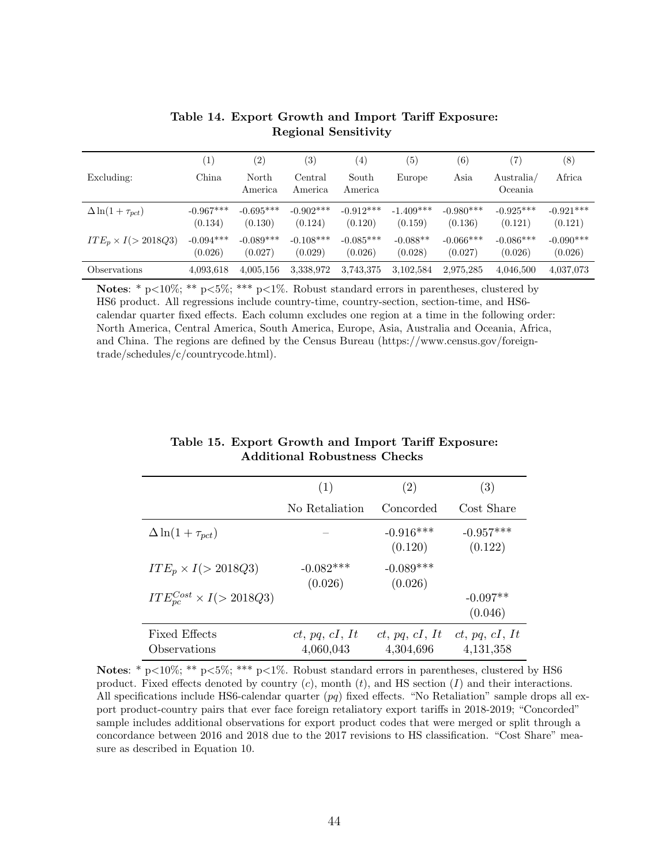<span id="page-45-1"></span>

|                             | $\left(1\right)$       | $\left( 2\right)$      | $\left( 3\right)$       | (4)                    | (5)                    | (6)                    | (7)                    | $^{(8)}$               |
|-----------------------------|------------------------|------------------------|-------------------------|------------------------|------------------------|------------------------|------------------------|------------------------|
| Excluding:                  | China                  | North<br>America       | Central<br>America      | South<br>America       | Europe                 | Asia                   | Australia/<br>Oceania  | Africa                 |
| $\Delta \ln(1+\tau_{pct})$  | $-0.967***$<br>(0.134) | $-0.695***$<br>(0.130) | $-0.902$ ***<br>(0.124) | $-0.912***$<br>(0.120) | $-1.409***$<br>(0.159) | $-0.980***$<br>(0.136) | $-0.925***$<br>(0.121) | $-0.921***$<br>(0.121) |
| $ITE_p \times I (> 2018Q3)$ | $-0.094***$<br>(0.026) | $-0.089***$<br>(0.027) | $-0.108***$<br>(0.029)  | $-0.085***$<br>(0.026) | $-0.088**$<br>(0.028)  | $-0.066***$<br>(0.027) | $-0.086***$<br>(0.026) | $-0.090***$<br>(0.026) |
| Observations                | 4,093,618              | 4,005,156              | 3,338,972               | 3,743,375              | 3,102,584              | 2,975,285              | 4,046,500              | 4,037,073              |

Table 14. Export Growth and Import Tariff Exposure: Regional Sensitivity

Notes: \* p<10%; \*\* p<5%; \*\*\* p<1%. Robust standard errors in parentheses, clustered by HS6 product. All regressions include country-time, country-section, section-time, and HS6 calendar quarter fixed effects. Each column excludes one region at a time in the following order: North America, Central America, South America, Europe, Asia, Australia and Oceania, Africa, and China. The regions are defined by the Census Bureau (https://www.census.gov/foreigntrade/schedules/c/countrycode.html).

<span id="page-45-0"></span>

|                                                 | (1)                         | (2)                         | (3)                           |
|-------------------------------------------------|-----------------------------|-----------------------------|-------------------------------|
|                                                 | No Retaliation              | Concorded                   | Cost Share                    |
| $\Delta \ln(1+\tau_{pct})$                      |                             | $-0.916***$<br>(0.120)      | $-0.957***$<br>(0.122)        |
| $ITE_p \times I (> 2018Q3)$                     | $-0.082***$<br>(0.026)      | $-0.089***$<br>(0.026)      |                               |
| $ITE_{\text{loc}}^{Cost} \times I(\geq 2018Q3)$ |                             |                             | $-0.097**$<br>(0.046)         |
| Fixed Effects<br>Observations                   | ct, pq, cI, It<br>4,060,043 | ct, pq, cI, It<br>4,304,696 | ct, pq, cI, It<br>4, 131, 358 |

Table 15. Export Growth and Import Tariff Exposure: Additional Robustness Checks

Notes: \* p<10%; \*\* p<5%; \*\*\* p<1%. Robust standard errors in parentheses, clustered by HS6 product. Fixed effects denoted by country  $(c)$ , month  $(t)$ , and HS section  $(I)$  and their interactions. All specifications include HS6-calendar quarter (pq) fixed effects. "No Retaliation" sample drops all export product-country pairs that ever face foreign retaliatory export tariffs in 2018-2019; "Concorded" sample includes additional observations for export product codes that were merged or split through a concordance between 2016 and 2018 due to the 2017 revisions to HS classification. "Cost Share" measure as described in Equation [10.](#page-26-0)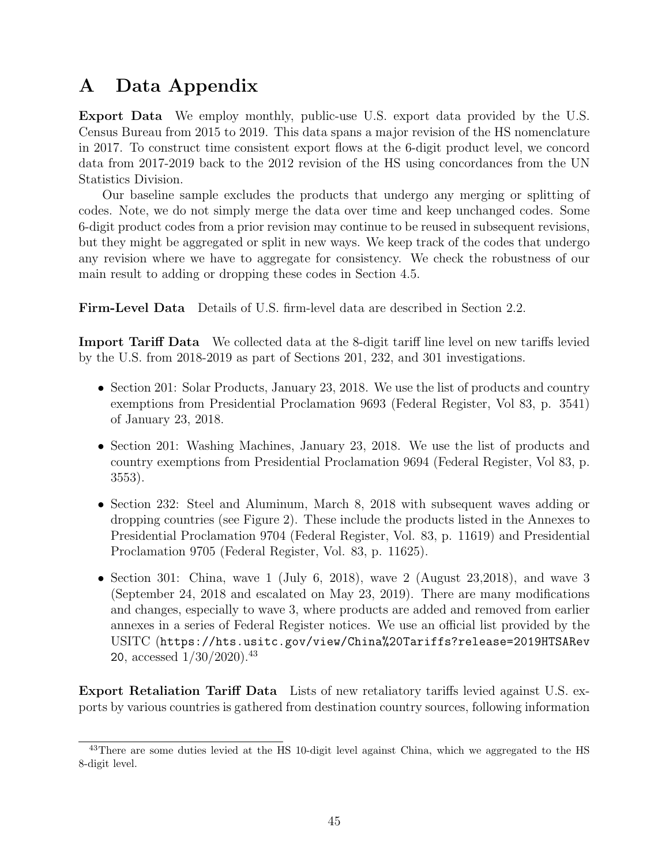# <span id="page-46-0"></span>A Data Appendix

Export Data We employ monthly, public-use U.S. export data provided by the U.S. Census Bureau from 2015 to 2019. This data spans a major revision of the HS nomenclature in 2017. To construct time consistent export flows at the 6-digit product level, we concord data from 2017-2019 back to the 2012 revision of the HS using concordances from the UN Statistics Division.

Our baseline sample excludes the products that undergo any merging or splitting of codes. Note, we do not simply merge the data over time and keep unchanged codes. Some 6-digit product codes from a prior revision may continue to be reused in subsequent revisions, but they might be aggregated or split in new ways. We keep track of the codes that undergo any revision where we have to aggregate for consistency. We check the robustness of our main result to adding or dropping these codes in Section [4.5.](#page-25-0)

Firm-Level Data Details of U.S. firm-level data are described in Section [2.2.](#page-8-0)

Import Tariff Data We collected data at the 8-digit tariff line level on new tariffs levied by the U.S. from 2018-2019 as part of Sections 201, 232, and 301 investigations.

- Section 201: Solar Products, January 23, 2018. We use the list of products and country exemptions from Presidential Proclamation 9693 (Federal Register, Vol 83, p. 3541) of January 23, 2018.
- Section 201: Washing Machines, January 23, 2018. We use the list of products and country exemptions from Presidential Proclamation 9694 (Federal Register, Vol 83, p. 3553).
- Section 232: Steel and Aluminum, March 8, 2018 with subsequent waves adding or dropping countries (see Figure 2). These include the products listed in the Annexes to Presidential Proclamation 9704 (Federal Register, Vol. 83, p. 11619) and Presidential Proclamation 9705 (Federal Register, Vol. 83, p. 11625).
- Section 301: China, wave 1 (July 6, 2018), wave 2 (August 23,2018), and wave 3 (September 24, 2018 and escalated on May 23, 2019). There are many modifications and changes, especially to wave 3, where products are added and removed from earlier annexes in a series of Federal Register notices. We use an official list provided by the USITC ([https://hts.usitc.gov/view/China%20Tariffs?release=2019HTSARev](https://hts.usitc.gov/view/China%20Tariffs?release=2019HTSARev20) [20](https://hts.usitc.gov/view/China%20Tariffs?release=2019HTSARev20), accessed  $1/30/2020$ ).<sup>[43](#page-1-0)</sup>

Export Retaliation Tariff Data Lists of new retaliatory tariffs levied against U.S. exports by various countries is gathered from destination country sources, following information

<sup>&</sup>lt;sup>43</sup>There are some duties levied at the HS 10-digit level against China, which we aggregated to the HS 8-digit level.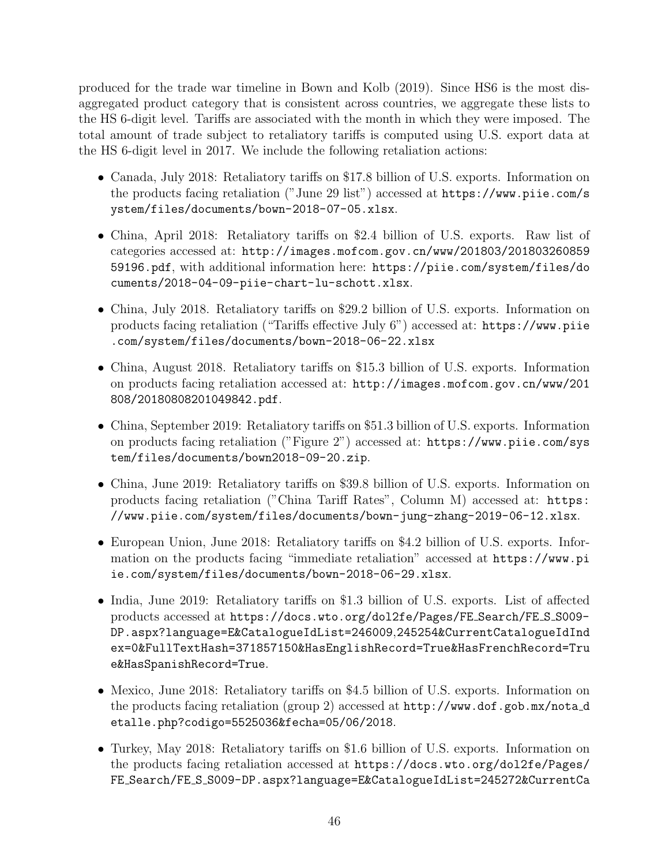produced for the trade war timeline in [Bown and Kolb](#page-29-3) [\(2019\)](#page-29-3). Since HS6 is the most disaggregated product category that is consistent across countries, we aggregate these lists to the HS 6-digit level. Tariffs are associated with the month in which they were imposed. The total amount of trade subject to retaliatory tariffs is computed using U.S. export data at the HS 6-digit level in 2017. We include the following retaliation actions:

- Canada, July 2018: Retaliatory tariffs on \$17.8 billion of U.S. exports. Information on the products facing retaliation ("June 29 list") accessed at [https://www.piie.com/s](https://www.piie.com/system/files/documents/bown-2018-07-05.xlsx) [ystem/files/documents/bown-2018-07-05.xlsx](https://www.piie.com/system/files/documents/bown-2018-07-05.xlsx).
- China, April 2018: Retaliatory tariffs on \$2.4 billion of U.S. exports. Raw list of categories accessed at: [http://images.mofcom.gov.cn/www/201803/201803260859](http://images.mofcom.gov.cn/www/201803/20180326085959196.pdf) [59196.pdf](http://images.mofcom.gov.cn/www/201803/20180326085959196.pdf), with additional information here: [https://piie.com/system/files/do](https://piie.com/system/files/documents/2018-04-09-piie-chart-lu-schott.xlsx) [cuments/2018-04-09-piie-chart-lu-schott.xlsx](https://piie.com/system/files/documents/2018-04-09-piie-chart-lu-schott.xlsx).
- China, July 2018. Retaliatory tariffs on \$29.2 billion of U.S. exports. Information on products facing retaliation ("Tariffs effective July 6") accessed at: [https://www.piie](https://www.piie.com/system/files/documents/bown-2018-06-22.xlsx) [.com/system/files/documents/bown-2018-06-22.xlsx](https://www.piie.com/system/files/documents/bown-2018-06-22.xlsx)
- China, August 2018. Retaliatory tariffs on \$15.3 billion of U.S. exports. Information on products facing retaliation accessed at: [http://images.mofcom.gov.cn/www/201](http://images.mofcom.gov.cn/www/201808/20180808201049842.pdf) [808/20180808201049842.pdf](http://images.mofcom.gov.cn/www/201808/20180808201049842.pdf).
- China, September 2019: Retaliatory tariffs on \$51.3 billion of U.S. exports. Information on products facing retaliation ("Figure 2") accessed at: [https://www.piie.com/sys](https://www.piie.com/system/files/documents/bown2018-09-20.zip) [tem/files/documents/bown2018-09-20.zip](https://www.piie.com/system/files/documents/bown2018-09-20.zip).
- China, June 2019: Retaliatory tariffs on \$39.8 billion of U.S. exports. Information on products facing retaliation ("China Tariff Rates", Column M) accessed at: [https:](https://www.piie.com/system/files/documents/bown-jung-zhang-2019-06-12.xlsx) [//www.piie.com/system/files/documents/bown-jung-zhang-2019-06-12.xlsx](https://www.piie.com/system/files/documents/bown-jung-zhang-2019-06-12.xlsx).
- European Union, June 2018: Retaliatory tariffs on \$4.2 billion of U.S. exports. Information on the products facing "immediate retaliation" accessed at [https://www.pi](https://www.piie.com/system/files/documents/bown-2018-06-29.xlsx) [ie.com/system/files/documents/bown-2018-06-29.xlsx](https://www.piie.com/system/files/documents/bown-2018-06-29.xlsx).
- India, June 2019: Retaliatory tariffs on \$1.3 billion of U.S. exports. List of affected products accessed at [https://docs.wto.org/dol2fe/Pages/FE](https://docs.wto.org/dol2fe/Pages/FE_Search/FE_S_S009-DP.aspx?language=E&CatalogueIdList=246009,245254&CurrentCatalogueIdIndex=0&FullTextHash=371857150&HasEnglishRecord=True&HasFrenchRecord=True&HasSpanishRecord=True) Search/FE S S009- [DP.aspx?language=E&CatalogueIdList=246009](https://docs.wto.org/dol2fe/Pages/FE_Search/FE_S_S009-DP.aspx?language=E&CatalogueIdList=246009,245254&CurrentCatalogueIdIndex=0&FullTextHash=371857150&HasEnglishRecord=True&HasFrenchRecord=True&HasSpanishRecord=True),245254&CurrentCatalogueIdInd [ex=0&FullTextHash=371857150&HasEnglishRecord=True&HasFrenchRecord=Tru](https://docs.wto.org/dol2fe/Pages/FE_Search/FE_S_S009-DP.aspx?language=E&CatalogueIdList=246009,245254&CurrentCatalogueIdIndex=0&FullTextHash=371857150&HasEnglishRecord=True&HasFrenchRecord=True&HasSpanishRecord=True) [e&HasSpanishRecord=True](https://docs.wto.org/dol2fe/Pages/FE_Search/FE_S_S009-DP.aspx?language=E&CatalogueIdList=246009,245254&CurrentCatalogueIdIndex=0&FullTextHash=371857150&HasEnglishRecord=True&HasFrenchRecord=True&HasSpanishRecord=True).
- Mexico, June 2018: Retaliatory tariffs on \$4.5 billion of U.S. exports. Information on the products facing retaliation (group 2) accessed at [http://www.dof.gob.mx/nota](http://www.dof.gob.mx/nota_detalle.php?codigo=5525036&fecha=05/06/2018) d [etalle.php?codigo=5525036&fecha=05/06/2018](http://www.dof.gob.mx/nota_detalle.php?codigo=5525036&fecha=05/06/2018).
- Turkey, May 2018: Retaliatory tariffs on \$1.6 billion of U.S. exports. Information on the products facing retaliation accessed at [https://docs.wto.org/dol2fe/Pages/](https://docs.wto.org/dol2fe/Pages/FE_Search/FE_S_S009-DP.aspx?language=E&CatalogueIdList=245272&CurrentCatalogueIdIndex=0&FullTextHash=371857150&HasEnglishRecord=True&HasFrenchRecord=False&HasSpanishRecord=True) FE Search/FE S [S009-DP.aspx?language=E&CatalogueIdList=245272&CurrentCa](https://docs.wto.org/dol2fe/Pages/FE_Search/FE_S_S009-DP.aspx?language=E&CatalogueIdList=245272&CurrentCatalogueIdIndex=0&FullTextHash=371857150&HasEnglishRecord=True&HasFrenchRecord=False&HasSpanishRecord=True)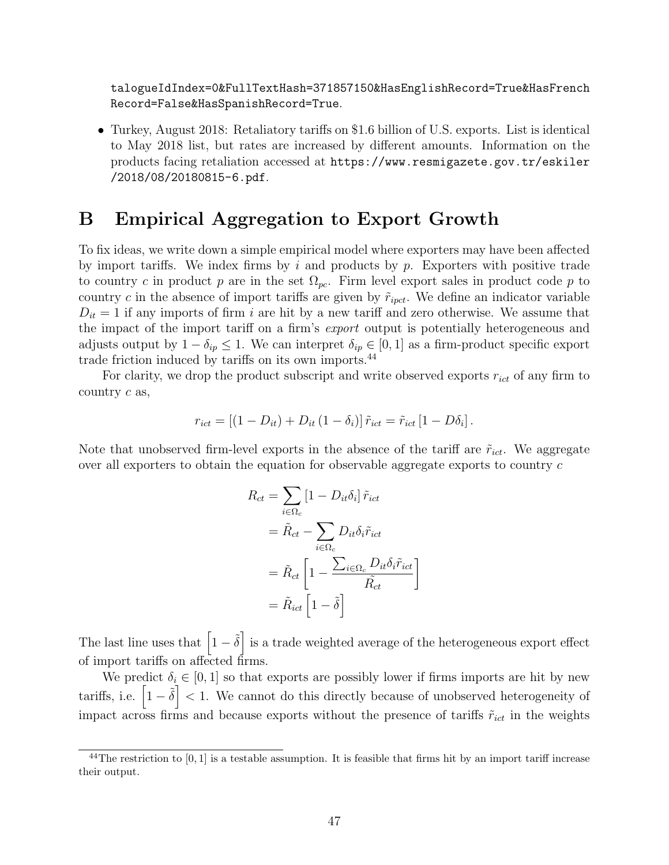[talogueIdIndex=0&FullTextHash=371857150&HasEnglishRecord=True&HasFrench](https://docs.wto.org/dol2fe/Pages/FE_Search/FE_S_S009-DP.aspx?language=E&CatalogueIdList=245272&CurrentCatalogueIdIndex=0&FullTextHash=371857150&HasEnglishRecord=True&HasFrenchRecord=False&HasSpanishRecord=True) [Record=False&HasSpanishRecord=True](https://docs.wto.org/dol2fe/Pages/FE_Search/FE_S_S009-DP.aspx?language=E&CatalogueIdList=245272&CurrentCatalogueIdIndex=0&FullTextHash=371857150&HasEnglishRecord=True&HasFrenchRecord=False&HasSpanishRecord=True).

• Turkey, August 2018: Retaliatory tariffs on \$1.6 billion of U.S. exports. List is identical to May 2018 list, but rates are increased by different amounts. Information on the products facing retaliation accessed at [https://www.resmigazete.gov.tr/eskiler](https://www.resmigazete.gov.tr/eskiler/2018/08/20180815-6.pdf) [/2018/08/20180815-6.pdf](https://www.resmigazete.gov.tr/eskiler/2018/08/20180815-6.pdf).

# <span id="page-48-0"></span>B Empirical Aggregation to Export Growth

To fix ideas, we write down a simple empirical model where exporters may have been affected by import tariffs. We index firms by i and products by  $p$ . Exporters with positive trade to country c in product p are in the set  $\Omega_{pc}$ . Firm level export sales in product code p to country c in the absence of import tariffs are given by  $\tilde{r}_{ipct}$ . We define an indicator variable  $D_{it} = 1$  if any imports of firm i are hit by a new tariff and zero otherwise. We assume that the impact of the import tariff on a firm's export output is potentially heterogeneous and adjusts output by  $1 - \delta_{ip} \leq 1$ . We can interpret  $\delta_{ip} \in [0, 1]$  as a firm-product specific export trade friction induced by tariffs on its own imports.[44](#page-1-0)

For clarity, we drop the product subscript and write observed exports  $r_{ict}$  of any firm to country  $c$  as,

$$
r_{ict} = \left[ (1 - D_{it}) + D_{it} (1 - \delta_i) \right] \tilde{r}_{ict} = \tilde{r}_{ict} \left[ 1 - D\delta_i \right].
$$

Note that unobserved firm-level exports in the absence of the tariff are  $\tilde{r}_{ict}$ . We aggregate over all exporters to obtain the equation for observable aggregate exports to country  $c$ 

$$
R_{ct} = \sum_{i \in \Omega_c} [1 - D_{it}\delta_i] \tilde{r}_{ict}
$$
  
=  $\tilde{R}_{ct} - \sum_{i \in \Omega_c} D_{it}\delta_i \tilde{r}_{ict}$   
=  $\tilde{R}_{ct} \left[ 1 - \frac{\sum_{i \in \Omega_c} D_{it}\delta_i \tilde{r}_{ict}}{\tilde{R}_{ct}} \right]$   
=  $\tilde{R}_{ict} \left[ 1 - \tilde{\delta} \right]$ 

1

The last line uses that  $\left[1 - \tilde{\delta}\right]$  is a trade weighted average of the heterogeneous export effect of import tariffs on affected firms.

We predict  $\delta_i \in [0,1]$  so that exports are possibly lower if firms imports are hit by new tariffs, i.e.  $\left[1-\tilde{\delta}\right]<1$ . We cannot do this directly because of unobserved heterogeneity of impact across firms and because exports without the presence of tariffs  $\tilde{r}_{ict}$  in the weights

 $^{44}$ The restriction to [0, 1] is a testable assumption. It is feasible that firms hit by an import tariff increase their output.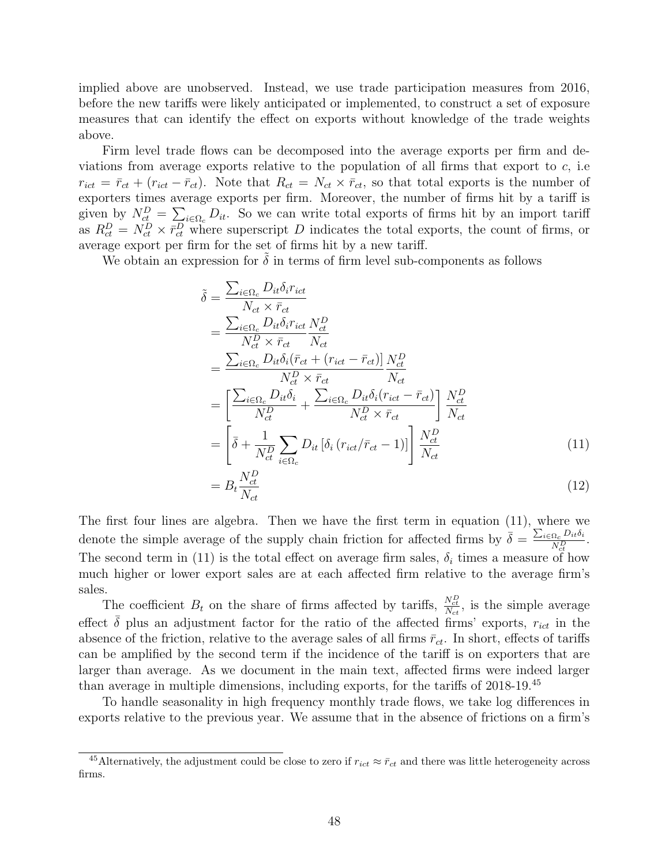implied above are unobserved. Instead, we use trade participation measures from 2016, before the new tariffs were likely anticipated or implemented, to construct a set of exposure measures that can identify the effect on exports without knowledge of the trade weights above.

Firm level trade flows can be decomposed into the average exports per firm and deviations from average exports relative to the population of all firms that export to  $c$ , i.e.  $r_{ict} = \bar{r}_{ct} + (r_{ict} - \bar{r}_{ct})$ . Note that  $R_{ct} = N_{ct} \times \bar{r}_{ct}$ , so that total exports is the number of exporters times average exports per firm. Moreover, the number of firms hit by a tariff is given by  $N_{ct}^D = \sum_{i \in \Omega_c} D_{it}$ . So we can write total exports of firms hit by an import tariff as  $R_{ct}^D = N_{ct}^D \times \bar{r}_{ct}^D$  where superscript D indicates the total exports, the count of firms, or average export per firm for the set of firms hit by a new tariff.

We obtain an expression for  $\delta$  in terms of firm level sub-components as follows

$$
\tilde{\delta} = \frac{\sum_{i \in \Omega_c} D_{it} \delta_i r_{ict}}{N_{ct} \times \bar{r}_{ct}} \n= \frac{\sum_{i \in \Omega_c} D_{it} \delta_i r_{ict}}{N_c^D \times \bar{r}_{ct}} \frac{N_{ct}^D}{N_{ct}} \n= \frac{\sum_{i \in \Omega_c} D_{it} \delta_i (\bar{r}_{ct} + (r_{ict} - \bar{r}_{ct})]}{N_c^D \times \bar{r}_{ct}} \frac{N_{ct}^D}{N_{ct}} \n= \left[ \frac{\sum_{i \in \Omega_c} D_{it} \delta_i}{N_c^D} + \frac{\sum_{i \in \Omega_c} D_{it} \delta_i (r_{ict} - \bar{r}_{ct})}{N_c^D \times \bar{r}_{ct}} \right] \frac{N_{ct}^D}{N_{ct}} \n= \left[ \bar{\delta} + \frac{1}{N_{ct}^D} \sum_{i \in \Omega_c} D_{it} \left[ \delta_i (r_{ict}/\bar{r}_{ct} - 1) \right] \right] \frac{N_{ct}^D}{N_{ct}} \tag{11}
$$

<span id="page-49-0"></span>
$$
=B_t \frac{N_{ct}^D}{N_{ct}}\tag{12}
$$

The first four lines are algebra. Then we have the first term in equation [\(11\)](#page-49-0), where we denote the simple average of the supply chain friction for affected firms by  $\bar{\delta} = \frac{\sum_{i \in \Omega_c} D_{it} \delta_i}{N}$  $\frac{\Omega_c U_{it}^{U_i}}{N_{ct}^D}$ . The second term in [\(11\)](#page-49-0) is the total effect on average firm sales,  $\delta_i$  times a measure of how much higher or lower export sales are at each affected firm relative to the average firm's sales.

The coefficient  $B_t$  on the share of firms affected by tariffs,  $\frac{N_{ct}^D}{N_{ct}}$ , is the simple average effect  $\bar{\delta}$  plus an adjustment factor for the ratio of the affected firms' exports,  $r_{ict}$  in the absence of the friction, relative to the average sales of all firms  $\bar{r}_{ct}$ . In short, effects of tariffs can be amplified by the second term if the incidence of the tariff is on exporters that are larger than average. As we document in the main text, affected firms were indeed larger than average in multiple dimensions, including exports, for the tariffs of 2018-19.[45](#page-1-0)

To handle seasonality in high frequency monthly trade flows, we take log differences in exports relative to the previous year. We assume that in the absence of frictions on a firm's

<sup>&</sup>lt;sup>45</sup>Alternatively, the adjustment could be close to zero if  $r_{ict} \approx \bar{r}_{ct}$  and there was little heterogeneity across firms.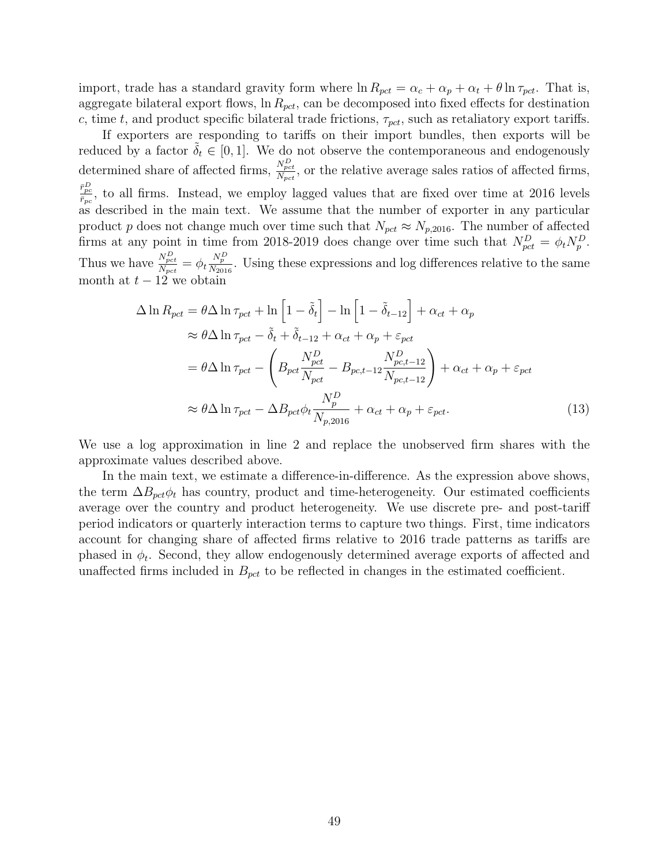import, trade has a standard gravity form where  $\ln R_{pct} = \alpha_c + \alpha_p + \alpha_t + \theta \ln \tau_{pct}$ . That is, aggregate bilateral export flows,  $\ln R_{pct}$ , can be decomposed into fixed effects for destination c, time t, and product specific bilateral trade frictions,  $\tau_{\text{pot}}$ , such as retaliatory export tariffs.

If exporters are responding to tariffs on their import bundles, then exports will be reduced by a factor  $\delta_t \in [0,1]$ . We do not observe the contemporaneous and endogenously determined share of affected firms,  $\frac{N_{pot}^{D}}{N_{pet}}$ , or the relative average sales ratios of affected firms,  $\frac{\bar{r}_{pc}^D}{\bar{r}_{pc}}$ , to all firms. Instead, we employ lagged values that are fixed over time at 2016 levels as described in the main text. We assume that the number of exporter in any particular product p does not change much over time such that  $N_{pct} \approx N_{p,2016}$ . The number of affected firms at any point in time from 2018-2019 does change over time such that  $N_{pct}^D = \phi_t N_p^D$ . Thus we have  $\frac{N_{pot}^D}{N_{pot}} = \phi_t \frac{N_p^D}{N_{2016}}$ . Using these expressions and log differences relative to the same month at  $t - 12$  we obtain

$$
\Delta \ln R_{pct} = \theta \Delta \ln \tau_{pct} + \ln \left[ 1 - \tilde{\delta}_t \right] - \ln \left[ 1 - \tilde{\delta}_{t-12} \right] + \alpha_{ct} + \alpha_p
$$
  
\n
$$
\approx \theta \Delta \ln \tau_{pct} - \tilde{\delta}_t + \tilde{\delta}_{t-12} + \alpha_{ct} + \alpha_p + \varepsilon_{pct}
$$
  
\n
$$
= \theta \Delta \ln \tau_{pct} - \left( B_{pct} \frac{N_{pct}^D}{N_{pct}} - B_{pc, t-12} \frac{N_{pc, t-12}^D}{N_{pc, t-12}} \right) + \alpha_{ct} + \alpha_p + \varepsilon_{pct}
$$
  
\n
$$
\approx \theta \Delta \ln \tau_{pct} - \Delta B_{pct} \phi_t \frac{N_p^D}{N_{p, 2016}} + \alpha_{ct} + \alpha_p + \varepsilon_{pct}.
$$
\n(13)

We use a log approximation in line 2 and replace the unobserved firm shares with the approximate values described above.

In the main text, we estimate a difference-in-difference. As the expression above shows, the term  $\Delta B_{\text{pct}}\phi_t$  has country, product and time-heterogeneity. Our estimated coefficients average over the country and product heterogeneity. We use discrete pre- and post-tariff period indicators or quarterly interaction terms to capture two things. First, time indicators account for changing share of affected firms relative to 2016 trade patterns as tariffs are phased in  $\phi_t$ . Second, they allow endogenously determined average exports of affected and unaffected firms included in  $B_{\text{pot}}$  to be reflected in changes in the estimated coefficient.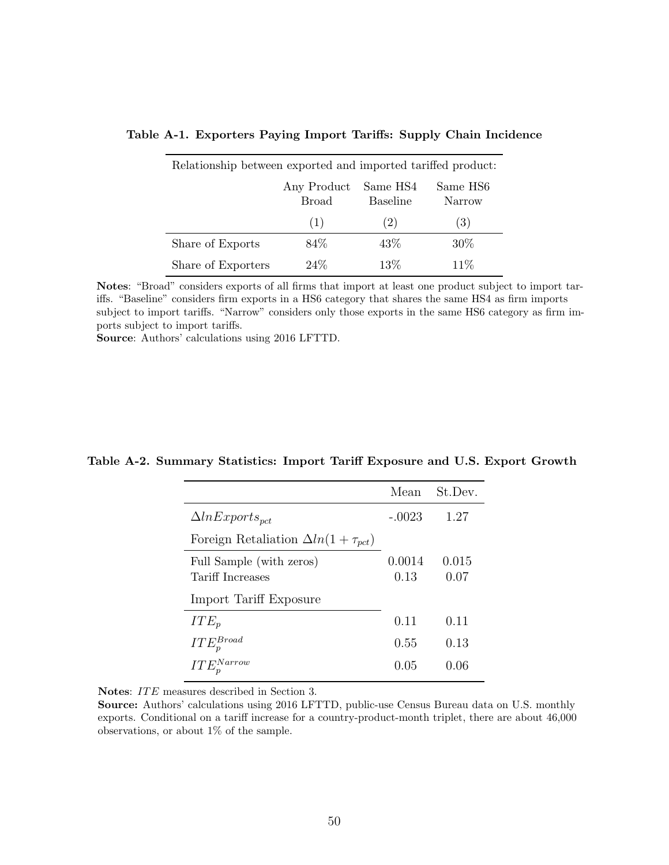| Relationship between exported and imported tariffed product: |                             |                             |                    |  |  |
|--------------------------------------------------------------|-----------------------------|-----------------------------|--------------------|--|--|
|                                                              | Any Product<br><b>Broad</b> | Same HS4<br><b>Baseline</b> | Same HS6<br>Narrow |  |  |
|                                                              | (1)                         | (2)                         | (3)                |  |  |
| Share of Exports                                             | 84\%                        | 43\%                        | $30\%$             |  |  |
| Share of Exporters                                           | $24\%$                      | 13%                         | 11%                |  |  |

#### <span id="page-51-1"></span>Table A-1. Exporters Paying Import Tariffs: Supply Chain Incidence

Notes: "Broad" considers exports of all firms that import at least one product subject to import tariffs. "Baseline" considers firm exports in a HS6 category that shares the same HS4 as firm imports subject to import tariffs. "Narrow" considers only those exports in the same HS6 category as firm imports subject to import tariffs.

Source: Authors' calculations using 2016 LFTTD.

#### <span id="page-51-0"></span>Table A-2. Summary Statistics: Import Tariff Exposure and U.S. Export Growth

|                                                        | Mean     | St.Dev. |
|--------------------------------------------------------|----------|---------|
| $\Delta ln Exports_{oct}$                              | $-.0023$ | 1.27    |
| Foreign Retaliation $\Delta ln(1 + \tau_{\text{pot}})$ |          |         |
| Full Sample (with zeros)                               | 0.0014   | 0.015   |
| <b>Tariff Increases</b>                                | 0.13     | 0.07    |
| Import Tariff Exposure                                 |          |         |
| $ITE_p$                                                | 0.11     | 0.11    |
| $ITE_p^{Broad}$                                        | 0.55     | 0.13    |
| $ITE_n^{Narrow}$                                       | 0.05     | 0.06    |

Notes: ITE measures described in Section [3.](#page-12-0)

Source: Authors' calculations using 2016 LFTTD, public-use Census Bureau data on U.S. monthly exports. Conditional on a tariff increase for a country-product-month triplet, there are about 46,000 observations, or about 1% of the sample.